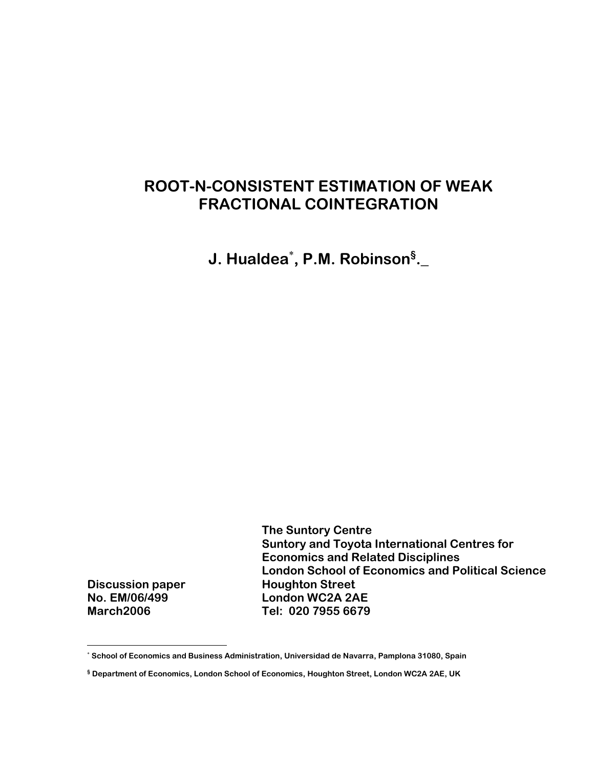# **ROOT-N-CONSISTENT ESTIMATION OF WEAK FRACTIONAL COINTEGRATION**

**J. Hualdea**<sup>∗</sup> **, P.M. Robinson§ .\_** 

 **The Suntory Centre Suntory and Toyota International Centres for Economics and Related Disciplines London School of Economics and Political Science Discussion paper Houghton Street No. EM/06/499 London WC2A 2AE March2006 Tel: 020 7955 6679**

 $\overline{a}$ 

<sup>∗</sup>  **School of Economics and Business Administration, Universidad de Navarra, Pamplona 31080, Spain** 

**<sup>§</sup> Department of Economics, London School of Economics, Houghton Street, London WC2A 2AE, UK**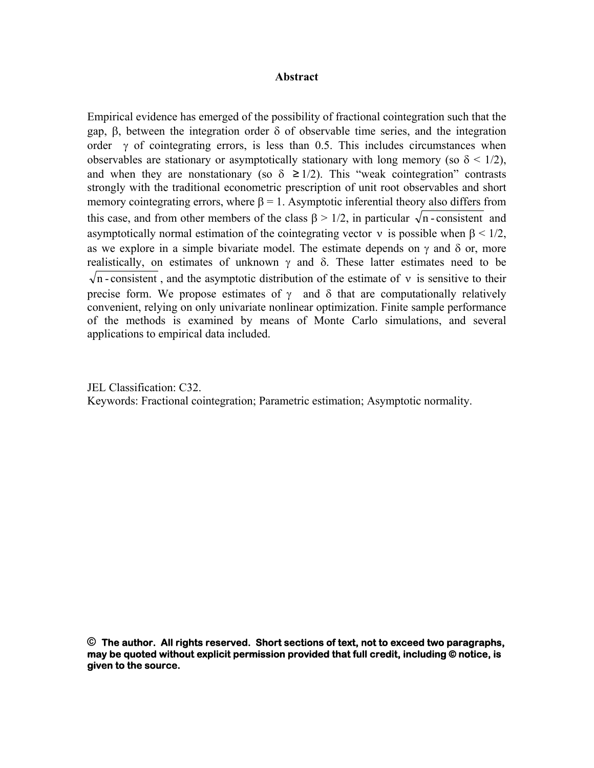# **Abstract**

Empirical evidence has emerged of the possibility of fractional cointegration such that the gap, β, between the integration order δ of observable time series, and the integration order  $\gamma$  of cointegrating errors, is less than 0.5. This includes circumstances when observables are stationary or asymptotically stationary with long memory (so  $\delta$  < 1/2), and when they are nonstationary (so  $\delta \geq 1/2$ ). This "weak cointegration" contrasts strongly with the traditional econometric prescription of unit root observables and short memory cointegrating errors, where  $\beta = 1$ . Asymptotic inferential theory also differs from this case, and from other members of the class  $\beta > 1/2$ , in particular  $\sqrt{n}$ -consistent and asymptotically normal estimation of the cointegrating vector  $\nu$  is possible when  $\beta$  < 1/2, as we explore in a simple bivariate model. The estimate depends on  $\gamma$  and  $\delta$  or, more realistically, on estimates of unknown  $\gamma$  and  $\delta$ . These latter estimates need to be  $\sqrt{n}$  - consistent, and the asymptotic distribution of the estimate of v is sensitive to their precise form. We propose estimates of  $\gamma$  and  $\delta$  that are computationally relatively convenient, relying on only univariate nonlinear optimization. Finite sample performance of the methods is examined by means of Monte Carlo simulations, and several applications to empirical data included.

JEL Classification: C32. Keywords: Fractional cointegration; Parametric estimation; Asymptotic normality.

**© The author. All rights reserved. Short sections of text, not to exceed two paragraphs, may be quoted without explicit permission provided that full credit, including © notice, is given to the source.**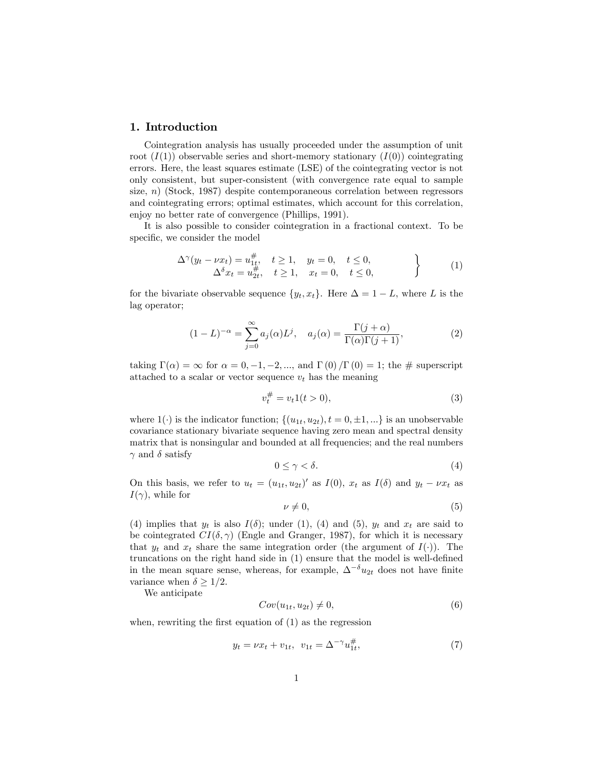## 1. Introduction

Cointegration analysis has usually proceeded under the assumption of unit root  $(I(1))$  observable series and short-memory stationary  $(I(0))$  cointegrating errors. Here, the least squares estimate (LSE) of the cointegrating vector is not only consistent, but super-consistent (with convergence rate equal to sample size, n) (Stock, 1987) despite contemporaneous correlation between regressors and cointegrating errors; optimal estimates, which account for this correlation, enjoy no better rate of convergence (Phillips, 1991).

It is also possible to consider cointegration in a fractional context. To be specific, we consider the model

$$
\Delta^{\gamma}(y_t - \nu x_t) = u_{1t}^{\#}, \quad t \ge 1, \quad y_t = 0, \quad t \le 0, \n\Delta^{\delta} x_t = u_{2t}^{\#}, \quad t \ge 1, \quad x_t = 0, \quad t \le 0,
$$
\n(1)

for the bivariate observable sequence  $\{y_t, x_t\}$ . Here  $\Delta = 1 - L$ , where L is the lag operator;

$$
(1 - L)^{-\alpha} = \sum_{j=0}^{\infty} a_j(\alpha) L^j, \quad a_j(\alpha) = \frac{\Gamma(j + \alpha)}{\Gamma(\alpha)\Gamma(j + 1)},
$$
 (2)

taking  $\Gamma(\alpha) = \infty$  for  $\alpha = 0, -1, -2, \dots$ , and  $\Gamma(0)/\Gamma(0) = 1$ ; the # superscript attached to a scalar or vector sequence  $v_t$  has the meaning

$$
v_t^{\#} = v_t 1(t > 0),\tag{3}
$$

where  $1(\cdot)$  is the indicator function;  $\{(u_{1t}, u_{2t}), t = 0, \pm 1, ...\}$  is an unobservable covariance stationary bivariate sequence having zero mean and spectral density matrix that is nonsingular and bounded at all frequencies; and the real numbers  $\gamma$  and  $\delta$  satisfy

$$
0 \le \gamma < \delta. \tag{4}
$$

On this basis, we refer to  $u_t = (u_{1t}, u_{2t})'$  as  $I(0)$ ,  $x_t$  as  $I(\delta)$  and  $y_t - \nu x_t$  as  $I(\gamma)$ , while for

$$
\nu \neq 0,\tag{5}
$$

(4) implies that  $y_t$  is also  $I(\delta)$ ; under (1), (4) and (5),  $y_t$  and  $x_t$  are said to be cointegrated  $CI(\delta, \gamma)$  (Engle and Granger, 1987), for which it is necessary that  $y_t$  and  $x_t$  share the same integration order (the argument of  $I(.)$ ). The truncations on the right hand side in  $(1)$  ensure that the model is well-defined in the mean square sense, whereas, for example,  $\Delta^{-\delta} u_{2t}$  does not have finite variance when  $\delta \geq 1/2$ .

We anticipate

$$
Cov(u_{1t}, u_{2t}) \neq 0,\t\t(6)
$$

when, rewriting the first equation of  $(1)$  as the regression

$$
y_t = \nu x_t + v_{1t}, \ \ v_{1t} = \Delta^{-\gamma} u_{1t}^{\#}, \tag{7}
$$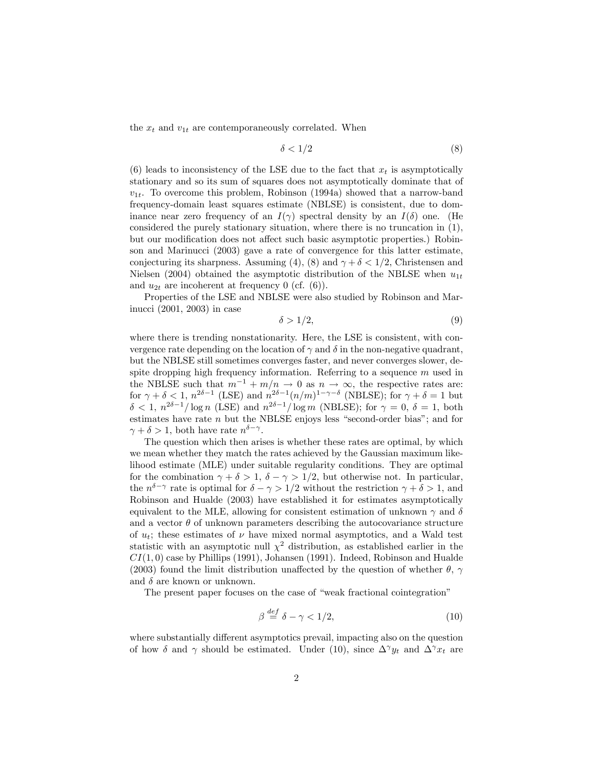the  $x_t$  and  $v_{1t}$  are contemporaneously correlated. When

$$
\delta < 1/2 \tag{8}
$$

(6) leads to inconsistency of the LSE due to the fact that  $x_t$  is asymptotically stationary and so its sum of squares does not asymptotically dominate that of  $v_{1t}$ . To overcome this problem, Robinson (1994a) showed that a narrow-band frequency-domain least squares estimate (NBLSE) is consistent, due to dominance near zero frequency of an  $I(\gamma)$  spectral density by an  $I(\delta)$  one. (He considered the purely stationary situation, where there is no truncation in (1), but our modification does not affect such basic asymptotic properties.) Robinson and Marinucci (2003) gave a rate of convergence for this latter estimate, conjecturing its sharpness. Assuming (4), (8) and  $\gamma + \delta < 1/2$ , Christensen and Nielsen (2004) obtained the asymptotic distribution of the NBLSE when  $u_{1t}$ and  $u_{2t}$  are incoherent at frequency 0 (cf. (6)).

Properties of the LSE and NBLSE were also studied by Robinson and Marinucci (2001, 2003) in case

$$
\delta > 1/2,\tag{9}
$$

where there is trending nonstationarity. Here, the LSE is consistent, with convergence rate depending on the location of  $\gamma$  and  $\delta$  in the non-negative quadrant, but the NBLSE still sometimes converges faster, and never converges slower, despite dropping high frequency information. Referring to a sequence  $m$  used in the NBLSE such that  $m^{-1} + m/n \to 0$  as  $n \to \infty$ , the respective rates are: for  $\gamma + \delta < 1$ ,  $n^{2\delta - 1}$  (LSE) and  $n^{2\delta - 1} (n/m)^{1-\gamma-\delta}$  (NBLSE); for  $\gamma + \delta = 1$  but  $\delta < 1, n^{2\delta-1}/\log n$  (LSE) and  $n^{2\delta-1}/\log m$  (NBLSE); for  $\gamma = 0, \delta = 1$ , both estimates have rate  $n$  but the NBLSE enjoys less "second-order bias"; and for  $\gamma + \delta > 1$ , both have rate  $n^{\delta - \gamma}$ .

The question which then arises is whether these rates are optimal, by which we mean whether they match the rates achieved by the Gaussian maximum likelihood estimate (MLE) under suitable regularity conditions. They are optimal for the combination  $\gamma + \delta > 1$ ,  $\delta - \gamma > 1/2$ , but otherwise not. In particular, the  $n^{\delta-\gamma}$  rate is optimal for  $\delta-\gamma>1/2$  without the restriction  $\gamma+\delta>1$ , and Robinson and Hualde (2003) have established it for estimates asymptotically equivalent to the MLE, allowing for consistent estimation of unknown  $\gamma$  and  $\delta$ and a vector  $\theta$  of unknown parameters describing the autocovariance structure of  $u_t$ ; these estimates of  $\nu$  have mixed normal asymptotics, and a Wald test statistic with an asymptotic null  $\chi^2$  distribution, as established earlier in the  $CI(1,0)$  case by Phillips (1991), Johansen (1991). Indeed, Robinson and Hualde (2003) found the limit distribution unaffected by the question of whether  $\theta$ ,  $\gamma$ and  $\delta$  are known or unknown.

The present paper focuses on the case of "weak fractional cointegration"

$$
\beta \stackrel{def}{=} \delta - \gamma < 1/2,\tag{10}
$$

where substantially different asymptotics prevail, impacting also on the question of how  $\delta$  and  $\gamma$  should be estimated. Under (10), since  $\Delta^{\gamma} y_t$  and  $\Delta^{\gamma} x_t$  are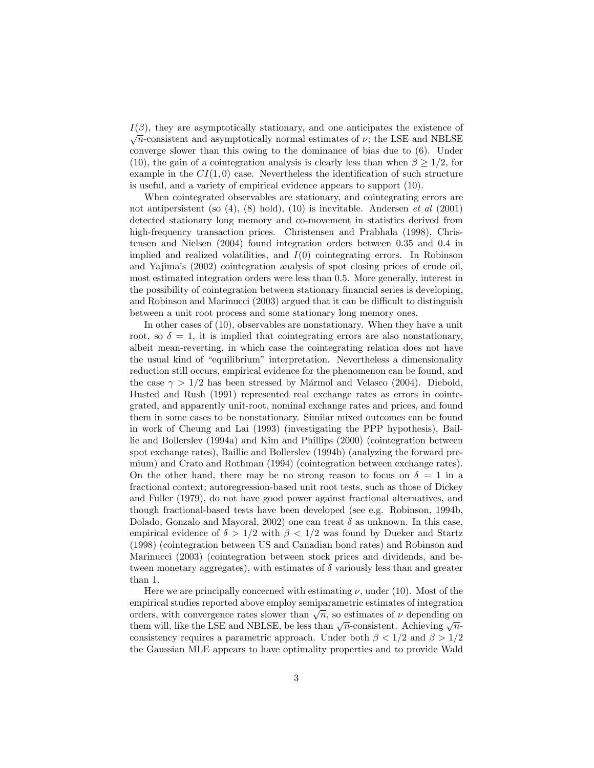$I(\beta)$ , they are asymptotically stationary, and one anticipates the existence of  $\sqrt{n}$ -consistent and asymptotically normal estimates of  $\nu$ ; the LSE and NBLSE converge slower than this owing to the dominance of bias due to (6). Under (10), the gain of a cointegration analysis is clearly less than when  $\beta \geq 1/2$ , for example in the  $CI(1,0)$  case. Nevertheless the identification of such structure is useful, and a variety of empirical evidence appears to support (10).

When cointegrated observables are stationary, and cointegrating errors are not antipersistent (so  $(4)$ ,  $(8)$  hold),  $(10)$  is inevitable. Andersen *et al*  $(2001)$ detected stationary long memory and co-movement in statistics derived from high-frequency transaction prices. Christensen and Prabhala (1998), Christensen and Nielsen (2004) found integration orders between 0.35 and 0.4 in implied and realized volatilities, and  $I(0)$  cointegrating errors. In Robinson and Yajimaís (2002) cointegration analysis of spot closing prices of crude oil, most estimated integration orders were less than 0.5. More generally, interest in the possibility of cointegration between stationary financial series is developing, and Robinson and Marinucci  $(2003)$  argued that it can be difficult to distinguish between a unit root process and some stationary long memory ones.

In other cases of (10), observables are nonstationary. When they have a unit root, so  $\delta = 1$ , it is implied that cointegrating errors are also nonstationary, albeit mean-reverting, in which case the cointegrating relation does not have the usual kind of "equilibrium" interpretation. Nevertheless a dimensionality reduction still occurs, empirical evidence for the phenomenon can be found, and the case  $\gamma > 1/2$  has been stressed by Mármol and Velasco (2004). Diebold, Husted and Rush (1991) represented real exchange rates as errors in cointegrated, and apparently unit-root, nominal exchange rates and prices, and found them in some cases to be nonstationary. Similar mixed outcomes can be found in work of Cheung and Lai (1993) (investigating the PPP hypothesis), Baillie and Bollerslev (1994a) and Kim and Phillips (2000) (cointegration between spot exchange rates), Baillie and Bollerslev (1994b) (analyzing the forward premium) and Crato and Rothman (1994) (cointegration between exchange rates). On the other hand, there may be no strong reason to focus on  $\delta = 1$  in a fractional context; autoregression-based unit root tests, such as those of Dickey and Fuller (1979), do not have good power against fractional alternatives, and though fractional-based tests have been developed (see e.g. Robinson, 1994b, Dolado, Gonzalo and Mayoral, 2002) one can treat  $\delta$  as unknown. In this case, empirical evidence of  $\delta > 1/2$  with  $\beta < 1/2$  was found by Dueker and Startz (1998) (cointegration between US and Canadian bond rates) and Robinson and Marinucci (2003) (cointegration between stock prices and dividends, and between monetary aggregates), with estimates of  $\delta$  variously less than and greater than 1.

Here we are principally concerned with estimating  $\nu$ , under (10). Most of the empirical studies reported above employ semiparametric estimates of integration orders, with convergence rates slower than  $\sqrt{n}$ , so estimates of  $\nu$  depending on them will, like the LSE and NBLSE, be less than  $\sqrt{n}$ -consistent. Achieving  $\sqrt{n}$ consistency requires a parametric approach. Under both  $\beta < 1/2$  and  $\beta > 1/2$ the Gaussian MLE appears to have optimality properties and to provide Wald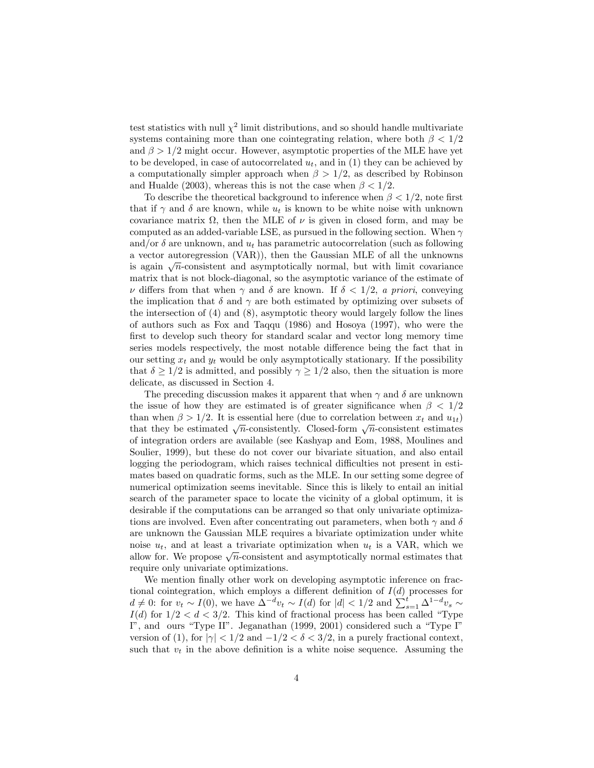test statistics with null  $\chi^2$  limit distributions, and so should handle multivariate systems containing more than one cointegrating relation, where both  $\beta < 1/2$ and  $\beta > 1/2$  might occur. However, asymptotic properties of the MLE have yet to be developed, in case of autocorrelated  $u_t$ , and in (1) they can be achieved by a computationally simpler approach when  $\beta > 1/2$ , as described by Robinson and Hualde (2003), whereas this is not the case when  $\beta < 1/2$ .

To describe the theoretical background to inference when  $\beta < 1/2$ , note first that if  $\gamma$  and  $\delta$  are known, while  $u_t$  is known to be white noise with unknown covariance matrix  $\Omega$ , then the MLE of  $\nu$  is given in closed form, and may be computed as an added-variable LSE, as pursued in the following section. When  $\gamma$ and/or  $\delta$  are unknown, and  $u_t$  has parametric autocorrelation (such as following a vector autoregression (VAR)), then the Gaussian MLE of all the unknowns is again  $\sqrt{n}$ -consistent and asymptotically normal, but with limit covariance matrix that is not block-diagonal, so the asymptotic variance of the estimate of  $\nu$  differs from that when  $\gamma$  and  $\delta$  are known. If  $\delta < 1/2$ , a priori, conveying the implication that  $\delta$  and  $\gamma$  are both estimated by optimizing over subsets of the intersection of (4) and (8), asymptotic theory would largely follow the lines of authors such as Fox and Taqqu (1986) and Hosoya (1997), who were the first to develop such theory for standard scalar and vector long memory time series models respectively, the most notable difference being the fact that in our setting  $x_t$  and  $y_t$  would be only asymptotically stationary. If the possibility that  $\delta \geq 1/2$  is admitted, and possibly  $\gamma \geq 1/2$  also, then the situation is more delicate, as discussed in Section 4.

The preceding discussion makes it apparent that when  $\gamma$  and  $\delta$  are unknown the issue of how they are estimated is of greater significance when  $\beta < 1/2$ than when  $\beta > 1/2$ . It is essential here (due to correlation between  $x_t$  and  $u_{1t}$ ) that they be estimated  $\sqrt{n}$ -consistently. Closed-form  $\sqrt{n}$ -consistent estimates of integration orders are available (see Kashyap and Eom, 1988, Moulines and Soulier, 1999), but these do not cover our bivariate situation, and also entail logging the periodogram, which raises technical difficulties not present in estimates based on quadratic forms, such as the MLE. In our setting some degree of numerical optimization seems inevitable. Since this is likely to entail an initial search of the parameter space to locate the vicinity of a global optimum, it is desirable if the computations can be arranged so that only univariate optimizations are involved. Even after concentrating out parameters, when both  $\gamma$  and  $\delta$ are unknown the Gaussian MLE requires a bivariate optimization under white noise  $u_t$ , and at least a trivariate optimization when  $u_t$  is a VAR, which we allow for. We propose  $\sqrt{n}$ -consistent and asymptotically normal estimates that require only univariate optimizations.

We mention finally other work on developing asymptotic inference on fractional cointegration, which employs a different definition of  $I(d)$  processes for  $d \neq 0$ : for  $v_t \sim I(0)$ , we have  $\Delta^{-d} v_t \sim I(d)$  for  $|d| < 1/2$  and  $\sum_{s=1}^{t} \Delta^{1-d} v_s \sim$  $I(d)$  for  $1/2 < d < 3/2$ . This kind of fractional process has been called "Type I", and ours "Type II". Jeganathan  $(1999, 2001)$  considered such a "Type I" version of (1), for  $|\gamma| < 1/2$  and  $-1/2 < \delta < 3/2$ , in a purely fractional context, such that  $v_t$  in the above definition is a white noise sequence. Assuming the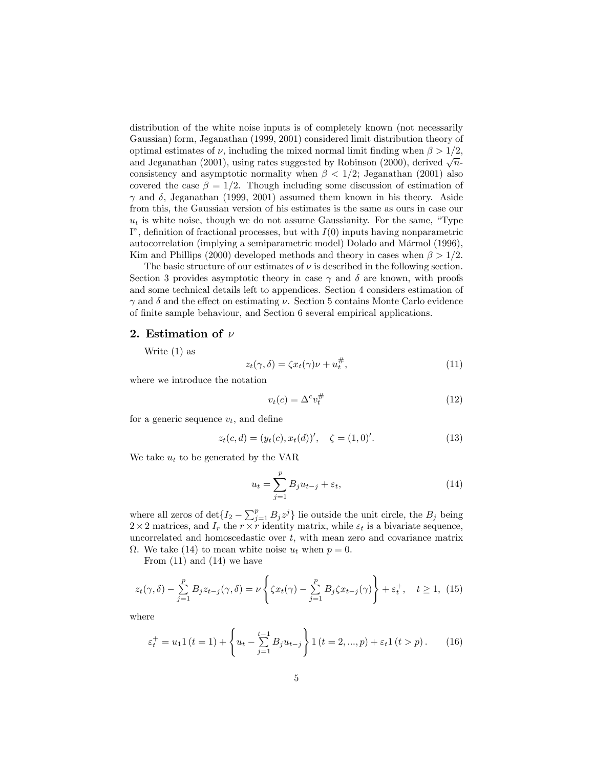distribution of the white noise inputs is of completely known (not necessarily Gaussian) form, Jeganathan (1999, 2001) considered limit distribution theory of optimal estimates of  $\nu$ , including the mixed normal limit finding when  $\beta > 1/2$ , and Jeganathan (2001), using rates suggested by Robinson (2000), derived  $\sqrt{n}$ consistency and asymptotic normality when  $\beta < 1/2$ ; Jeganathan (2001) also covered the case  $\beta = 1/2$ . Though including some discussion of estimation of  $\gamma$  and  $\delta$ , Jeganathan (1999, 2001) assumed them known in his theory. Aside from this, the Gaussian version of his estimates is the same as ours in case our  $u_t$  is white noise, though we do not assume Gaussianity. For the same, "Type I", definition of fractional processes, but with  $I(0)$  inputs having nonparametric autocorrelation (implying a semiparametric model) Dolado and Mármol (1996), Kim and Phillips (2000) developed methods and theory in cases when  $\beta > 1/2$ .

The basic structure of our estimates of  $\nu$  is described in the following section. Section 3 provides asymptotic theory in case  $\gamma$  and  $\delta$  are known, with proofs and some technical details left to appendices. Section 4 considers estimation of  $\gamma$  and  $\delta$  and the effect on estimating  $\nu$ . Section 5 contains Monte Carlo evidence of finite sample behaviour, and Section 6 several empirical applications.

## 2. Estimation of  $\nu$

Write (1) as

$$
z_t(\gamma, \delta) = \zeta x_t(\gamma)\nu + u_t^{\#},\tag{11}
$$

where we introduce the notation

$$
v_t(c) = \Delta^c v_t^{\#} \tag{12}
$$

for a generic sequence  $v_t$ , and define

$$
z_t(c,d) = (y_t(c), x_t(d))', \quad \zeta = (1,0)'. \tag{13}
$$

We take  $u_t$  to be generated by the VAR

$$
u_t = \sum_{j=1}^p B_j u_{t-j} + \varepsilon_t,\tag{14}
$$

where all zeros of  $\det\{I_2 - \sum_{j=1}^p B_j z^j\}$  lie outside the unit circle, the  $B_j$  being  $2 \times 2$  matrices, and  $I_r$  the  $r \times r$  identity matrix, while  $\varepsilon_t$  is a bivariate sequence, uncorrelated and homoscedastic over  $t$ , with mean zero and covariance matrix  $\Omega$ . We take (14) to mean white noise  $u_t$  when  $p = 0$ .

From  $(11)$  and  $(14)$  we have

$$
z_t(\gamma, \delta) - \sum_{j=1}^p B_j z_{t-j}(\gamma, \delta) = \nu \left\{ \zeta x_t(\gamma) - \sum_{j=1}^p B_j \zeta x_{t-j}(\gamma) \right\} + \varepsilon_t^+, \quad t \ge 1, \tag{15}
$$

where

$$
\varepsilon_t^+ = u_1 1 (t = 1) + \left\{ u_t - \sum_{j=1}^{t-1} B_j u_{t-j} \right\} 1 (t = 2, ..., p) + \varepsilon_t 1 (t > p).
$$
 (16)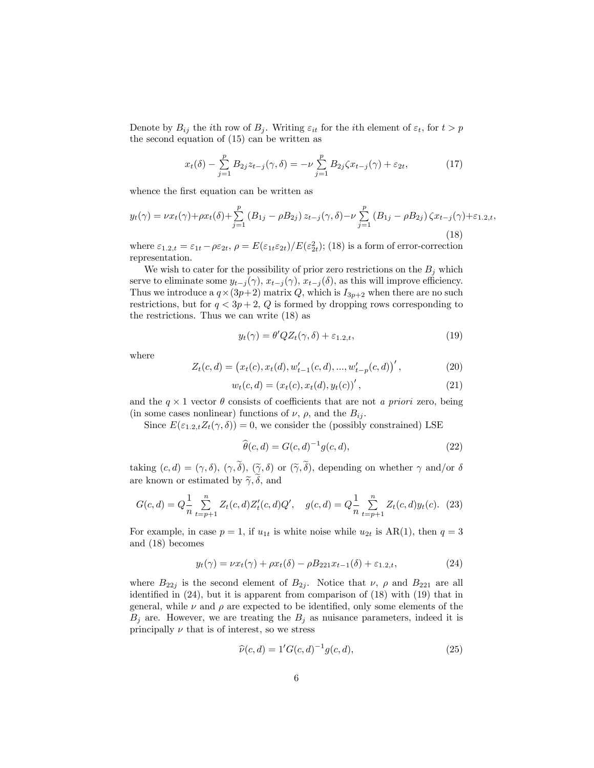Denote by  $B_{ij}$  the *i*th row of  $B_j$ . Writing  $\varepsilon_{it}$  for the *i*th element of  $\varepsilon_t$ , for  $t > p$ the second equation of (15) can be written as

$$
x_t(\delta) - \sum_{j=1}^p B_{2j} z_{t-j}(\gamma, \delta) = -\nu \sum_{j=1}^p B_{2j} \zeta x_{t-j}(\gamma) + \varepsilon_{2t}, \tag{17}
$$

whence the first equation can be written as

$$
y_t(\gamma) = \nu x_t(\gamma) + \rho x_t(\delta) + \sum_{j=1}^p (B_{1j} - \rho B_{2j}) z_{t-j}(\gamma, \delta) - \nu \sum_{j=1}^p (B_{1j} - \rho B_{2j}) \zeta x_{t-j}(\gamma) + \varepsilon_{1,2,t},
$$
\n(18)

where  $\varepsilon_{1,2,t} = \varepsilon_{1t} - \rho \varepsilon_{2t}, \rho = E(\varepsilon_{1t} \varepsilon_{2t})/E(\varepsilon_{2t}^2);$  (18) is a form of error-correction representation.

We wish to cater for the possibility of prior zero restrictions on the  $B_j$  which serve to eliminate some  $y_{t-j}(\gamma)$ ,  $x_{t-j}(\gamma)$ ,  $x_{t-j}(\delta)$ , as this will improve efficiency. Thus we introduce a  $q \times (3p+2)$  matrix Q, which is  $I_{3p+2}$  when there are no such restrictions, but for  $q < 3p + 2$ , Q is formed by dropping rows corresponding to the restrictions. Thus we can write (18) as

$$
y_t(\gamma) = \theta' Q Z_t(\gamma, \delta) + \varepsilon_{1,2,t},\tag{19}
$$

where

$$
Z_t(c,d) = (x_t(c), x_t(d), w'_{t-1}(c,d), ..., w'_{t-p}(c,d))',
$$
\n(20)

$$
w_t(c, d) = (x_t(c), x_t(d), y_t(c))',
$$
\n(21)

and the  $q \times 1$  vector  $\theta$  consists of coefficients that are not a priori zero, being (in some cases nonlinear) functions of  $\nu$ ,  $\rho$ , and the  $B_{ij}$ .

Since  $E(\epsilon_{1,2,t}Z_t(\gamma,\delta))=0$ , we consider the (possibly constrained) LSE

$$
\widehat{\theta}(c,d) = G(c,d)^{-1}g(c,d),\tag{22}
$$

taking  $(c, d) = (\gamma, \delta), (\gamma, \tilde{\delta}), (\tilde{\gamma}, \delta)$  or  $(\tilde{\gamma}, \tilde{\delta}),$  depending on whether  $\gamma$  and/or  $\delta$ are known or estimated by  $\widetilde{\gamma}, \widetilde{\delta}$ , and

$$
G(c,d) = Q\frac{1}{n} \sum_{t=p+1}^{n} Z_t(c,d) Z'_t(c,d) Q', \quad g(c,d) = Q\frac{1}{n} \sum_{t=p+1}^{n} Z_t(c,d) y_t(c). \tag{23}
$$

For example, in case  $p = 1$ , if  $u_{1t}$  is white noise while  $u_{2t}$  is AR(1), then  $q = 3$ and (18) becomes

$$
y_t(\gamma) = \nu x_t(\gamma) + \rho x_t(\delta) - \rho B_{221} x_{t-1}(\delta) + \varepsilon_{1,2,t},
$$
\n(24)

where  $B_{22j}$  is the second element of  $B_{2j}$ . Notice that  $\nu$ ,  $\rho$  and  $B_{221}$  are all identified in  $(24)$ , but it is apparent from comparison of  $(18)$  with  $(19)$  that in general, while  $\nu$  and  $\rho$  are expected to be identified, only some elements of the  $B_j$  are. However, we are treating the  $B_j$  as nuisance parameters, indeed it is principally  $\nu$  that is of interest, so we stress

$$
\widehat{\nu}(c,d) = 1'G(c,d)^{-1}g(c,d),\tag{25}
$$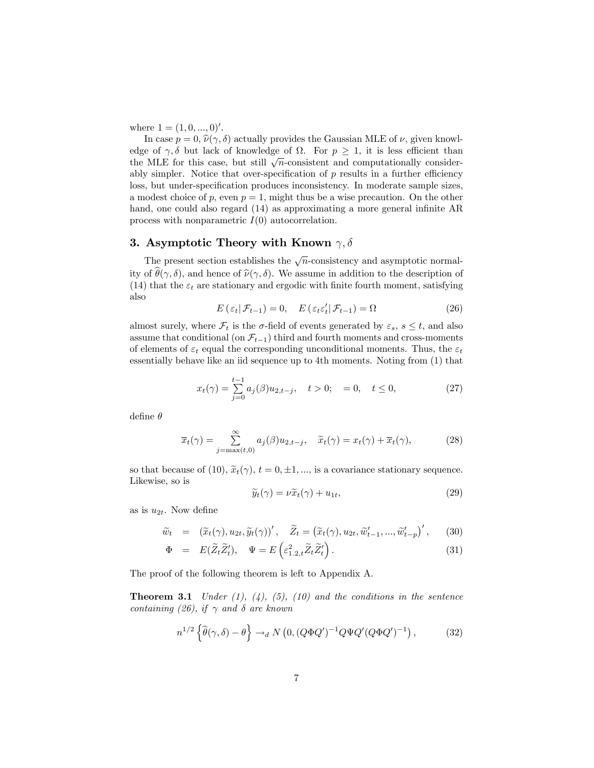where  $1 = (1, 0, ..., 0)$ '.

In case  $p = 0$ ,  $\hat{\nu}(\gamma, \delta)$  actually provides the Gaussian MLE of  $\nu$ , given knowledge of  $\gamma$ ,  $\delta$  but lack of knowledge of  $\Omega$ . For  $p \geq 1$ , it is less efficient than the MLE for this case, but still  $\sqrt{n}$ -consistent and computationally considerably simpler. Notice that over-specification of  $p$  results in a further efficiency loss, but under-specification produces inconsistency. In moderate sample sizes, a modest choice of p, even  $p = 1$ , might thus be a wise precaution. On the other hand, one could also regard  $(14)$  as approximating a more general infinite AR process with nonparametric  $I(0)$  autocorrelation.

## 3. Asymptotic Theory with Known  $\gamma, \delta$

The present section establishes the  $\sqrt{n}$ -consistency and asymptotic normality of  $\theta(\gamma, \delta)$ , and hence of  $\hat{\nu}(\gamma, \delta)$ . We assume in addition to the description of (14) that the  $\varepsilon_t$  are stationary and ergodic with finite fourth moment, satisfying also

$$
E\left(\varepsilon_t|\mathcal{F}_{t-1}\right) = 0, \quad E\left(\varepsilon_t \varepsilon_t'|\mathcal{F}_{t-1}\right) = \Omega \tag{26}
$$

almost surely, where  $\mathcal{F}_t$  is the  $\sigma$ -field of events generated by  $\varepsilon_s$ ,  $s \leq t$ , and also assume that conditional (on  $\mathcal{F}_{t-1}$ ) third and fourth moments and cross-moments of elements of  $\varepsilon_t$  equal the corresponding unconditional moments. Thus, the  $\varepsilon_t$ essentially behave like an iid sequence up to 4th moments. Noting from (1) that

$$
x_t(\gamma) = \sum_{j=0}^{t-1} a_j(\beta) u_{2,t-j}, \quad t > 0; \quad = 0, \quad t \le 0,
$$
 (27)

define  $\theta$ 

$$
\overline{x}_t(\gamma) = \sum_{j=\max(t,0)}^{\infty} a_j(\beta) u_{2,t-j}, \quad \widetilde{x}_t(\gamma) = x_t(\gamma) + \overline{x}_t(\gamma), \tag{28}
$$

so that because of (10),  $\tilde{x}_t(\gamma)$ ,  $t = 0, \pm 1, \ldots$ , is a covariance stationary sequence. Likewise, so is

$$
\widetilde{y}_t(\gamma) = \nu \widetilde{x}_t(\gamma) + u_{1t},\tag{29}
$$

as is  $u_{2t}$ . Now define

$$
\widetilde{w}_t = (\widetilde{x}_t(\gamma), u_{2t}, \widetilde{y}_t(\gamma))', \quad \widetilde{Z}_t = (\widetilde{x}_t(\gamma), u_{2t}, \widetilde{w}'_{t-1}, \dots, \widetilde{w}'_{t-p})', \quad (30)
$$

$$
\Phi = E(\widetilde{Z}_t \widetilde{Z}'_t), \quad \Psi = E\left(\varepsilon_{1,2,t}^2 \widetilde{Z}_t \widetilde{Z}'_t\right). \tag{31}
$$

The proof of the following theorem is left to Appendix A.

**Theorem 3.1** Under  $(1)$ ,  $(4)$ ,  $(5)$ ,  $(10)$  and the conditions in the sentence containing (26), if  $\gamma$  and  $\delta$  are known

$$
n^{1/2} \left\{ \widehat{\theta}(\gamma, \delta) - \theta \right\} \to_d N \left( 0, (Q \Phi Q')^{-1} Q \Psi Q' (Q \Phi Q')^{-1} \right), \tag{32}
$$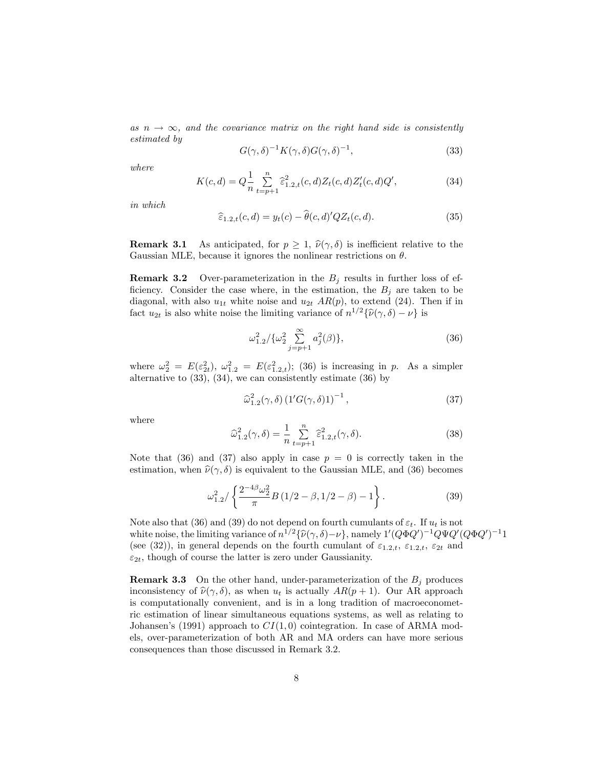as  $n \to \infty$ , and the covariance matrix on the right hand side is consistently estimated by

$$
G(\gamma,\delta)^{-1}K(\gamma,\delta)G(\gamma,\delta)^{-1},\tag{33}
$$

where

$$
K(c,d) = Q \frac{1}{n} \sum_{t=p+1}^{n} \widehat{\epsilon}_{1,2,t}^{2}(c,d) Z_{t}(c,d) Z_{t}'(c,d) Q',
$$
\n(34)

in which

$$
\widehat{\varepsilon}_{1,2,t}(c,d) = y_t(c) - \widehat{\theta}(c,d)'QZ_t(c,d). \tag{35}
$$

**Remark 3.1** As anticipated, for  $p \geq 1$ ,  $\hat{\nu}(\gamma, \delta)$  is inefficient relative to the Gaussian MLE, because it ignores the nonlinear restrictions on  $\theta$ .

**Remark 3.2** Over-parameterization in the  $B_i$  results in further loss of efficiency. Consider the case where, in the estimation, the  $B_j$  are taken to be diagonal, with also  $u_{1t}$  white noise and  $u_{2t}$  AR(p), to extend (24). Then if in fact  $u_{2t}$  is also white noise the limiting variance of  $n^{1/2}\{\hat{\nu}(\gamma,\delta)-\nu\}$  is

$$
\omega_{1.2}^2 / \{\omega_2^2 \sum_{j=p+1}^{\infty} a_j^2(\beta)\},\tag{36}
$$

where  $\omega_2^2 = E(\varepsilon_{2t}^2), \ \omega_{1,2}^2 = E(\varepsilon_{1,2,t}^2);$  (36) is increasing in p. As a simpler alternative to (33), (34), we can consistently estimate (36) by

$$
\widehat{\omega}_{1.2}^2(\gamma,\delta) \left(1'G(\gamma,\delta)1\right)^{-1},\tag{37}
$$

where

$$
\widehat{\omega}_{1,2}^2(\gamma,\delta) = \frac{1}{n} \sum_{t=p+1}^n \widehat{\varepsilon}_{1,2,t}^2(\gamma,\delta). \tag{38}
$$

Note that (36) and (37) also apply in case  $p = 0$  is correctly taken in the estimation, when  $\hat{\nu}(\gamma, \delta)$  is equivalent to the Gaussian MLE, and (36) becomes

$$
\omega_{1.2}^2 / \left\{ \frac{2^{-4\beta} \omega_2^2}{\pi} B \left( 1/2 - \beta, 1/2 - \beta \right) - 1 \right\}.
$$
 (39)

Note also that (36) and (39) do not depend on fourth cumulants of  $\varepsilon_t$ . If  $u_t$  is not white noise, the limiting variance of  $n^{1/2}\{\hat{\nu}(\gamma,\delta)-\nu\}$ , namely  $1'(Q\Phi Q')^{-1}Q\Psi Q'(Q\Phi Q')^{-1}1$ (see (32)), in general depends on the fourth cumulant of  $\varepsilon_{1,2,t}$ ,  $\varepsilon_{1,2,t}$ ,  $\varepsilon_{2t}$  and  $\varepsilon_{2t}$ , though of course the latter is zero under Gaussianity.

**Remark 3.3** On the other hand, under-parameterization of the  $B_i$  produces inconsistency of  $\hat{\nu}(\gamma,\delta)$ , as when  $u_t$  is actually  $AR(p+1)$ . Our AR approach is computationally convenient, and is in a long tradition of macroeconometric estimation of linear simultaneous equations systems, as well as relating to Johansen's (1991) approach to  $CI(1,0)$  cointegration. In case of ARMA models, over-parameterization of both AR and MA orders can have more serious consequences than those discussed in Remark 3.2.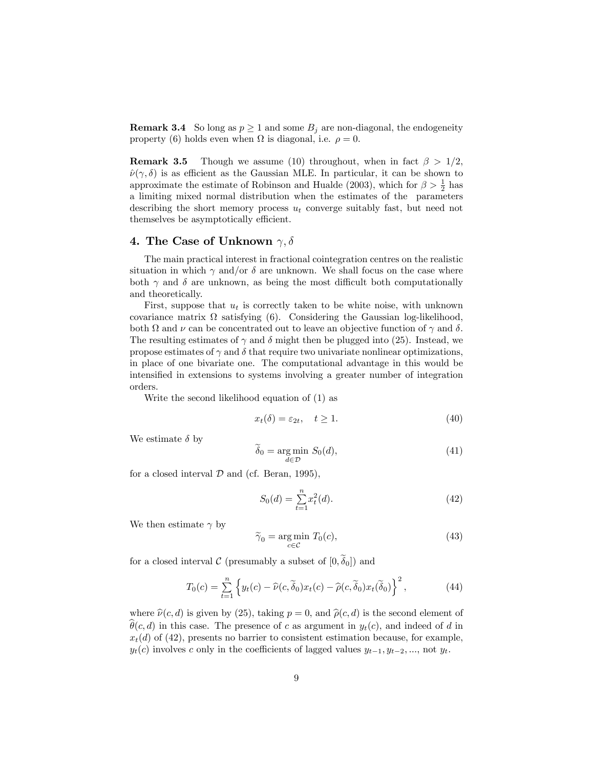**Remark 3.4** So long as  $p \ge 1$  and some  $B_j$  are non-diagonal, the endogeneity property (6) holds even when  $\Omega$  is diagonal, i.e.  $\rho = 0$ .

**Remark 3.5** Though we assume (10) throughout, when in fact  $\beta > 1/2$ ,  $\hat{\nu}(\gamma, \delta)$  is as efficient as the Gaussian MLE. In particular, it can be shown to approximate the estimate of Robinson and Hualde (2003), which for  $\beta > \frac{1}{2}$  has a limiting mixed normal distribution when the estimates of the parameters describing the short memory process  $u_t$  converge suitably fast, but need not themselves be asymptotically efficient.

## 4. The Case of Unknown  $\gamma, \delta$

The main practical interest in fractional cointegration centres on the realistic situation in which  $\gamma$  and/or  $\delta$  are unknown. We shall focus on the case where both  $\gamma$  and  $\delta$  are unknown, as being the most difficult both computationally and theoretically.

First, suppose that  $u_t$  is correctly taken to be white noise, with unknown covariance matrix  $\Omega$  satisfying (6). Considering the Gaussian log-likelihood, both  $\Omega$  and  $\nu$  can be concentrated out to leave an objective function of  $\gamma$  and  $\delta$ . The resulting estimates of  $\gamma$  and  $\delta$  might then be plugged into (25). Instead, we propose estimates of  $\gamma$  and  $\delta$  that require two univariate nonlinear optimizations, in place of one bivariate one. The computational advantage in this would be intensified in extensions to systems involving a greater number of integration orders.

Write the second likelihood equation of (1) as

$$
x_t(\delta) = \varepsilon_{2t}, \quad t \ge 1. \tag{40}
$$

We estimate  $\delta$  by

$$
\widetilde{\delta}_0 = \underset{d \in \mathcal{D}}{\text{arg min}} \ S_0(d),\tag{41}
$$

for a closed interval  $D$  and (cf. Beran, 1995),

$$
S_0(d) = \sum_{t=1}^{n} x_t^2(d). \tag{42}
$$

We then estimate  $\gamma$  by

$$
\widetilde{\gamma}_0 = \underset{c \in \mathcal{C}}{\text{arg min}} \ T_0(c),\tag{43}
$$

for a closed interval C (presumably a subset of  $[0,\tilde{\delta}_0]$ ) and

$$
T_0(c) = \sum_{t=1}^n \left\{ y_t(c) - \widehat{\nu}(c, \widetilde{\delta}_0) x_t(c) - \widehat{\rho}(c, \widetilde{\delta}_0) x_t(\widetilde{\delta}_0) \right\}^2, \tag{44}
$$

where  $\hat{\nu}(c, d)$  is given by (25), taking  $p = 0$ , and  $\hat{\rho}(c, d)$  is the second element of  $\widehat{\theta}(c, d)$  in this case. The presence of c as argument in  $y_t(c)$ , and indeed of d in  $x_t(d)$  of (42), presents no barrier to consistent estimation because, for example,  $y_t(c)$  involves c only in the coefficients of lagged values  $y_{t-1}, y_{t-2}, ...,$  not  $y_t$ .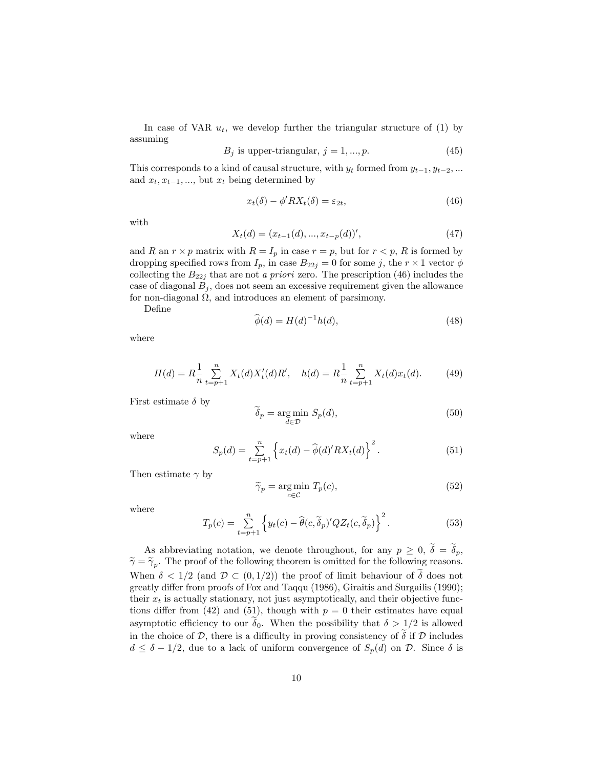In case of VAR  $u_t$ , we develop further the triangular structure of (1) by assuming

$$
B_j \text{ is upper-triangular, } j = 1, ..., p. \tag{45}
$$

This corresponds to a kind of causal structure, with  $y_t$  formed from  $y_{t-1}, y_{t-2}, ...$ and  $x_t, x_{t-1}, \ldots$ , but  $x_t$  being determined by

$$
x_t(\delta) - \phi' RX_t(\delta) = \varepsilon_{2t},\tag{46}
$$

with

$$
X_t(d) = (x_{t-1}(d), ..., x_{t-p}(d))',
$$
\n(47)

and R an  $r \times p$  matrix with  $R = I_p$  in case  $r = p$ , but for  $r < p$ , R is formed by dropping specified rows from  $I_p$ , in case  $B_{22j} = 0$  for some j, the  $r \times 1$  vector  $\phi$ collecting the  $B_{22j}$  that are not a priori zero. The prescription (46) includes the case of diagonal  $B_j$ , does not seem an excessive requirement given the allowance for non-diagonal  $\Omega$ , and introduces an element of parsimony.

DeÖne

$$
\widehat{\phi}(d) = H(d)^{-1}h(d),\tag{48}
$$

where

$$
H(d) = R\frac{1}{n}\sum_{t=p+1}^{n} X_t(d)X'_t(d)R', \quad h(d) = R\frac{1}{n}\sum_{t=p+1}^{n} X_t(d)x_t(d). \tag{49}
$$

First estimate  $\delta$  by

$$
\widetilde{\delta}_p = \underset{d \in \mathcal{D}}{\text{arg min }} S_p(d),\tag{50}
$$

where

$$
S_p(d) = \sum_{t=p+1}^{n} \left\{ x_t(d) - \hat{\phi}(d)' R X_t(d) \right\}^2.
$$
 (51)

Then estimate  $\gamma$  by

$$
\widetilde{\gamma}_p = \underset{c \in \mathcal{C}}{\text{arg min}} \ T_p(c),\tag{52}
$$

where

$$
T_p(c) = \sum_{t=p+1}^n \left\{ y_t(c) - \widehat{\theta}(c, \widetilde{\delta}_p)' Q Z_t(c, \widetilde{\delta}_p) \right\}^2.
$$
 (53)

As abbreviating notation, we denote throughout, for any  $p \geq 0$ ,  $\tilde{\delta} = \tilde{\delta}_p$ ,  $\widetilde{\gamma} = \widetilde{\gamma}_p$ . The proof of the following theorem is omitted for the following reasons. When  $\delta < 1/2$  (and  $\mathcal{D} \subset (0, 1/2)$ ) the proof of limit behaviour of  $\delta$  does not greatly differ from proofs of Fox and Taqqu (1986), Giraitis and Surgailis (1990); their  $x_t$  is actually stationary, not just asymptotically, and their objective functions differ from (42) and (51), though with  $p = 0$  their estimates have equal asymptotic efficiency to our  $\delta_0$ . When the possibility that  $\delta > 1/2$  is allowed in the choice of  $\mathcal D$ , there is a difficulty in proving consistency of  $\tilde{\delta}$  if  $\mathcal D$  includes  $d \leq \delta - 1/2$ , due to a lack of uniform convergence of  $S_p(d)$  on D. Since  $\delta$  is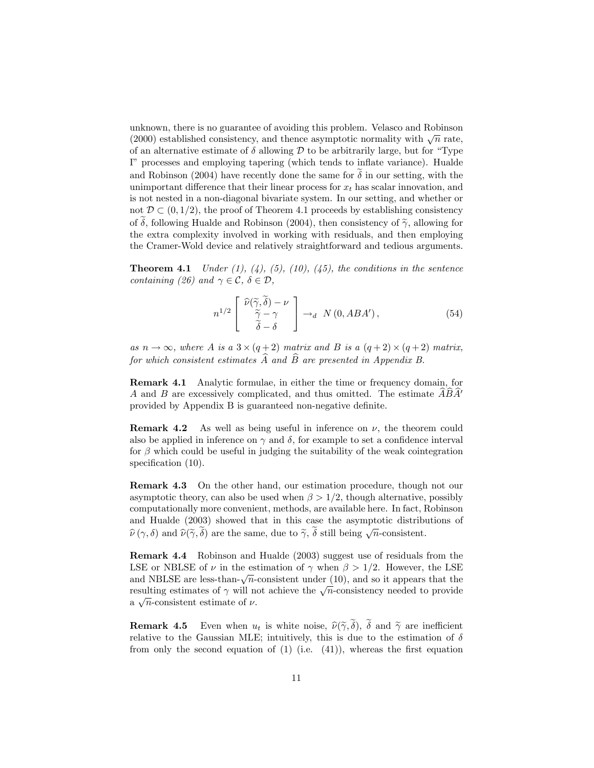unknown, there is no guarantee of avoiding this problem. Velasco and Robinson (2000) established consistency, and thence asymptotic normality with  $\sqrt{n}$  rate, of an alternative estimate of  $\delta$  allowing  $\mathcal D$  to be arbitrarily large, but for "Type Iî processes and employing tapering (which tends to ináate variance). Hualde and Robinson (2004) have recently done the same for  $\delta$  in our setting, with the unimportant difference that their linear process for  $x_t$  has scalar innovation, and is not nested in a non-diagonal bivariate system. In our setting, and whether or not  $\mathcal{D} \subset (0, 1/2)$ , the proof of Theorem 4.1 proceeds by establishing consistency of  $\delta$ , following Hualde and Robinson (2004), then consistency of  $\tilde{\gamma}$ , allowing for the extra complexity involved in working with residuals, and then employing the Cramer-Wold device and relatively straightforward and tedious arguments.

**Theorem 4.1** Under  $(1)$ ,  $(4)$ ,  $(5)$ ,  $(10)$ ,  $(45)$ , the conditions in the sentence containing (26) and  $\gamma \in \mathcal{C}, \delta \in \mathcal{D},$ 

$$
n^{1/2} \begin{bmatrix} \widehat{\nu}(\widetilde{\gamma}, \widetilde{\delta}) - \nu \\ \widetilde{\gamma} - \gamma \\ \widetilde{\delta} - \delta \end{bmatrix} \to_d N(0, ABA'), \tag{54}
$$

as  $n \to \infty$ , where A is a  $3 \times (q+2)$  matrix and B is a  $(q+2) \times (q+2)$  matrix, for which consistent estimates  $\widehat{A}$  and  $\widehat{B}$  are presented in Appendix B.

Remark 4.1 Analytic formulae, in either the time or frequency domain, for A and B are excessively complicated, and thus omitted. The estimate  $\overrightarrow{ABA'}$ provided by Appendix B is guaranteed non-negative definite.

**Remark 4.2** As well as being useful in inference on  $\nu$ , the theorem could also be applied in inference on  $\gamma$  and  $\delta$ , for example to set a confidence interval for  $\beta$  which could be useful in judging the suitability of the weak cointegration specification  $(10)$ .

Remark 4.3 On the other hand, our estimation procedure, though not our asymptotic theory, can also be used when  $\beta > 1/2$ , though alternative, possibly computationally more convenient, methods, are available here. In fact, Robinson and Hualde (2003) showed that in this case the asymptotic distributions of  $\widehat{\nu}(\gamma,\delta)$  and  $\widehat{\nu}(\widetilde{\gamma},\widetilde{\delta})$  are the same, due to  $\widetilde{\gamma},\widetilde{\delta}$  still being  $\sqrt{n}$ -consistent.

Remark 4.4 Robinson and Hualde (2003) suggest use of residuals from the LSE or NBLSE of  $\nu$  in the estimation of  $\gamma$  when  $\beta > 1/2$ . However, the LSE and NBLSE are less-than- $\sqrt{n}$ -consistent under (10), and so it appears that the resulting estimates of  $\gamma$  will not achieve the  $\sqrt{n}$ -consistency needed to provide a  $\sqrt{n}$ -consistent estimate of  $\nu$ .

**Remark 4.5** Even when  $u_t$  is white noise,  $\hat{\nu}(\tilde{\gamma}, \tilde{\delta})$ ,  $\tilde{\delta}$  and  $\tilde{\gamma}$  are inefficient relative to the Gaussian MLE; intuitively, this is due to the estimation of  $\delta$ from only the second equation of  $(1)$  (i.e.  $(41)$ ), whereas the first equation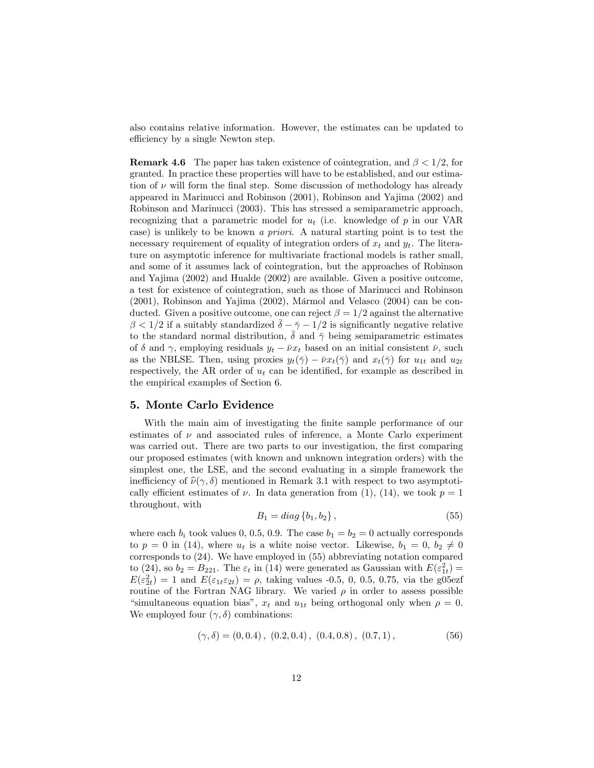also contains relative information. However, the estimates can be updated to efficiency by a single Newton step.

**Remark 4.6** The paper has taken existence of cointegration, and  $\beta < 1/2$ , for granted. In practice these properties will have to be established, and our estimation of  $\nu$  will form the final step. Some discussion of methodology has already appeared in Marinucci and Robinson (2001), Robinson and Yajima (2002) and Robinson and Marinucci (2003). This has stressed a semiparametric approach, recognizing that a parametric model for  $u_t$  (i.e. knowledge of p in our VAR case) is unlikely to be known a priori. A natural starting point is to test the necessary requirement of equality of integration orders of  $x_t$  and  $y_t$ . The literature on asymptotic inference for multivariate fractional models is rather small, and some of it assumes lack of cointegration, but the approaches of Robinson and Yajima (2002) and Hualde (2002) are available. Given a positive outcome, a test for existence of cointegration, such as those of Marinucci and Robinson  $(2001)$ , Robinson and Yajima  $(2002)$ , Mármol and Velasco  $(2004)$  can be conducted. Given a positive outcome, one can reject  $\beta = 1/2$  against the alternative  $\beta < 1/2$  if a suitably standardized  $\bar{\delta} - \bar{\gamma} - 1/2$  is significantly negative relative to the standard normal distribution,  $\bar{\delta}$  and  $\bar{\gamma}$  being semiparametric estimates of  $\delta$  and  $\gamma$ , employing residuals  $y_t - \bar{\nu}x_t$  based on an initial consistent  $\bar{\nu}$ , such as the NBLSE. Then, using proxies  $y_t(\bar{z}) - \bar{\nu}x_t(\bar{z})$  and  $x_t(\bar{z})$  for  $u_{1t}$  and  $u_{2t}$ respectively, the AR order of  $u_t$  can be identified, for example as described in the empirical examples of Section 6.

## 5. Monte Carlo Evidence

With the main aim of investigating the finite sample performance of our estimates of  $\nu$  and associated rules of inference, a Monte Carlo experiment was carried out. There are two parts to our investigation, the first comparing our proposed estimates (with known and unknown integration orders) with the simplest one, the LSE, and the second evaluating in a simple framework the inefficiency of  $\hat{\nu}(\gamma, \delta)$  mentioned in Remark 3.1 with respect to two asymptotically efficient estimates of  $\nu$ . In data generation from (1), (14), we took  $p = 1$ throughout, with

$$
B_1 = diag\{b_1, b_2\},\tag{55}
$$

where each  $b_i$  took values 0, 0.5, 0.9. The case  $b_1 = b_2 = 0$  actually corresponds to  $p = 0$  in (14), where  $u_t$  is a white noise vector. Likewise,  $b_1 = 0, b_2 \neq 0$ corresponds to (24). We have employed in (55) abbreviating notation compared to (24), so  $b_2 = B_{221}$ . The  $\varepsilon_t$  in (14) were generated as Gaussian with  $E(\varepsilon_{1t}^2) =$  $E(\varepsilon_{2t}^2) = 1$  and  $E(\varepsilon_{1t}\varepsilon_{2t}) = \rho$ , taking values -0.5, 0, 0.5, 0.75, via the g05ezf routine of the Fortran NAG library. We varied  $\rho$  in order to assess possible "simultaneous equation bias",  $x_t$  and  $u_{1t}$  being orthogonal only when  $\rho = 0$ . We employed four  $(\gamma, \delta)$  combinations:

$$
(\gamma, \delta) = (0, 0.4), (0.2, 0.4), (0.4, 0.8), (0.7, 1), \tag{56}
$$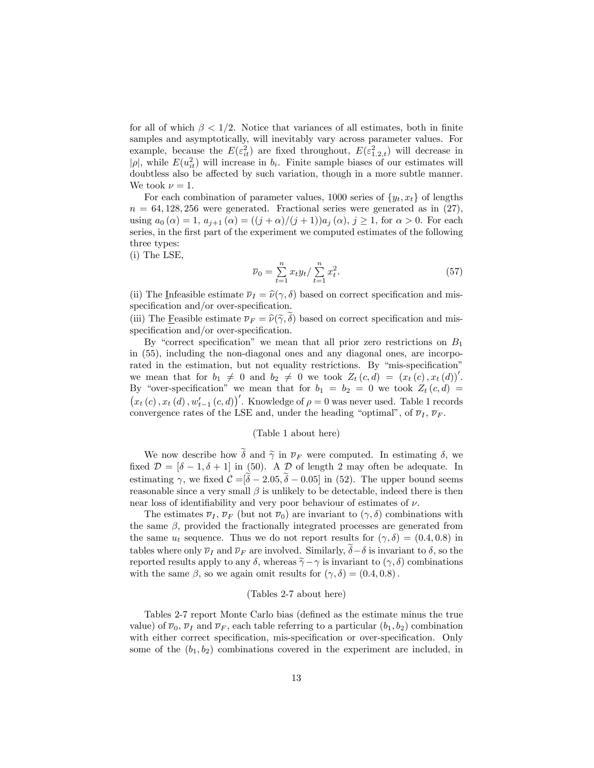for all of which  $\beta < 1/2$ . Notice that variances of all estimates, both in finite samples and asymptotically, will inevitably vary across parameter values. For example, because the  $E(\varepsilon_{it}^2)$  are fixed throughout,  $E(\varepsilon_{1,2,t}^2)$  will decrease in | $\rho$ |, while  $E(u_{it}^2)$  will increase in  $b_i$ . Finite sample biases of our estimates will doubtless also be affected by such variation, though in a more subtle manner. We took  $\nu = 1$ .

For each combination of parameter values, 1000 series of  $\{y_t, x_t\}$  of lengths  $n = 64,128,256$  were generated. Fractional series were generated as in  $(27)$ , using  $a_0(\alpha) = 1$ ,  $a_{j+1}(\alpha) = ((j + \alpha)/(j + 1))a_j(\alpha)$ ,  $j \ge 1$ , for  $\alpha > 0$ . For each series, in the first part of the experiment we computed estimates of the following three types:

(i) The LSE,

$$
\overline{\nu}_0 = \sum_{t=1}^n x_t y_t / \sum_{t=1}^n x_t^2.
$$
\n(57)

(ii) The Infeasible estimate  $\overline{\nu}_I = \hat{\nu}(\gamma, \delta)$  based on correct specification and misspecification and/or over-specification.

(iii) The Feasible estimate  $\overline{\nu}_F = \hat{\nu}(\tilde{\gamma}, \delta)$  based on correct specification and misspecification and/or over-specification.

By "correct specification" we mean that all prior zero restrictions on  $B_1$ in (55), including the non-diagonal ones and any diagonal ones, are incorporated in the estimation, but not equality restrictions. By "mis-specification" we mean that for  $b_1 \neq 0$  and  $b_2 \neq 0$  we took  $Z_t(c,d) = (x_t(c), x_t(d))'$ . By "over-specification" we mean that for  $b_1 = b_2 = 0$  we took  $Z_t(c,d) =$  $(x_t(c), x_t(d), w'_{t-1}(c, d))'$ . Knowledge of  $\rho = 0$  was never used. Table 1 records convergence rates of the LSE and, under the heading "optimal", of  $\overline{\nu}_I$ ,  $\overline{\nu}_F$ .

#### (Table 1 about here)

We now describe how  $\tilde{\delta}$  and  $\tilde{\gamma}$  in  $\overline{\nu}_F$  were computed. In estimating  $\delta$ , we fixed  $\mathcal{D} = [\delta - 1, \delta + 1]$  in (50). A  $\mathcal{D}$  of length 2 may often be adequate. In estimating  $\gamma$ , we fixed  $\mathcal{C} = [\tilde{\delta} - 2.05, \tilde{\delta} - 0.05]$  in (52). The upper bound seems reasonable since a very small  $\beta$  is unlikely to be detectable, indeed there is then near loss of identifiability and very poor behaviour of estimates of  $\nu$ .

The estimates  $\overline{\nu}_I$ ,  $\overline{\nu}_F$  (but not  $\overline{\nu}_0$ ) are invariant to  $(\gamma, \delta)$  combinations with the same  $\beta$ , provided the fractionally integrated processes are generated from the same  $u_t$  sequence. Thus we do not report results for  $(\gamma, \delta) = (0.4, 0.8)$  in tables where only  $\overline{\nu}_I$  and  $\overline{\nu}_F$  are involved. Similarly,  $\delta-\delta$  is invariant to  $\delta$ , so the reported results apply to any  $\delta$ , whereas  $\tilde{\gamma} - \gamma$  is invariant to  $(\gamma, \delta)$  combinations with the same  $\beta$ , so we again omit results for  $(\gamma, \delta) = (0.4, 0.8)$ .

#### (Tables 2-7 about here)

Tables 2-7 report Monte Carlo bias (defined as the estimate minus the true value) of  $\overline{\nu}_0$ ,  $\overline{\nu}_I$  and  $\overline{\nu}_F$ , each table referring to a particular  $(b_1, b_2)$  combination with either correct specification, mis-specification or over-specification. Only some of the  $(b_1, b_2)$  combinations covered in the experiment are included, in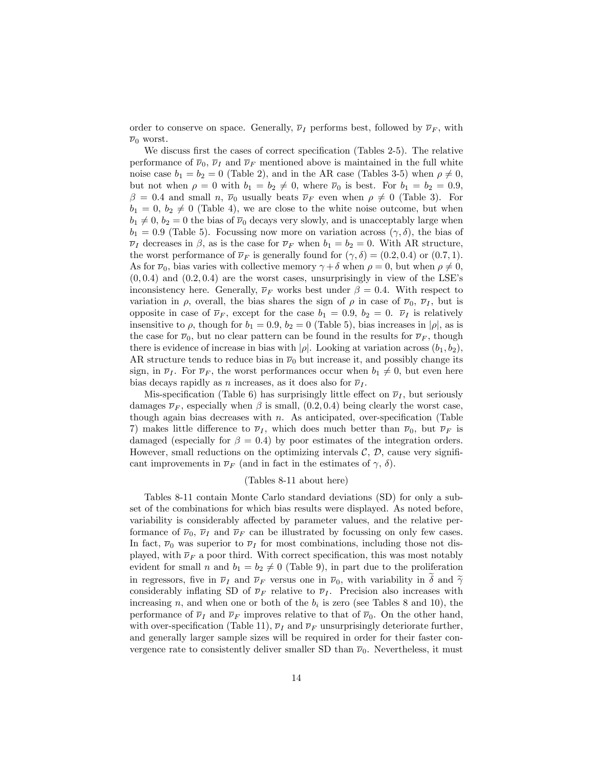order to conserve on space. Generally,  $\overline{\nu}_I$  performs best, followed by  $\overline{\nu}_F$ , with  $\overline{\nu}_0$  worst.

We discuss first the cases of correct specification (Tables  $2-5$ ). The relative performance of  $\overline{\nu}_0$ ,  $\overline{\nu}_I$  and  $\overline{\nu}_F$  mentioned above is maintained in the full white noise case  $b_1 = b_2 = 0$  (Table 2), and in the AR case (Tables 3-5) when  $\rho \neq 0$ , but not when  $\rho = 0$  with  $b_1 = b_2 \neq 0$ , where  $\overline{\nu}_0$  is best. For  $b_1 = b_2 = 0.9$ ,  $\beta = 0.4$  and small n,  $\overline{\nu}_0$  usually beats  $\overline{\nu}_F$  even when  $\rho \neq 0$  (Table 3). For  $b_1 = 0, b_2 \neq 0$  (Table 4), we are close to the white noise outcome, but when  $b_1 \neq 0, b_2 = 0$  the bias of  $\overline{\nu}_0$  decays very slowly, and is unacceptably large when  $b_1 = 0.9$  (Table 5). Focussing now more on variation across  $(\gamma, \delta)$ , the bias of  $\overline{\nu}_I$  decreases in  $\beta$ , as is the case for  $\overline{\nu}_F$  when  $b_1 = b_2 = 0$ . With AR structure, the worst performance of  $\overline{\nu}_F$  is generally found for  $(\gamma, \delta) = (0.2, 0.4)$  or  $(0.7, 1)$ . As for  $\overline{\nu}_0$ , bias varies with collective memory  $\gamma + \delta$  when  $\rho = 0$ , but when  $\rho \neq 0$ ,  $(0, 0.4)$  and  $(0.2, 0.4)$  are the worst cases, unsurprisingly in view of the LSE's inconsistency here. Generally,  $\overline{\nu}_F$  works best under  $\beta = 0.4$ . With respect to variation in  $\rho$ , overall, the bias shares the sign of  $\rho$  in case of  $\overline{\nu}_0$ ,  $\overline{\nu}_I$ , but is opposite in case of  $\overline{\nu}_F$ , except for the case  $b_1 = 0.9$ ,  $b_2 = 0$ .  $\overline{\nu}_I$  is relatively insensitive to  $\rho$ , though for  $b_1 = 0.9$ ,  $b_2 = 0$  (Table 5), bias increases in  $|\rho|$ , as is the case for  $\overline{\nu}_0$ , but no clear pattern can be found in the results for  $\overline{\nu}_F$ , though there is evidence of increase in bias with  $|\rho|$ . Looking at variation across  $(b_1, b_2)$ , AR structure tends to reduce bias in  $\overline{\nu}_0$  but increase it, and possibly change its sign, in  $\overline{\nu}_I$ . For  $\overline{\nu}_F$ , the worst performances occur when  $b_1 \neq 0$ , but even here bias decays rapidly as n increases, as it does also for  $\overline{\nu}_I$ .

Mis-specification (Table 6) has surprisingly little effect on  $\overline{\nu}_I$ , but seriously damages  $\overline{\nu}_F$ , especially when  $\beta$  is small, (0.2, 0.4) being clearly the worst case, though again bias decreases with  $n$ . As anticipated, over-specification (Table 7) makes little difference to  $\overline{\nu}_I$ , which does much better than  $\overline{\nu}_0$ , but  $\overline{\nu}_F$  is damaged (especially for  $\beta = 0.4$ ) by poor estimates of the integration orders. However, small reductions on the optimizing intervals  $C, D$ , cause very significant improvements in  $\overline{\nu}_F$  (and in fact in the estimates of  $\gamma$ ,  $\delta$ ).

#### (Tables 8-11 about here)

Tables 8-11 contain Monte Carlo standard deviations (SD) for only a subset of the combinations for which bias results were displayed. As noted before, variability is considerably affected by parameter values, and the relative performance of  $\overline{\nu}_0$ ,  $\overline{\nu}_I$  and  $\overline{\nu}_F$  can be illustrated by focussing on only few cases. In fact,  $\overline{\nu}_0$  was superior to  $\overline{\nu}_I$  for most combinations, including those not displayed, with  $\overline{\nu}_F$  a poor third. With correct specification, this was most notably evident for small n and  $b_1 = b_2 \neq 0$  (Table 9), in part due to the proliferation in regressors, five in  $\overline{\nu}_I$  and  $\overline{\nu}_F$  versus one in  $\overline{\nu}_0$ , with variability in  $\delta$  and  $\widetilde{\gamma}$ considerably inflating SD of  $\overline{\nu}_F$  relative to  $\overline{\nu}_I$ . Precision also increases with increasing n, and when one or both of the  $b_i$  is zero (see Tables 8 and 10), the performance of  $\overline{\nu}_I$  and  $\overline{\nu}_F$  improves relative to that of  $\overline{\nu}_0$ . On the other hand, with over-specification (Table 11),  $\bar{\nu}_I$  and  $\bar{\nu}_F$  unsurprisingly deteriorate further, and generally larger sample sizes will be required in order for their faster convergence rate to consistently deliver smaller SD than  $\overline{\nu}_0$ . Nevertheless, it must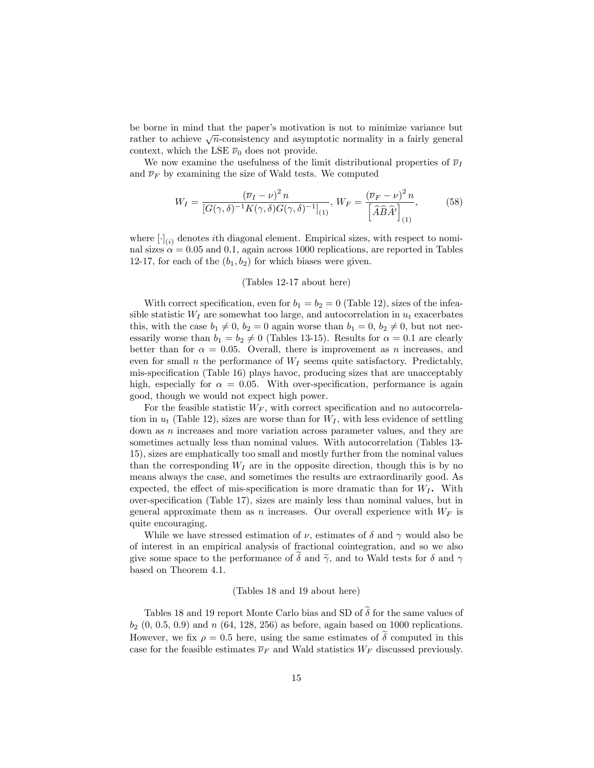be borne in mind that the paperís motivation is not to minimize variance but rather to achieve  $\sqrt{n}$ -consistency and asymptotic normality in a fairly general context, which the LSE  $\overline{\nu}_0$  does not provide.

We now examine the usefulness of the limit distributional properties of  $\overline{\nu}_I$ and  $\overline{\nu}_F$  by examining the size of Wald tests. We computed

$$
W_I = \frac{(\overline{\nu}_I - \nu)^2 n}{[G(\gamma, \delta)^{-1}K(\gamma, \delta)G(\gamma, \delta)^{-1}]_{(1)}}, \ W_F = \frac{(\overline{\nu}_F - \nu)^2 n}{[\widehat{A}\widehat{B}\widehat{A}']_{(1)}},\tag{58}
$$

where  $[\cdot]_{(i)}$  denotes *i*th diagonal element. Empirical sizes, with respect to nominal sizes  $\alpha = 0.05$  and 0.1, again across 1000 replications, are reported in Tables 12-17, for each of the  $(b_1, b_2)$  for which biases were given.

#### (Tables 12-17 about here)

With correct specification, even for  $b_1 = b_2 = 0$  (Table 12), sizes of the infeasible statistic  $W_I$  are somewhat too large, and autocorrelation in  $u_t$  exacerbates this, with the case  $b_1 \neq 0$ ,  $b_2 = 0$  again worse than  $b_1 = 0$ ,  $b_2 \neq 0$ , but not necessarily worse than  $b_1 = b_2 \neq 0$  (Tables 13-15). Results for  $\alpha = 0.1$  are clearly better than for  $\alpha = 0.05$ . Overall, there is improvement as n increases, and even for small n the performance of  $W_I$  seems quite satisfactory. Predictably, mis-specification (Table 16) plays havoc, producing sizes that are unacceptably high, especially for  $\alpha = 0.05$ . With over-specification, performance is again good, though we would not expect high power.

For the feasible statistic  $W_F$ , with correct specification and no autocorrelation in  $u_t$  (Table 12), sizes are worse than for  $W_I$ , with less evidence of settling down as *n* increases and more variation across parameter values, and they are sometimes actually less than nominal values. With autocorrelation (Tables 13- 15), sizes are emphatically too small and mostly further from the nominal values than the corresponding  $W_I$  are in the opposite direction, though this is by no means always the case, and sometimes the results are extraordinarily good. As expected, the effect of mis-specification is more dramatic than for  $W_I$ . With over-specification (Table 17), sizes are mainly less than nominal values, but in general approximate them as n increases. Our overall experience with  $W_F$  is quite encouraging.

While we have stressed estimation of  $\nu$ , estimates of  $\delta$  and  $\gamma$  would also be of interest in an empirical analysis of fractional cointegration, and so we also give some space to the performance of  $\delta$  and  $\tilde{\gamma}$ , and to Wald tests for  $\delta$  and  $\gamma$ based on Theorem 4.1.

#### (Tables 18 and 19 about here)

Tables 18 and 19 report Monte Carlo bias and SD of  $\tilde{\delta}$  for the same values of  $b_2$  (0, 0.5, 0.9) and n (64, 128, 256) as before, again based on 1000 replications. However, we fix  $\rho = 0.5$  here, using the same estimates of  $\delta$  computed in this case for the feasible estimates  $\overline{\nu}_F$  and Wald statistics  $W_F$  discussed previously.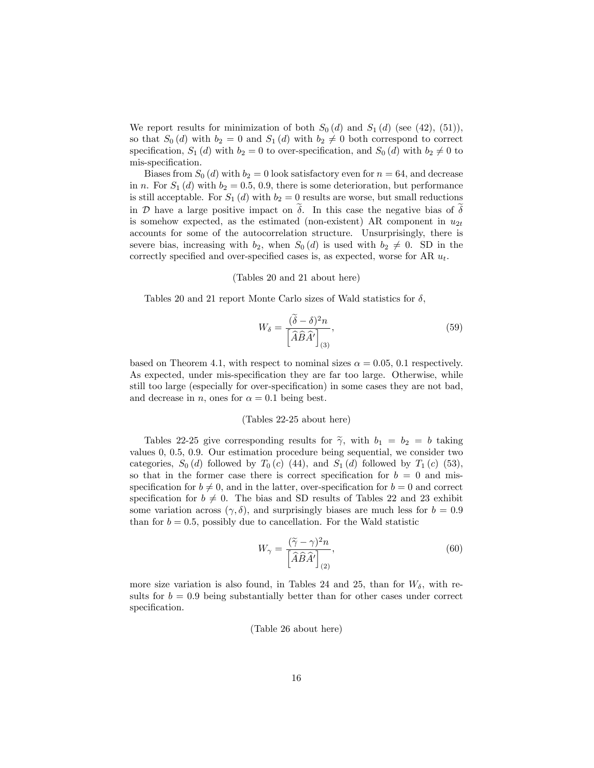We report results for minimization of both  $S_0(d)$  and  $S_1(d)$  (see (42), (51)), so that  $S_0(d)$  with  $b_2 = 0$  and  $S_1(d)$  with  $b_2 \neq 0$  both correspond to correct specification,  $S_1(d)$  with  $b_2 = 0$  to over-specification, and  $S_0(d)$  with  $b_2 \neq 0$  to mis-specification.

Biases from  $S_0(d)$  with  $b_2 = 0$  look satisfactory even for  $n = 64$ , and decrease in n. For  $S_1(d)$  with  $b_2 = 0.5, 0.9$ , there is some deterioration, but performance is still acceptable. For  $S_1(d)$  with  $b_2 = 0$  results are worse, but small reductions in  $\mathcal D$  have a large positive impact on  $\tilde{\delta}$ . In this case the negative bias of  $\tilde{\delta}$ is somehow expected, as the estimated (non-existent) AR component in  $u_{2t}$ accounts for some of the autocorrelation structure. Unsurprisingly, there is severe bias, increasing with  $b_2$ , when  $S_0(d)$  is used with  $b_2 \neq 0$ . SD in the correctly specified and over-specified cases is, as expected, worse for AR  $u_t$ .

#### (Tables 20 and 21 about here)

Tables 20 and 21 report Monte Carlo sizes of Wald statistics for  $\delta$ ,

$$
W_{\delta} = \frac{(\tilde{\delta} - \delta)^2 n}{\left[\hat{A}\hat{B}\hat{A}'\right]_{(3)}},\tag{59}
$$

based on Theorem 4.1, with respect to nominal sizes  $\alpha = 0.05, 0.1$  respectively. As expected, under mis-specification they are far too large. Otherwise, while still too large (especially for over-specification) in some cases they are not bad, and decrease in n, ones for  $\alpha = 0.1$  being best.

#### (Tables 22-25 about here)

Tables 22-25 give corresponding results for  $\tilde{\gamma}$ , with  $b_1 = b_2 = b$  taking values 0, 0.5, 0.9. Our estimation procedure being sequential, we consider two categories,  $S_0(d)$  followed by  $T_0(c)$  (44), and  $S_1(d)$  followed by  $T_1(c)$  (53), so that in the former case there is correct specification for  $b = 0$  and misspecification for  $b \neq 0$ , and in the latter, over-specification for  $b = 0$  and correct specification for  $b \neq 0$ . The bias and SD results of Tables 22 and 23 exhibit some variation across  $(\gamma, \delta)$ , and surprisingly biases are much less for  $b = 0.9$ than for  $b = 0.5$ , possibly due to cancellation. For the Wald statistic

$$
W_{\gamma} = \frac{(\tilde{\gamma} - \gamma)^2 n}{\left[\hat{A}\hat{B}\hat{A}'\right]_{(2)}},\tag{60}
$$

more size variation is also found, in Tables 24 and 25, than for  $W_{\delta}$ , with results for  $b = 0.9$  being substantially better than for other cases under correct specification.

(Table 26 about here)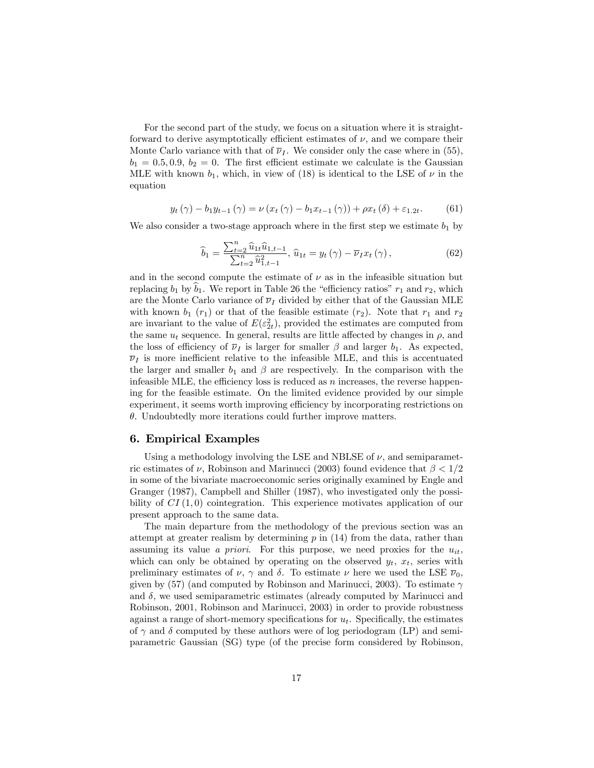For the second part of the study, we focus on a situation where it is straightforward to derive asymptotically efficient estimates of  $\nu$ , and we compare their Monte Carlo variance with that of  $\overline{\nu}_l$ . We consider only the case where in (55),  $b_1 = 0.5, 0.9, b_2 = 0$ . The first efficient estimate we calculate is the Gaussian MLE with known  $b_1$ , which, in view of (18) is identical to the LSE of  $\nu$  in the equation

$$
y_{t}(\gamma) - b_{1}y_{t-1}(\gamma) = \nu(x_{t}(\gamma) - b_{1}x_{t-1}(\gamma)) + \rho x_{t}(\delta) + \varepsilon_{1.2t}.
$$
 (61)

We also consider a two-stage approach where in the first step we estimate  $b_1$  by

$$
\hat{b}_1 = \frac{\sum_{t=2}^n \hat{u}_{1t} \hat{u}_{1,t-1}}{\sum_{t=2}^n \hat{u}_{1,t-1}^2}, \ \hat{u}_{1t} = y_t(\gamma) - \overline{\nu}_I x_t(\gamma), \tag{62}
$$

and in the second compute the estimate of  $\nu$  as in the infeasible situation but replacing  $b_1$  by  $b_1$ . We report in Table 26 the "efficiency ratios"  $r_1$  and  $r_2$ , which are the Monte Carlo variance of  $\overline{\nu}_I$  divided by either that of the Gaussian MLE with known  $b_1$  ( $r_1$ ) or that of the feasible estimate ( $r_2$ ). Note that  $r_1$  and  $r_2$ are invariant to the value of  $E(\varepsilon_{2t}^2)$ , provided the estimates are computed from the same  $u_t$  sequence. In general, results are little affected by changes in  $\rho$ , and the loss of efficiency of  $\overline{\nu}_I$  is larger for smaller  $\beta$  and larger  $b_1$ . As expected,  $\overline{\nu}_I$  is more inefficient relative to the infeasible MLE, and this is accentuated the larger and smaller  $b_1$  and  $\beta$  are respectively. In the comparison with the infeasible MLE, the efficiency loss is reduced as  $n$  increases, the reverse happening for the feasible estimate. On the limited evidence provided by our simple experiment, it seems worth improving efficiency by incorporating restrictions on  $\theta$ . Undoubtedly more iterations could further improve matters.

## 6. Empirical Examples

Using a methodology involving the LSE and NBLSE of  $\nu$ , and semiparametric estimates of  $\nu$ , Robinson and Marinucci (2003) found evidence that  $\beta < 1/2$ in some of the bivariate macroeconomic series originally examined by Engle and Granger (1987), Campbell and Shiller (1987), who investigated only the possibility of  $CI(1,0)$  cointegration. This experience motivates application of our present approach to the same data.

The main departure from the methodology of the previous section was an attempt at greater realism by determining  $p$  in  $(14)$  from the data, rather than assuming its value a priori. For this purpose, we need proxies for the  $u_{it}$ , which can only be obtained by operating on the observed  $y_t$ ,  $x_t$ , series with preliminary estimates of  $\nu$ ,  $\gamma$  and  $\delta$ . To estimate  $\nu$  here we used the LSE  $\overline{\nu}_0$ , given by (57) (and computed by Robinson and Marinucci, 2003). To estimate  $\gamma$ and  $\delta$ , we used semiparametric estimates (already computed by Marinucci and Robinson, 2001, Robinson and Marinucci, 2003) in order to provide robustness against a range of short-memory specifications for  $u_t$ . Specifically, the estimates of  $\gamma$  and  $\delta$  computed by these authors were of log periodogram (LP) and semiparametric Gaussian (SG) type (of the precise form considered by Robinson,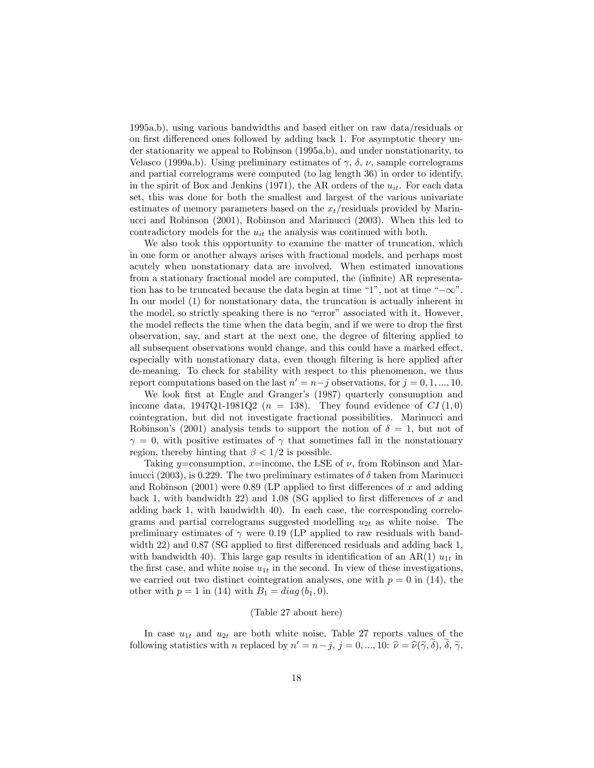1995a,b), using various bandwidths and based either on raw data/residuals or on first differenced ones followed by adding back 1. For asymptotic theory under stationarity we appeal to Robinson (1995a,b), and under nonstationarity, to Velasco (1999a,b). Using preliminary estimates of  $\gamma$ ,  $\delta$ ,  $\nu$ , sample correlograms and partial correlograms were computed (to lag length 36) in order to identify, in the spirit of Box and Jenkins (1971), the AR orders of the  $u_{it}$ . For each data set, this was done for both the smallest and largest of the various univariate estimates of memory parameters based on the  $x_t$ /residuals provided by Marinucci and Robinson (2001), Robinson and Marinucci (2003). When this led to contradictory models for the  $u_{it}$  the analysis was continued with both.

We also took this opportunity to examine the matter of truncation, which in one form or another always arises with fractional models, and perhaps most acutely when nonstationary data are involved. When estimated innovations from a stationary fractional model are computed, the (infinite) AR representation has to be truncated because the data begin at time "1", not at time " $-\infty$ ". In our model (1) for nonstationary data, the truncation is actually inherent in the model, so strictly speaking there is no "error" associated with it. However, the model reflects the time when the data begin, and if we were to drop the first observation, say, and start at the next one, the degree of filtering applied to all subsequent observations would change, and this could have a marked effect, especially with nonstationary data, even though filtering is here applied after de-meaning. To check for stability with respect to this phenomenon, we thus report computations based on the last  $n' = n - j$  observations, for  $j = 0, 1, ..., 10$ .

We look first at Engle and Granger's (1987) quarterly consumption and income data,  $1947Q1-1981Q2$  ( $n = 138$ ). They found evidence of  $CI(1,0)$ cointegration, but did not investigate fractional possibilities. Marinucci and Robinson's (2001) analysis tends to support the notion of  $\delta = 1$ , but not of  $\gamma = 0$ , with positive estimates of  $\gamma$  that sometimes fall in the nonstationary region, thereby hinting that  $\beta < 1/2$  is possible.

Taking y=consumption, x=income, the LSE of  $\nu$ , from Robinson and Marinucci (2003), is 0.229. The two preliminary estimates of  $\delta$  taken from Marinucci and Robinson  $(2001)$  were 0.89 (LP applied to first differences of x and adding back 1, with bandwidth 22) and 1.08 (SG applied to first differences of x and adding back 1, with bandwidth 40). In each case, the corresponding correlograms and partial correlograms suggested modelling  $u_{2t}$  as white noise. The preliminary estimates of  $\gamma$  were 0.19 (LP applied to raw residuals with bandwidth 22) and  $0.87$  (SG applied to first differenced residuals and adding back 1, with bandwidth 40). This large gap results in identification of an AR(1)  $u_{1t}$  in the first case, and white noise  $u_{1t}$  in the second. In view of these investigations, we carried out two distinct cointegration analyses, one with  $p = 0$  in (14), the other with  $p = 1$  in (14) with  $B_1 = diag(b_1, 0)$ .

#### (Table 27 about here)

In case  $u_{1t}$  and  $u_{2t}$  are both white noise, Table 27 reports values of the following statistics with *n* replaced by  $n' = n - j$ ,  $j = 0, ..., 10$ :  $\hat{\nu} = \hat{\nu}(\tilde{\gamma}, \delta)$ ,  $\delta$ ,  $\tilde{\gamma}$ ,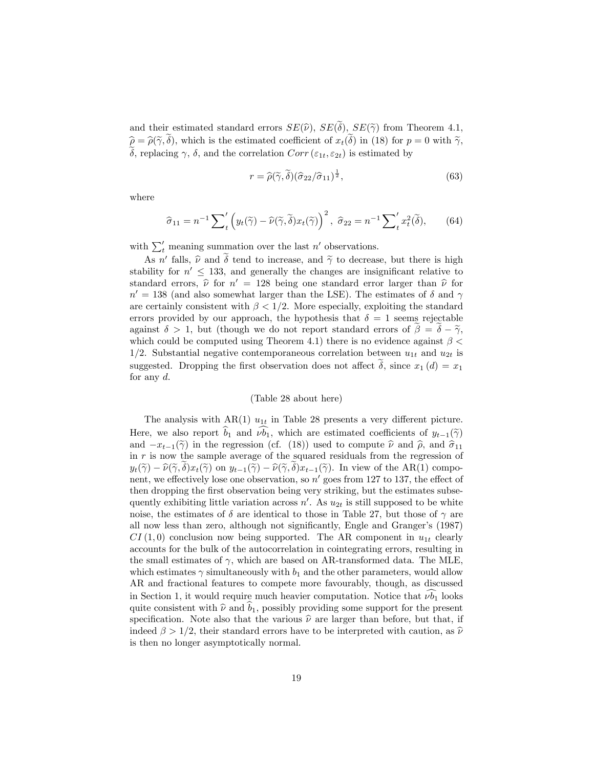and their estimated standard errors  $SE(\hat{\nu})$ ,  $SE(\tilde{\delta})$ ,  $SE(\tilde{\gamma})$  from Theorem 4.1,  $\hat{\rho} = \hat{\rho}(\tilde{\gamma}, \tilde{\delta})$ , which is the estimated coefficient of  $x_t(\tilde{\delta})$  in (18) for  $p = 0$  with  $\tilde{\gamma}$ ,  $\widetilde{\delta}$ , replacing  $\gamma$ ,  $\delta$ , and the correlation  $Corr(\varepsilon_{1t}, \varepsilon_{2t})$  is estimated by

$$
r = \widehat{\rho}(\widetilde{\gamma}, \widetilde{\delta})(\widehat{\sigma}_{22}/\widehat{\sigma}_{11})^{\frac{1}{2}},\tag{63}
$$

where

$$
\widehat{\sigma}_{11} = n^{-1} \sum_{t}^{\prime} \left( y_t(\widetilde{\gamma}) - \widehat{\nu}(\widetilde{\gamma}, \widetilde{\delta}) x_t(\widetilde{\gamma}) \right)^2, \ \widehat{\sigma}_{22} = n^{-1} \sum_{t}^{\prime} x_t^2(\widetilde{\delta}), \qquad (64)
$$

with  $\sum'_{t}$  meaning summation over the last n' observations.

As n' falls,  $\hat{\nu}$  and  $\delta$  tend to increase, and  $\tilde{\gamma}$  to decrease, but there is high stability for  $n' \leq 133$ , and generally the changes are insignificant relative to standard errors,  $\hat{\nu}$  for  $n' = 128$  being one standard error larger than  $\hat{\nu}$  for  $n' = 138$  (and also somewhat larger than the LSE). The estimates of  $\delta$  and  $\gamma$ are certainly consistent with  $\beta < 1/2$ . More especially, exploiting the standard errors provided by our approach, the hypothesis that  $\delta = 1$  seems rejectable against  $\delta > 1$ , but (though we do not report standard errors of  $\beta = \delta - \tilde{\gamma}$ , which could be computed using Theorem 4.1) there is no evidence against  $\beta$  < 1/2. Substantial negative contemporaneous correlation between  $u_{1t}$  and  $u_{2t}$  is suggested. Dropping the first observation does not affect  $\delta$ , since  $x_1(d) = x_1$ for any  $d$ .

#### (Table 28 about here)

The analysis with  $AR(1)$   $u_{1t}$  in Table 28 presents a very different picture. Here, we also report  $b_1$  and  $\nu b_1$ , which are estimated coefficients of  $y_{t-1}(\tilde{\gamma})$ and  $-x_{t-1}(\tilde{\gamma})$  in the regression (cf. (18)) used to compute  $\hat{\nu}$  and  $\hat{\rho}$ , and  $\hat{\sigma}_{11}$ in  $r$  is now the sample average of the squared residuals from the regression of  $y_t(\tilde{\gamma}) - \hat{\nu}(\tilde{\gamma}, \delta)x_t(\tilde{\gamma})$  on  $y_{t-1}(\tilde{\gamma}) - \hat{\nu}(\tilde{\gamma}, \delta)x_{t-1}(\tilde{\gamma})$ . In view of the AR(1) component, we effectively lose one observation, so  $n'$  goes from 127 to 137, the effect of then dropping the first observation being very striking, but the estimates subsequently exhibiting little variation across  $n'$ . As  $u_{2t}$  is still supposed to be white noise, the estimates of  $\delta$  are identical to those in Table 27, but those of  $\gamma$  are all now less than zero, although not significantly, Engle and Granger's (1987)  $CI(1,0)$  conclusion now being supported. The AR component in  $u_{1t}$  clearly accounts for the bulk of the autocorrelation in cointegrating errors, resulting in the small estimates of  $\gamma$ , which are based on AR-transformed data. The MLE, which estimates  $\gamma$  simultaneously with  $b_1$  and the other parameters, would allow AR and fractional features to compete more favourably, though, as discussed in Section 1, it would require much heavier computation. Notice that  $\nu b_1$  looks quite consistent with  $\hat{\nu}$  and  $\hat{b}_1$ , possibly providing some support for the present specification. Note also that the various  $\hat{\nu}$  are larger than before, but that, if indeed  $\beta > 1/2$ , their standard errors have to be interpreted with caution, as  $\hat{\nu}$ is then no longer asymptotically normal.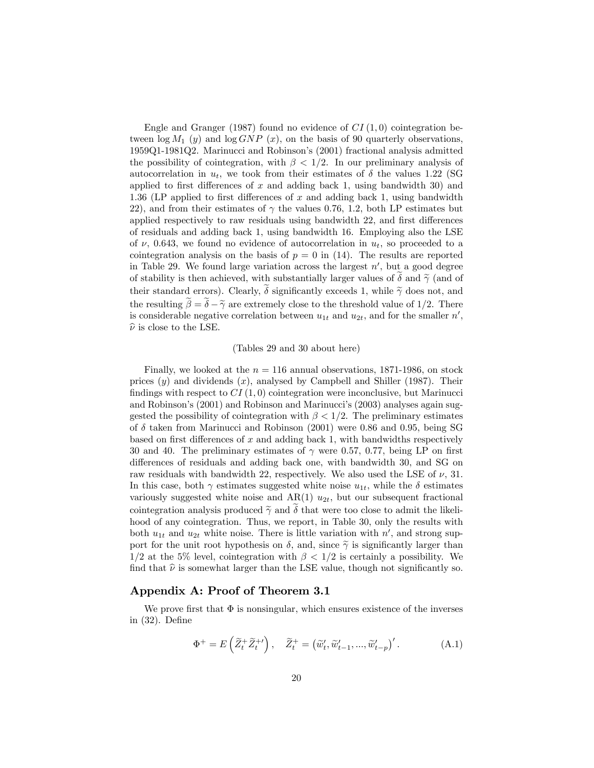Engle and Granger (1987) found no evidence of  $CI(1,0)$  cointegration between  $\log M_1$  (y) and  $\log GNP(x)$ , on the basis of 90 quarterly observations, 1959Q1-1981Q2. Marinucci and Robinsonís (2001) fractional analysis admitted the possibility of cointegration, with  $\beta < 1/2$ . In our preliminary analysis of autocorrelation in  $u_t$ , we took from their estimates of  $\delta$  the values 1.22 (SG applied to first differences of  $x$  and adding back 1, using bandwidth 30) and 1.36 (LP applied to first differences of  $x$  and adding back 1, using bandwidth 22), and from their estimates of  $\gamma$  the values 0.76, 1.2, both LP estimates but applied respectively to raw residuals using bandwidth 22, and first differences of residuals and adding back 1, using bandwidth 16. Employing also the LSE of  $\nu$ , 0.643, we found no evidence of autocorrelation in  $u_t$ , so proceeded to a cointegration analysis on the basis of  $p = 0$  in (14). The results are reported in Table 29. We found large variation across the largest  $n'$ , but a good degree of stability is then achieved, with substantially larger values of  $\delta$  and  $\tilde{\gamma}$  (and of their standard errors). Clearly,  $\delta$  significantly exceeds 1, while  $\tilde{\gamma}$  does not, and the resulting  $\tilde{\beta} = \tilde{\delta} - \tilde{\gamma}$  are extremely close to the threshold value of 1/2. There is considerable negative correlation between  $u_{1t}$  and  $u_{2t}$ , and for the smaller  $n'$ ,  $\hat{\nu}$  is close to the LSE.

#### (Tables 29 and 30 about here)

Finally, we looked at the  $n = 116$  annual observations, 1871-1986, on stock prices  $(y)$  and dividends  $(x)$ , analysed by Campbell and Shiller (1987). Their findings with respect to  $CI(1,0)$  cointegration were inconclusive, but Marinucci and Robinson's (2001) and Robinson and Marinucci's (2003) analyses again suggested the possibility of cointegration with  $\beta < 1/2$ . The preliminary estimates of  $\delta$  taken from Marinucci and Robinson (2001) were 0.86 and 0.95, being SG based on first differences of x and adding back 1, with bandwidths respectively 30 and 40. The preliminary estimates of  $\gamma$  were 0.57, 0.77, being LP on first differences of residuals and adding back one, with bandwidth 30, and SG on raw residuals with bandwidth 22, respectively. We also used the LSE of  $\nu$ , 31. In this case, both  $\gamma$  estimates suggested white noise  $u_{1t}$ , while the  $\delta$  estimates variously suggested white noise and  $AR(1)$   $u_{2t}$ , but our subsequent fractional cointegration analysis produced  $\tilde{\gamma}$  and  $\delta$  that were too close to admit the likelihood of any cointegration. Thus, we report, in Table 30, only the results with both  $u_{1t}$  and  $u_{2t}$  white noise. There is little variation with  $n'$ , and strong support for the unit root hypothesis on  $\delta$ , and, since  $\tilde{\gamma}$  is significantly larger than  $1/2$  at the 5% level, cointegration with  $\beta < 1/2$  is certainly a possibility. We find that  $\hat{\nu}$  is somewhat larger than the LSE value, though not significantly so.

### Appendix A: Proof of Theorem 3.1

We prove first that  $\Phi$  is nonsingular, which ensures existence of the inverses in  $(32)$ . Define

$$
\Phi^+ = E\left(\widetilde{Z}_t^+ \widetilde{Z}_t^{\mu}\right), \quad \widetilde{Z}_t^+ = \left(\widetilde{w}'_t, \widetilde{w}'_{t-1}, \dots, \widetilde{w}'_{t-p}\right)'.\tag{A.1}
$$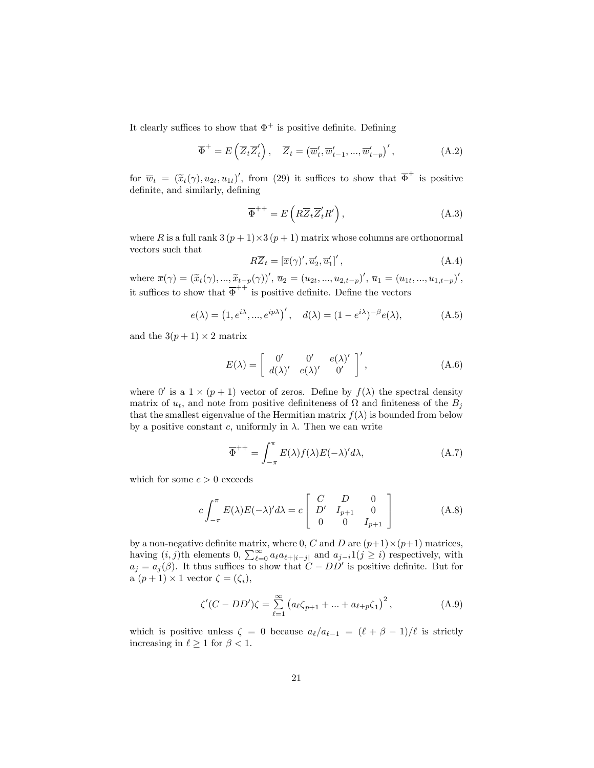It clearly suffices to show that  $\Phi^+$  is positive definite. Defining

$$
\overline{\Phi}^{+} = E\left(\overline{Z}_{t}\overline{Z}_{t}'\right), \quad \overline{Z}_{t} = \left(\overline{w}_{t}', \overline{w}_{t-1}', ..., \overline{w}_{t-p}'\right)',\tag{A.2}
$$

for  $\overline{w}_t = (\tilde{x}_t(\gamma), u_{2t}, u_{1t})'$ , from (29) it suffices to show that  $\overline{\Phi}^+$  is positive definite, and similarly, defining

$$
\overline{\Phi}^{++} = E\left(R\overline{Z}_t \overline{Z}'_t R'\right),\tag{A.3}
$$

where R is a full rank  $3(p+1)\times3(p+1)$  matrix whose columns are orthonormal vectors such that

$$
R\overline{Z}_t = \left[\overline{x}(\gamma)', \overline{u}'_2, \overline{u}'_1\right]',\tag{A.4}
$$

where  $\overline{x}(\gamma) = (\tilde{x}_t(\gamma), ..., \tilde{x}_{t-p}(\gamma))'$ ,  $\overline{u}_2 = (u_{2t}, ..., u_{2,t-p})'$ ,  $\overline{u}_1 = (u_{1t}, ..., u_{1,t-p})'$ , it suffices to show that  $\overline{\Phi}^{++}$  is positive definite. Define the vectors

$$
e(\lambda) = (1, e^{i\lambda}, ..., e^{ip\lambda})', \quad d(\lambda) = (1 - e^{i\lambda})^{-\beta} e(\lambda), \tag{A.5}
$$

and the  $3(p+1) \times 2$  matrix

$$
E(\lambda) = \begin{bmatrix} 0' & 0' & e(\lambda)' \\ d(\lambda)' & e(\lambda)' & 0' \end{bmatrix}', \tag{A.6}
$$

where 0' is a  $1 \times (p+1)$  vector of zeros. Define by  $f(\lambda)$  the spectral density matrix of  $u_t$ , and note from positive definiteness of  $\Omega$  and finiteness of the  $B_i$ that the smallest eigenvalue of the Hermitian matrix  $f(\lambda)$  is bounded from below by a positive constant c, uniformly in  $\lambda$ . Then we can write

$$
\overline{\Phi}^{++} = \int_{-\pi}^{\pi} E(\lambda) f(\lambda) E(-\lambda)' d\lambda, \tag{A.7}
$$

which for some  $c > 0$  exceeds

$$
c \int_{-\pi}^{\pi} E(\lambda) E(-\lambda)' d\lambda = c \begin{bmatrix} C & D & 0 \\ D' & I_{p+1} & 0 \\ 0 & 0 & I_{p+1} \end{bmatrix}
$$
 (A.8)

by a non-negative definite matrix, where 0, C and D are  $(p+1) \times (p+1)$  matrices, having  $(i, j)$ th elements  $0, \sum_{\ell=0}^{\infty} a_{\ell} a_{\ell+|i-j|}$  and  $a_{j-i} 1(j \geq i)$  respectively, with  $a_j = a_j(\beta)$ . It thus suffices to show that  $C - DD'$  is positive definite. But for a  $(p+1) \times 1$  vector  $\zeta = (\zeta_i)$ ,

$$
\zeta'(C - DD')\zeta = \sum_{\ell=1}^{\infty} \left( a_{\ell} \zeta_{p+1} + \dots + a_{\ell+p} \zeta_1 \right)^2, \tag{A.9}
$$

which is positive unless  $\zeta = 0$  because  $a_{\ell}/a_{\ell-1} = (\ell + \beta - 1)/\ell$  is strictly increasing in  $\ell \geq 1$  for  $\beta < 1$ .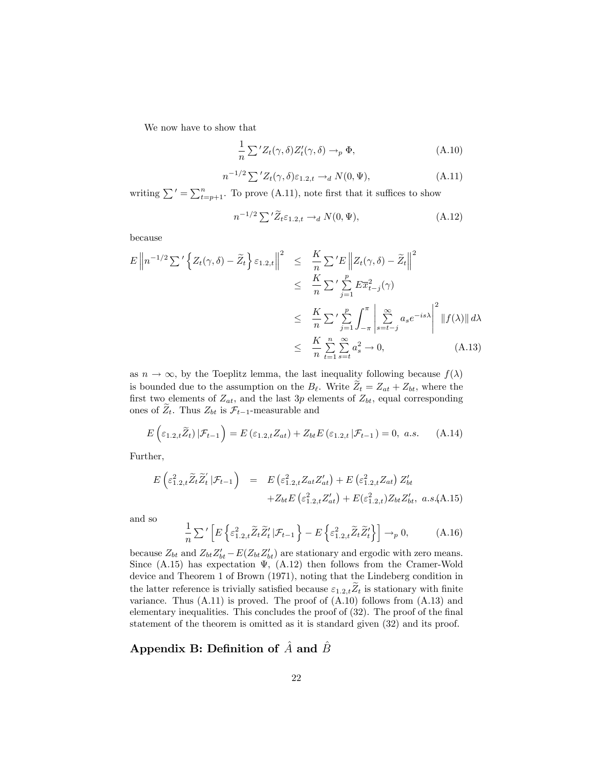We now have to show that

$$
\frac{1}{n} \sum^{\prime} Z_t(\gamma, \delta) Z'_t(\gamma, \delta) \to_p \Phi,
$$
\n(A.10)

$$
n^{-1/2} \sum' Z_t(\gamma, \delta) \varepsilon_{1,2,t} \to_d N(0, \Psi), \tag{A.11}
$$

writing  $\sum' = \sum_{t=p+1}^{n}$ . To prove (A.11), note first that it suffices to show

$$
n^{-1/2} \sum' \widetilde{Z}_t \varepsilon_{1,2,t} \to_d N(0,\Psi), \tag{A.12}
$$

because

$$
E \left\| n^{-1/2} \sum' \left\{ Z_t(\gamma, \delta) - \widetilde{Z}_t \right\} \varepsilon_{1,2,t} \right\|^2 \leq \frac{K}{n} \sum' E \left\| Z_t(\gamma, \delta) - \widetilde{Z}_t \right\|^2
$$
  

$$
\leq \frac{K}{n} \sum' \sum_{j=1}^p E \overline{x}_{t-j}^2(\gamma)
$$
  

$$
\leq \frac{K}{n} \sum' \sum_{j=1}^p \int_{-\pi}^{\pi} \left| \sum_{s=t-j}^{\infty} a_s e^{-is\lambda} \right|^2 \left\| f(\lambda) \right\| d\lambda
$$
  

$$
\leq \frac{K}{n} \sum_{t=1}^n \sum_{s=t}^{\infty} a_s^2 \to 0,
$$
 (A.13)

as  $n \to \infty$ , by the Toeplitz lemma, the last inequality following because  $f(\lambda)$ is bounded due to the assumption on the  $B_{\ell}$ . Write  $Z_t = Z_{at} + Z_{bt}$ , where the first two elements of  $Z_{at}$ , and the last 3p elements of  $Z_{bt}$ , equal corresponding ones of  $\tilde{Z}_t$ . Thus  $Z_{bt}$  is  $\mathcal{F}_{t-1}$ -measurable and

$$
E\left(\varepsilon_{1\cdot2,t}\widetilde{Z}_t\right)|\mathcal{F}_{t-1}\right) = E\left(\varepsilon_{1\cdot2,t}Z_{at}\right) + Z_{bt}E\left(\varepsilon_{1\cdot2,t}|\mathcal{F}_{t-1}\right) = 0, \ a.s. \tag{A.14}
$$

Further,

$$
E\left(\varepsilon_{1.2,t}^{2}\widetilde{Z}_{t}\widetilde{Z}_{t}^{\prime}|\mathcal{F}_{t-1}\right) = E\left(\varepsilon_{1.2,t}^{2}Z_{at}Z_{at}^{\prime}\right) + E\left(\varepsilon_{1.2,t}^{2}Z_{at}\right)Z_{bt}^{\prime} + Z_{bt}E\left(\varepsilon_{1.2,t}^{2}Z_{at}^{\prime}\right) + E(\varepsilon_{1.2,t}^{2})Z_{bt}Z_{bt}^{\prime}, \ a.s.(A.15)
$$

and so

$$
\frac{1}{n}\sum'\left[E\left\{\varepsilon_{1,2,t}^2\widetilde{Z}_t\widetilde{Z}_t'|\mathcal{F}_{t-1}\right\}-E\left\{\varepsilon_{1,2,t}^2\widetilde{Z}_t\widetilde{Z}_t'\right\}\right]\to_p 0,\tag{A.16}
$$

because  $Z_{bt}$  and  $Z_{bt}Z'_{bt} - E(Z_{bt}Z'_{bt})$  are stationary and ergodic with zero means. Since (A.15) has expectation  $\Psi$ , (A.12) then follows from the Cramer-Wold device and Theorem 1 of Brown (1971), noting that the Lindeberg condition in the latter reference is trivially satisfied because  $\varepsilon_{1,2,t}\overline{Z}_t$  is stationary with finite variance. Thus  $(A.11)$  is proved. The proof of  $(A.10)$  follows from  $(A.13)$  and elementary inequalities. This concludes the proof of  $(32)$ . The proof of the final statement of the theorem is omitted as it is standard given (32) and its proof.

# Appendix B: Definition of  $\hat{A}$  and  $\hat{B}$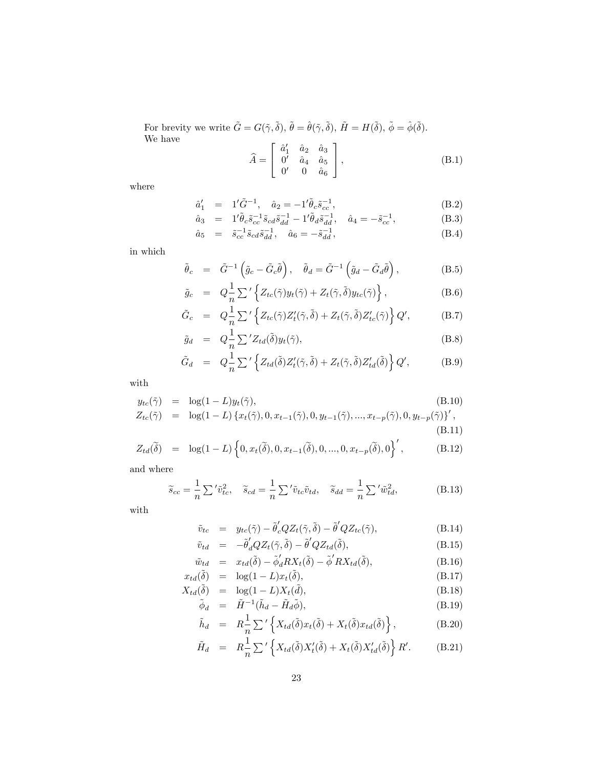For brevity we write  $\tilde{G} = G(\tilde{\gamma}, \tilde{\delta}), \tilde{\theta} = \hat{\theta}(\tilde{\gamma}, \tilde{\delta}), \tilde{H} = H(\tilde{\delta}), \tilde{\phi} = \hat{\phi}(\tilde{\delta}).$ We have  $A =$  $\sqrt{2}$ 4  $\hat{a}^{\prime}_1$   $\hat{a}_2$   $\hat{a}_3$  $0'$   $\hat{a}_4$   $\hat{a}_5$  $0'$  0  $\hat{a}_6$ 3  $\Big| , \tag{B.1}$ 

where

$$
\hat{a}'_1 = 1'\tilde{G}^{-1}, \quad \hat{a}_2 = -1'\tilde{\theta}_c \tilde{s}_{cc}^{-1}, \tag{B.2}
$$

$$
\hat{a}_3 = 1'\tilde{\theta}_c \tilde{s}_{cc}^{-1} \tilde{s}_{cd} \tilde{s}_{dd}^{-1} - 1'\tilde{\theta}_d \tilde{s}_{dd}^{-1}, \quad \hat{a}_4 = -\tilde{s}_{cc}^{-1}, \tag{B.3}
$$

$$
\hat{a}_5 = \tilde{s}_{cc}^{-1} \tilde{s}_{cd} \tilde{s}_{dd}^{-1}, \quad \hat{a}_6 = -\tilde{s}_{dd}^{-1}, \tag{B.4}
$$

in which

$$
\tilde{\theta}_c = \tilde{G}^{-1} \left( \tilde{g}_c - \tilde{G}_c \tilde{\theta} \right), \quad \tilde{\theta}_d = \tilde{G}^{-1} \left( \tilde{g}_d - \tilde{G}_d \tilde{\theta} \right), \tag{B.5}
$$

$$
\tilde{g}_c = Q_{\tilde{n}}^{\frac{1}{2}} \sum' \left\{ Z_{tc}(\tilde{\gamma}) y_t(\tilde{\gamma}) + Z_t(\tilde{\gamma}, \tilde{\delta}) y_{tc}(\tilde{\gamma}) \right\},
$$
\n(B.6)

$$
\tilde{G}_c = Q_{\overline{n}}^{\underline{1}} \sum' \left\{ Z_{tc}(\tilde{\gamma}) Z_t'(\tilde{\gamma}, \tilde{\delta}) + Z_t(\tilde{\gamma}, \tilde{\delta}) Z_{tc}'(\tilde{\gamma}) \right\} Q', \tag{B.7}
$$

$$
\tilde{g}_d = Q_{\overline{n}}^{\frac{1}{2}} \sum^{\prime} Z_{td}(\tilde{\delta}) y_t(\tilde{\gamma}), \tag{B.8}
$$

$$
\tilde{G}_d = Q_{\overline{n}}^{\underline{1}} \sum' \left\{ Z_{td}(\tilde{\delta}) Z_t'(\tilde{\gamma}, \tilde{\delta}) + Z_t(\tilde{\gamma}, \tilde{\delta}) Z_{td}'(\tilde{\delta}) \right\} Q', \tag{B.9}
$$

with

$$
y_{tc}(\tilde{\gamma}) = \log(1 - L)y_t(\tilde{\gamma}),
$$
\n(B.10)  
\n
$$
Z_{tc}(\tilde{\gamma}) = \log(1 - L) \{x_t(\tilde{\gamma}), 0, x_{t-1}(\tilde{\gamma}), 0, y_{t-1}(\tilde{\gamma}), ..., x_{t-p}(\tilde{\gamma}), 0, y_{t-p}(\tilde{\gamma})\}',
$$
\n(B.11)

$$
Z_{td}(\widetilde{\delta}) = \log(1-L) \left\{ 0, x_t(\widetilde{\delta}), 0, x_{t-1}(\widetilde{\delta}), 0, ..., 0, x_{t-p}(\widetilde{\delta}), 0 \right\}', \tag{B.12}
$$

and where

$$
\widetilde{s}_{cc} = \frac{1}{n} \sum' \widetilde{v}_{tc}^2, \quad \widetilde{s}_{cd} = \frac{1}{n} \sum' \widetilde{v}_{tc} \widetilde{v}_{td}, \quad \widetilde{s}_{dd} = \frac{1}{n} \sum' \widetilde{w}_{td}^2,
$$
\n(B.13)

with

$$
\tilde{v}_{tc} = y_{tc}(\tilde{\gamma}) - \tilde{\theta}'_c Q Z_t(\tilde{\gamma}, \tilde{\delta}) - \tilde{\theta}' Q Z_{tc}(\tilde{\gamma}), \tag{B.14}
$$

$$
\tilde{v}_{td} = -\tilde{\theta}_d' Q Z_t(\tilde{\gamma}, \tilde{\delta}) - \tilde{\theta}' Q Z_{td}(\tilde{\delta}), \tag{B.15}
$$

$$
\tilde{w}_{td} = x_{td}(\tilde{\delta}) - \tilde{\phi}'_d RX_t(\tilde{\delta}) - \tilde{\phi}' RX_{td}(\tilde{\delta}), \tag{B.16}
$$

$$
x_{td}(\tilde{\delta}) = \log(1 - L)x_t(\tilde{\delta}),
$$
  
\n
$$
X_{td}(\tilde{\delta}) = \log(1 - L)X_t(\tilde{d}).
$$
  
\n(B.18)

$$
\tilde{\phi}_d = \tilde{H}^{-1}(\tilde{h}_d - \tilde{H}_d\tilde{\phi}),
$$
\n(B.19)

$$
\tilde{h}_d = R \frac{1}{n} \sum' \left\{ X_{td}(\tilde{\delta}) x_t(\tilde{\delta}) + X_t(\tilde{\delta}) x_{td}(\tilde{\delta}) \right\},
$$
\n(B.20)

$$
\tilde{H}_d = R \frac{1}{n} \sum' \left\{ X_{td}(\tilde{\delta}) X_t'(\tilde{\delta}) + X_t(\tilde{\delta}) X_{td}'(\tilde{\delta}) \right\} R'. \tag{B.21}
$$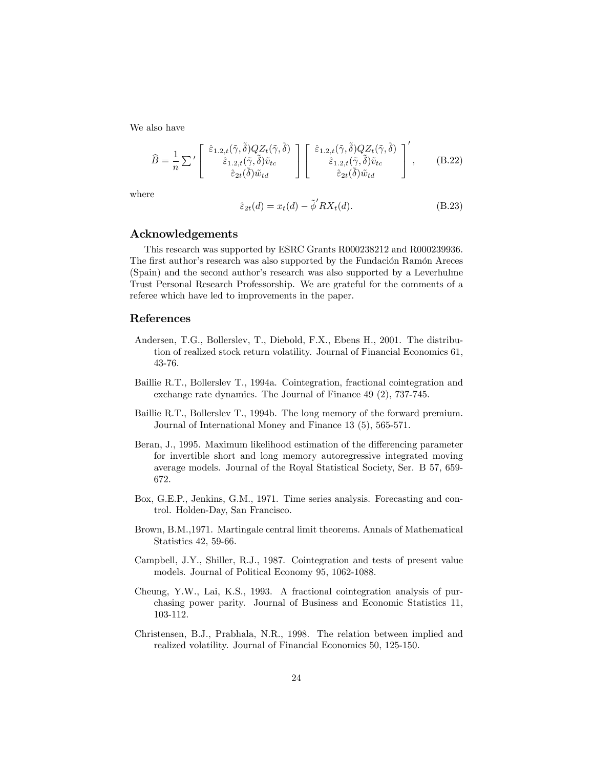We also have

$$
\widehat{B} = \frac{1}{n} \sum' \begin{bmatrix} \hat{\varepsilon}_{1.2,t}(\tilde{\gamma}, \tilde{\delta}) Q Z_t(\tilde{\gamma}, \tilde{\delta}) \\ \hat{\varepsilon}_{1.2,t}(\tilde{\gamma}, \tilde{\delta}) \tilde{v}_{tc} \\ \hat{\varepsilon}_{2t}(\tilde{\delta}) \tilde{w}_{td} \end{bmatrix} \begin{bmatrix} \hat{\varepsilon}_{1.2,t}(\tilde{\gamma}, \tilde{\delta}) Q Z_t(\tilde{\gamma}, \tilde{\delta}) \\ \hat{\varepsilon}_{1.2,t}(\tilde{\gamma}, \tilde{\delta}) \tilde{v}_{tc} \\ \hat{\varepsilon}_{2t}(\tilde{\delta}) \tilde{w}_{td} \end{bmatrix}', \quad (B.22)
$$

where

$$
\hat{\varepsilon}_{2t}(d) = x_t(d) - \tilde{\phi}' R X_t(d). \tag{B.23}
$$

## Acknowledgements

This research was supported by ESRC Grants R000238212 and R000239936. The first author's research was also supported by the Fundación Ramón Areces (Spain) and the second author's research was also supported by a Leverhulme Trust Personal Research Professorship. We are grateful for the comments of a referee which have led to improvements in the paper.

## References

- Andersen, T.G., Bollerslev, T., Diebold, F.X., Ebens H., 2001. The distribution of realized stock return volatility. Journal of Financial Economics 61, 43-76.
- Baillie R.T., Bollerslev T., 1994a. Cointegration, fractional cointegration and exchange rate dynamics. The Journal of Finance 49 (2), 737-745.
- Baillie R.T., Bollerslev T., 1994b. The long memory of the forward premium. Journal of International Money and Finance 13 (5), 565-571.
- Beran, J., 1995. Maximum likelihood estimation of the differencing parameter for invertible short and long memory autoregressive integrated moving average models. Journal of the Royal Statistical Society, Ser. B 57, 659- 672.
- Box, G.E.P., Jenkins, G.M., 1971. Time series analysis. Forecasting and control. Holden-Day, San Francisco.
- Brown, B.M.,1971. Martingale central limit theorems. Annals of Mathematical Statistics 42, 59-66.
- Campbell, J.Y., Shiller, R.J., 1987. Cointegration and tests of present value models. Journal of Political Economy 95, 1062-1088.
- Cheung, Y.W., Lai, K.S., 1993. A fractional cointegration analysis of purchasing power parity. Journal of Business and Economic Statistics 11, 103-112.
- Christensen, B.J., Prabhala, N.R., 1998. The relation between implied and realized volatility. Journal of Financial Economics 50, 125-150.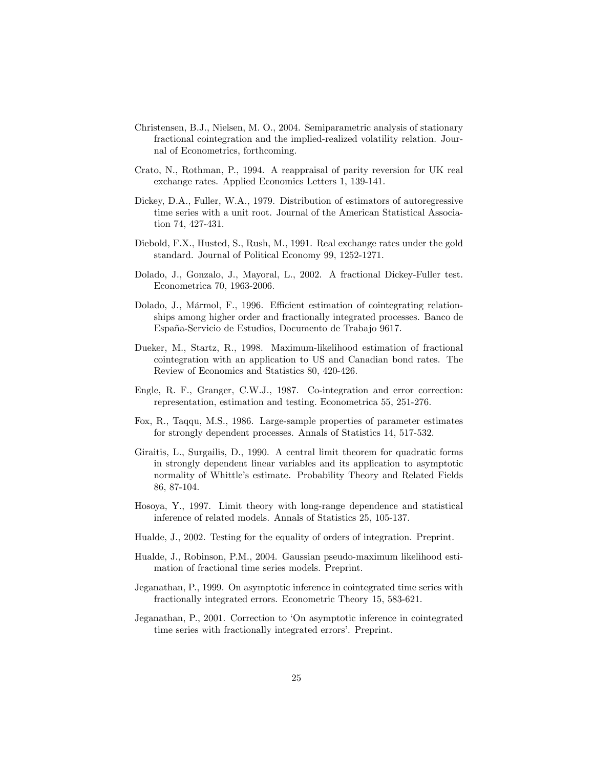- Christensen, B.J., Nielsen, M. O., 2004. Semiparametric analysis of stationary fractional cointegration and the implied-realized volatility relation. Journal of Econometrics, forthcoming.
- Crato, N., Rothman, P., 1994. A reappraisal of parity reversion for UK real exchange rates. Applied Economics Letters 1, 139-141.
- Dickey, D.A., Fuller, W.A., 1979. Distribution of estimators of autoregressive time series with a unit root. Journal of the American Statistical Association 74, 427-431.
- Diebold, F.X., Husted, S., Rush, M., 1991. Real exchange rates under the gold standard. Journal of Political Economy 99, 1252-1271.
- Dolado, J., Gonzalo, J., Mayoral, L., 2002. A fractional Dickey-Fuller test. Econometrica 70, 1963-2006.
- Dolado, J., Mármol, F., 1996. Efficient estimation of cointegrating relationships among higher order and fractionally integrated processes. Banco de España-Servicio de Estudios, Documento de Trabajo 9617.
- Dueker, M., Startz, R., 1998. Maximum-likelihood estimation of fractional cointegration with an application to US and Canadian bond rates. The Review of Economics and Statistics 80, 420-426.
- Engle, R. F., Granger, C.W.J., 1987. Co-integration and error correction: representation, estimation and testing. Econometrica 55, 251-276.
- Fox, R., Taqqu, M.S., 1986. Large-sample properties of parameter estimates for strongly dependent processes. Annals of Statistics 14, 517-532.
- Giraitis, L., Surgailis, D., 1990. A central limit theorem for quadratic forms in strongly dependent linear variables and its application to asymptotic normality of Whittle's estimate. Probability Theory and Related Fields 86, 87-104.
- Hosoya, Y., 1997. Limit theory with long-range dependence and statistical inference of related models. Annals of Statistics 25, 105-137.
- Hualde, J., 2002. Testing for the equality of orders of integration. Preprint.
- Hualde, J., Robinson, P.M., 2004. Gaussian pseudo-maximum likelihood estimation of fractional time series models. Preprint.
- Jeganathan, P., 1999. On asymptotic inference in cointegrated time series with fractionally integrated errors. Econometric Theory 15, 583-621.
- Jeganathan, P., 2001. Correction to 'On asymptotic inference in cointegrated time series with fractionally integrated errors'. Preprint.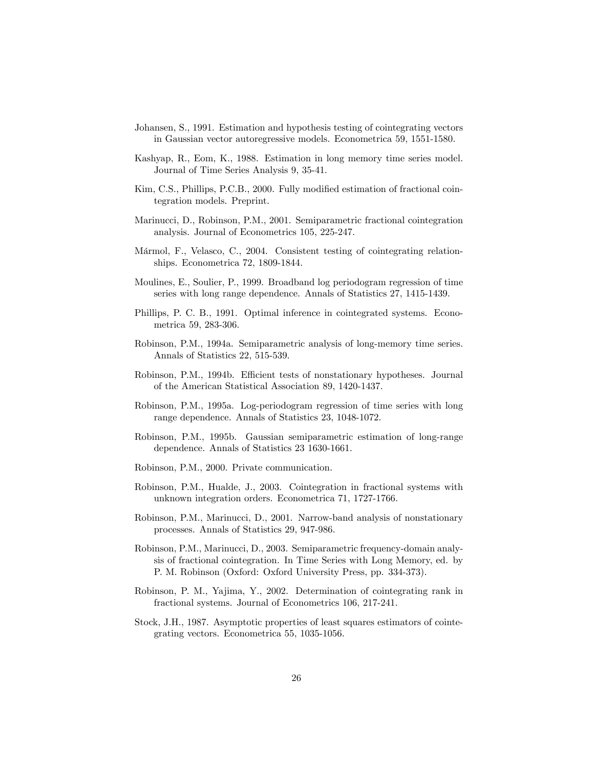- Johansen, S., 1991. Estimation and hypothesis testing of cointegrating vectors in Gaussian vector autoregressive models. Econometrica 59, 1551-1580.
- Kashyap, R., Eom, K., 1988. Estimation in long memory time series model. Journal of Time Series Analysis 9, 35-41.
- Kim, C.S., Phillips, P.C.B., 2000. Fully modified estimation of fractional cointegration models. Preprint.
- Marinucci, D., Robinson, P.M., 2001. Semiparametric fractional cointegration analysis. Journal of Econometrics 105, 225-247.
- Mármol, F., Velasco, C., 2004. Consistent testing of cointegrating relationships. Econometrica 72, 1809-1844.
- Moulines, E., Soulier, P., 1999. Broadband log periodogram regression of time series with long range dependence. Annals of Statistics 27, 1415-1439.
- Phillips, P. C. B., 1991. Optimal inference in cointegrated systems. Econometrica 59, 283-306.
- Robinson, P.M., 1994a. Semiparametric analysis of long-memory time series. Annals of Statistics 22, 515-539.
- Robinson, P.M., 1994b. Efficient tests of nonstationary hypotheses. Journal of the American Statistical Association 89, 1420-1437.
- Robinson, P.M., 1995a. Log-periodogram regression of time series with long range dependence. Annals of Statistics 23, 1048-1072.
- Robinson, P.M., 1995b. Gaussian semiparametric estimation of long-range dependence. Annals of Statistics 23 1630-1661.
- Robinson, P.M., 2000. Private communication.
- Robinson, P.M., Hualde, J., 2003. Cointegration in fractional systems with unknown integration orders. Econometrica 71, 1727-1766.
- Robinson, P.M., Marinucci, D., 2001. Narrow-band analysis of nonstationary processes. Annals of Statistics 29, 947-986.
- Robinson, P.M., Marinucci, D., 2003. Semiparametric frequency-domain analysis of fractional cointegration. In Time Series with Long Memory, ed. by P. M. Robinson (Oxford: Oxford University Press, pp. 334-373).
- Robinson, P. M., Yajima, Y., 2002. Determination of cointegrating rank in fractional systems. Journal of Econometrics 106, 217-241.
- Stock, J.H., 1987. Asymptotic properties of least squares estimators of cointegrating vectors. Econometrica 55, 1035-1056.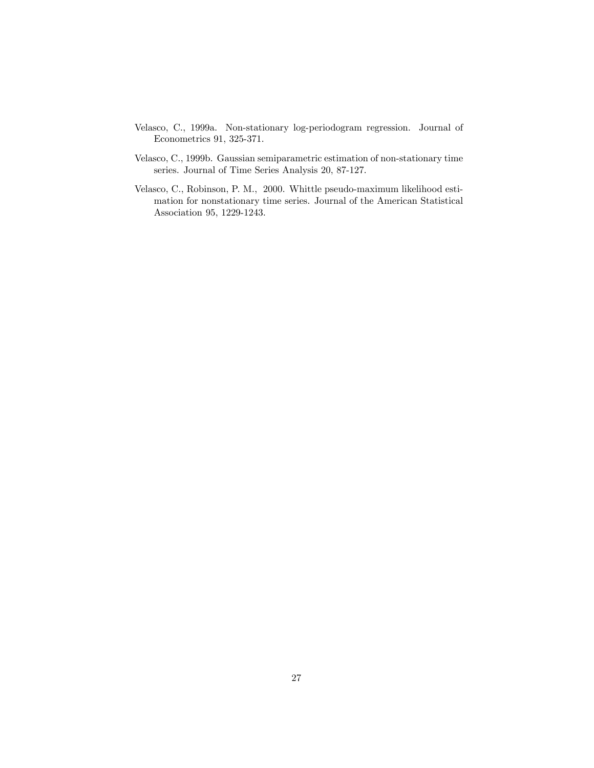- Velasco, C., 1999a. Non-stationary log-periodogram regression. Journal of Econometrics 91, 325-371.
- Velasco, C., 1999b. Gaussian semiparametric estimation of non-stationary time series. Journal of Time Series Analysis 20, 87-127.
- Velasco, C., Robinson, P. M., 2000. Whittle pseudo-maximum likelihood estimation for nonstationary time series. Journal of the American Statistical Association 95, 1229-1243.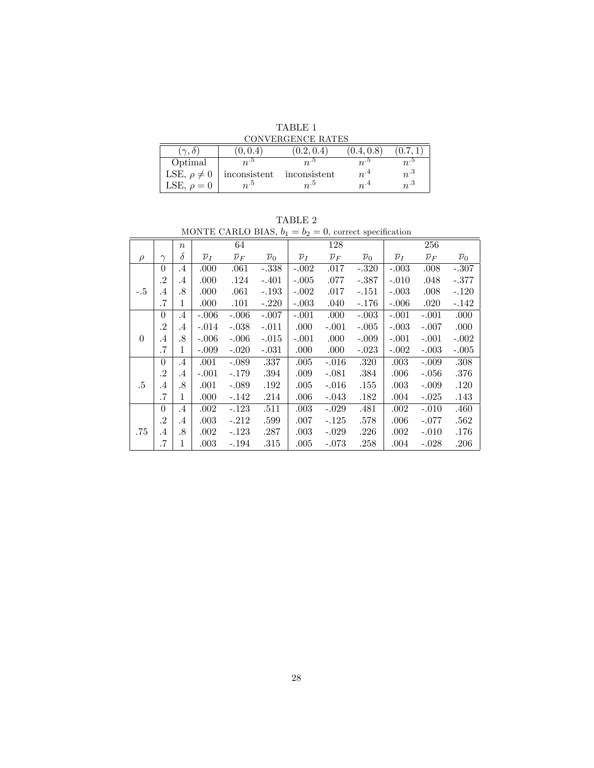TABLE 1

|                     |                      | CONVERGENCE RATES |            |                       |
|---------------------|----------------------|-------------------|------------|-----------------------|
| $\gamma$ . $\delta$ | $\left(0,0.4\right)$ | (0.2, 0.4)        | (0.4, 0.8) | $\!\!\!\!\!\!7.0.7.1$ |
| Optimal             |                      |                   | $n^{.0}$   | $n^{.5}$              |
| LSE, $\rho \neq 0$  | inconsistent         | inconsistent      | $n^{.4}$   | $n^{3}$               |
| LSE, $\rho = 0$     | $n^{0.5}$            | $n^{0.5}$         | $n^{.4}$   | $n^{.3}$              |

| A BI.<br>. |
|------------|
|------------|

MONTE CARLO BIAS,  $b_1 = b_2 = 0$ , correct specification

|          |           | $\boldsymbol{n}$ |                    | 64                 |                    |                    | 128                |                    |                    | 256                |                    |
|----------|-----------|------------------|--------------------|--------------------|--------------------|--------------------|--------------------|--------------------|--------------------|--------------------|--------------------|
| $\rho$   | $\gamma$  | δ                | $\overline{\nu}_I$ | $\overline{\nu}_F$ | $\overline{\nu}_0$ | $\overline{\nu}_I$ | $\overline{\nu}_F$ | $\overline{\nu}_0$ | $\overline{\nu}_I$ | $\overline{\nu}_F$ | $\overline{\nu}_0$ |
|          | $\theta$  | $\cdot$ 4        | .000               | .061               | $-.338$            | $-.002$            | .017               | $-.320$            | $-.003$            | .008               | $-.307$            |
|          | $\cdot^2$ | $.4\,$           | .000               | .124               | $-.401$            | $-.005$            | .077               | $-.387$            | $-.010$            | .048               | $-.377$            |
| $-.5$    | $\cdot$ 4 | .8               | .000               | .061               | $-.193$            | $-.002$            | .017               | $-.151$            | $-.003$            | .008               | $-.120$            |
|          | $\cdot$ 7 | 1                | .000               | .101               | $-.220$            | $-.003$            | .040               | $-.176$            | $-.006$            | .020               | $-.142$            |
|          | $\theta$  | $\cdot$ 4        | $-.006$            | $-.006$            | $-.007$            | $-.001$            | .000               | $-.003$            | $-.001$            | $-.001$            | .000               |
|          | $\cdot^2$ | $.4\,$           | $-.014$            | $-.038$            | $-.011$            | .000               | $-.001$            | $-.005$            | $-.003$            | $-.007$            | .000               |
| $\Omega$ | $\cdot$   | .8               | $-.006$            | $-.006$            | $-.015$            | $-.001$            | .000               | $-.009$            | $-.001$            | $-.001$            | $-.002$            |
|          | .7        | 1                | $-.009$            | $-.020$            | $-.031$            | .000               | .000               | $-.023$            | $-.002$            | $-.003$            | $-.005$            |
|          | $\theta$  | $\cdot$ 4        | .001               | $-.089$            | .337               | .005               | $-.016$            | .320               | .003               | $-.009$            | .308               |
|          | $\cdot^2$ | $.4\,$           | $-.001$            | $-.179$            | .394               | .009               | $-.081$            | .384               | .006               | $-.056$            | .376               |
| .5       | $\cdot$ 4 | .8               | .001               | $-.089$            | .192               | .005               | $-.016$            | .155               | .003               | $-.009$            | .120               |
|          | $\cdot 7$ | 1                | .000               | -.142              | .214               | .006               | $-.043$            | .182               | .004               | $-.025$            | .143               |
|          | $\theta$  | $\cdot$ 4        | .002               | $-.123$            | .511               | .003               | $-.029$            | .481               | .002               | $-.010$            | .460               |
|          | $\cdot^2$ | $.4\,$           | .003               | $-.212$            | .599               | .007               | $-.125$            | .578               | .006               | $-.077$            | .562               |
| .75      | $\cdot$ 4 | .8               | .002               | $-.123$            | .287               | .003               | $-.029$            | .226               | .002               | $-.010$            | .176               |
|          | $\cdot 7$ | 1                | $.003\,$           | $-.194$            | .315               | .005               | $-.073$            | .258               | .004               | $-.028$            | .206               |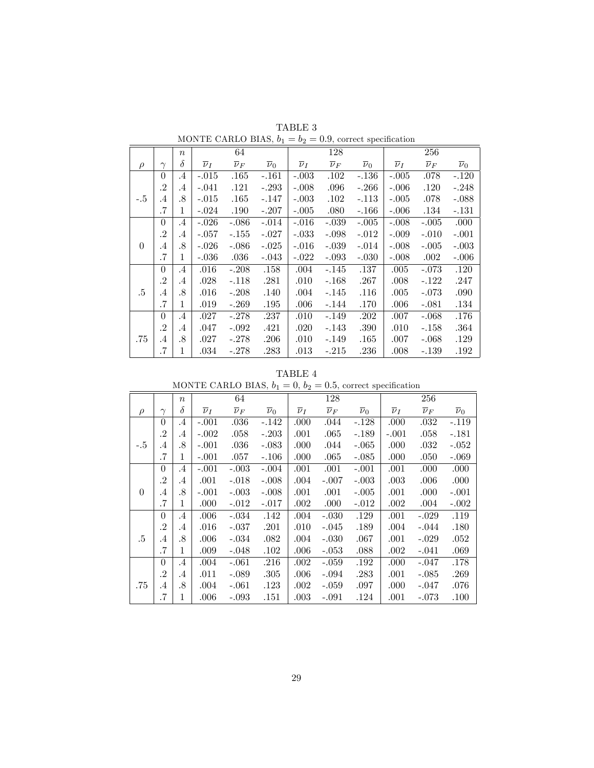|          |           | $\boldsymbol{n}$ |                    | 64                 |                    |                    | 128                |                    |                    | 256                |                    |
|----------|-----------|------------------|--------------------|--------------------|--------------------|--------------------|--------------------|--------------------|--------------------|--------------------|--------------------|
| $\rho$   | $\gamma$  | $\delta$         | $\overline{\nu}_I$ | $\overline{\nu}_F$ | $\overline{\nu}_0$ | $\overline{\nu}_I$ | $\overline{\nu}_F$ | $\overline{\nu}_0$ | $\overline{\nu}_I$ | $\overline{\nu}_F$ | $\overline{\nu}_0$ |
|          | $\theta$  | $.4\,$           | $-.015$            | .165               | $-.161$            | $-.003$            | .102               | $-.136$            | $-.005$            | .078               | $-.120$            |
|          | $\cdot^2$ | $.4\,$           | $-.041$            | .121               | $-.293$            | $-.008$            | .096               | $-.266$            | $-.006$            | .120               | $-.248$            |
| $-.5$    | $\cdot$ 4 | .8               | $-.015$            | .165               | $-.147$            | $-.003$            | .102               | $-.113$            | $-.005$            | .078               | $-.088$            |
|          | .7        | 1                | $-.024$            | .190               | $-.207$            | $-.005$            | .080               | $-.166$            | $-.006$            | .134               | $-.131$            |
|          | $\theta$  | $.4\,$           | $-.026$            | $-.086$            | $-.014$            | $-.016$            | $-.039$            | $-.005$            | $-.008$            | $-.005$            | .000               |
|          | $\cdot$   | $.4\,$           | $-.057$            | $-.155$            | $-.027$            | $-.033$            | $-.098$            | $-.012$            | $-.009$            | $-.010$            | $-.001$            |
| $\Omega$ | .4        | .8               | $-.026$            | $-.086$            | $-.025$            | $-.016$            | $-.039$            | $-.014$            | $-.008$            | $-.005$            | $-.003$            |
|          | .7        | 1                | $-.036$            | .036               | $-.043$            | $-.022$            | $-.093$            | $-.030$            | $-.008$            | .002               | $-.006$            |
|          | $\theta$  | $.4\,$           | .016               | $-.208$            | .158               | .004               | $-.145$            | .137               | .005               | $-.073$            | .120               |
|          | $\cdot^2$ | $.4\,$           | .028               | $-.118$            | .281               | .010               | $-.168$            | .267               | .008               | $-.122$            | .247               |
| .5       | $.4\,$    | .8               | .016               | $-.208$            | .140               | .004               | $-.145$            | .116               | .005               | $-.073$            | .090               |
|          | .7        | 1                | .019               | $-.269$            | .195               | .006               | $-.144$            | .170               | .006               | $-.081$            | .134               |
|          | $\theta$  | $\cdot$ 4        | .027               | -.278              | .237               | .010               | $-.149$            | .202               | .007               | $-.068$            | .176               |
|          | .2        | $\cdot$ 4        | .047               | $-.092$            | .421               | .020               | -.143              | .390               | .010               | $-.158$            | .364               |
| .75      | .4        | .8               | .027               | $-.278$            | .206               | .010               | -.149              | .165               | .007               | $-.068$            | .129               |
|          | .7        | 1                | .034               | -.278              | .283               | $.013\,$           | -.215              | .236               | .008               | $-.139$            | .192               |

TABLE 3 MONTE CARLO BIAS,  $b_1 = b_2 = 0.9$ , correct specification

| `ABLE |  |
|-------|--|
|-------|--|

|                | MONTE CARLO BIAS, $b_1 = 0$ , $b_2 = 0.5$ , correct specification |                  |                    |                    |                    |                    |                    |                    |                    |                    |                    |  |
|----------------|-------------------------------------------------------------------|------------------|--------------------|--------------------|--------------------|--------------------|--------------------|--------------------|--------------------|--------------------|--------------------|--|
|                |                                                                   | $\boldsymbol{n}$ |                    | 64                 |                    | 128                |                    |                    |                    | 256                |                    |  |
| $\rho$         | $\gamma$                                                          | $\delta$         | $\overline{\nu}_I$ | $\overline{\nu}_F$ | $\overline{\nu}_0$ | $\overline{\nu}_I$ | $\overline{\nu}_F$ | $\overline{\nu}_0$ | $\overline{\nu}_I$ | $\overline{\nu}_F$ | $\overline{\nu}_0$ |  |
|                | 0                                                                 | $\cdot$ 4        | $-.001$            | $.036\,$           | $-.142$            | .000               | .044               | $-.128$            | .000               | .032               | $-.119$            |  |
|                | .2                                                                | $\cdot$ 4        | $-.002$            | .058               | $-.203$            | .001               | $.065\,$           | $-.189$            | $-.001$            | .058               | $-.181$            |  |
| $-.5$          | $\cdot$ 4                                                         | .8               | $-.001$            | .036               | $-.083$            | .000               | .044               | $-.065$            | .000               | .032               | $-.052$            |  |
|                | .7                                                                | 1                | $-.001$            | .057               | $-.106$            | .000               | $.065\,$           | $-.085$            | .000               | .050               | $-.069$            |  |
|                | $\theta$                                                          | $\cdot$ 4        | $-.001$            | $-.003$            | $-.004$            | .001               | $.001\,$           | $-.001$            | .001               | .000               | .000               |  |
|                | .2                                                                | $\cdot$ 4        | .001               | $-.018$            | $-.008$            | .004               | $-.007$            | $-.003$            | .003               | .006               | .000               |  |
| $\overline{0}$ | $\cdot$ 4                                                         | .8               | $-.001$            | $-.003$            | $-.008$            | .001               | .001               | $-.005$            | .001               | .000               | $-.001$            |  |
|                | .7                                                                | 1                | .000               | $-.012$            | $-.017$            | .002               | .000               | $-.012$            | .002               | .004               | $-.002$            |  |
|                | $\Omega$                                                          | $\cdot$ 4        | .006               | $-.034$            | .142               | .004               | $-.030$            | .129               | .001               | $-.029$            | .119               |  |
|                | .2                                                                | $\cdot$ 4        | $.016\,$           | $-.037$            | .201               | .010               | $-.045$            | .189               | .004               | $-.044$            | .180               |  |
| .5             | $\cdot$ 4                                                         | .8               | .006               | $-.034$            | .082               | .004               | $-.030$            | .067               | .001               | $-.029$            | .052               |  |
|                | .7                                                                | 1                | .009               | $-.048$            | .102               | .006               | $-.053$            | .088               | .002               | $-.041$            | .069               |  |
|                | $\theta$                                                          | $\cdot$ 4        | .004               | $-.061$            | .216               | .002               | $-.059$            | .192               | .000               | $-.047$            | .178               |  |
|                | .2                                                                | .4               | .011               | $-.089$            | .305               | .006               | $-.094$            | .283               | .001               | $-.085$            | .269               |  |
| .75            | $\cdot$ 4                                                         | .8               | .004               | $-.061$            | .123               | .002               | $-.059$            | .097               | .000               | $-.047$            | .076               |  |
|                | .7                                                                | 1                | .006               | $-.093$            | .151               | .003               | $-.091$            | .124               | .001               | $-.073$            | .100               |  |

TABLE 4<br> $h_1 = 0$   $h_2 = 0.5$ MONTE CARLO BIAS,  $b_1 = 0, b_2 = 0, 5$ , correct specification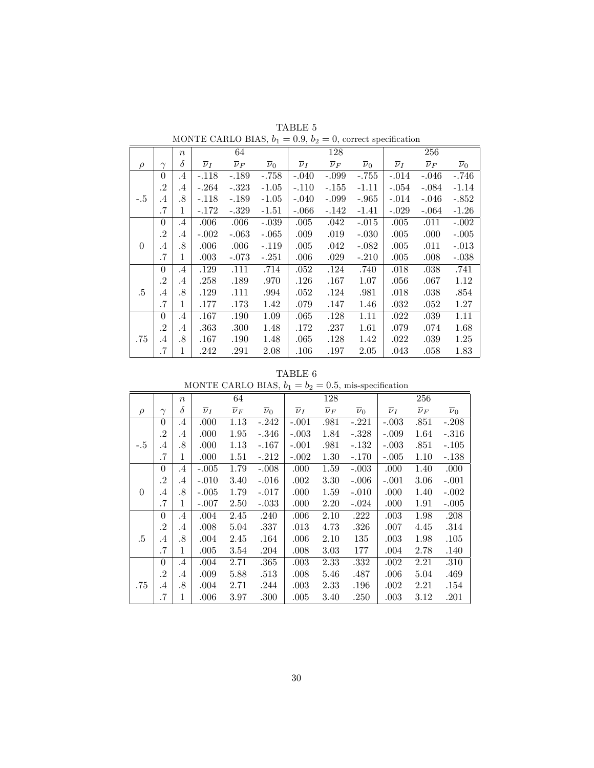|          |           | $\boldsymbol{n}$ |                    | 64                 |                    |                    | 128                |                    |                    | 256                |                    |
|----------|-----------|------------------|--------------------|--------------------|--------------------|--------------------|--------------------|--------------------|--------------------|--------------------|--------------------|
| $\rho$   | $\gamma$  | δ                | $\overline{\nu}_I$ | $\overline{\nu}_F$ | $\overline{\nu}_0$ | $\overline{\nu}_I$ | $\overline{\nu}_F$ | $\overline{\nu}_0$ | $\overline{\nu}_I$ | $\overline{\nu}_F$ | $\overline{\nu}_0$ |
|          | $\theta$  | .4               | -.118              | $-.189$            | -.758              | $-.040$            | $-.099$            | $-.755$            | $-.014$            | $-.046$            | $-.746$            |
|          | $\cdot$   | .4               | $-.264$            | $-.323$            | $-1.05$            | $-.110$            | $-.155$            | $-1.11$            | -.054              | $-.084$            | $-1.14$            |
| $-.5$    | $\cdot$ 4 | .8               | $-.118$            | $-.189$            | $-1.05$            | $-.040$            | $-.099$            | $-.965$            | $-.014$            | $-.046$            | $-.852$            |
|          | .7        | 1                | $-172$             | $-.329$            | $-1.51$            | $-.066$            | -.142              | $-1.41$            | $-.029$            | $-.064$            | $-1.26$            |
|          | $\theta$  | $\cdot$ 4        | .006               | .006               | $-.039$            | .005               | .042               | $-.015$            | .005               | .011               | $-.002$            |
|          | $\cdot$ 2 | $\cdot$ 4        | $-.002$            | $-.063$            | $-.065$            | .009               | .019               | $-.030$            | .005               | .000               | $-.005$            |
| $\theta$ | .4        | .8               | .006               | .006               | $-.119$            | .005               | .042               | $-.082$            | .005               | .011               | $-.013$            |
|          | $.7\,$    | 1                | .003               | $-.073$            | $-.251$            | .006               | .029               | $-.210$            | .005               | .008               | $-.038$            |
|          | $\theta$  | $\cdot$ 4        | .129               | .111               | .714               | .052               | .124               | .740               | .018               | .038               | .741               |
|          | $\cdot$   | $\cdot$ 4        | .258               | .189               | .970               | .126               | .167               | 1.07               | .056               | .067               | 1.12               |
| .5       | $\cdot$ 4 | .8               | .129               | .111               | .994               | .052               | .124               | .981               | .018               | .038               | .854               |
|          | .7        | 1                | .177               | .173               | 1.42               | .079               | .147               | 1.46               | .032               | .052               | 1.27               |
|          | $\theta$  | $\cdot$ 4        | .167               | .190               | 1.09               | .065               | .128               | 1.11               | .022               | .039               | 1.11               |
|          | $\cdot$ 2 | $\cdot$ 4        | .363               | .300               | 1.48               | .172               | .237               | 1.61               | .079               | .074               | 1.68               |
| .75      | .4        | .8               | .167               | .190               | 1.48               | .065               | .128               | 1.42               | .022               | .039               | 1.25               |
|          | $.7\,$    | 1                | .242               | .291               | 2.08               | $.106\,$           | .197               | 2.05               | .043               | .058               | 1.83               |

TABLE 5 MONTE CARLO BIAS,  $b_1 = 0.9$ ,  $b_2 = 0$ , correct specification

| TABLE | 6 |
|-------|---|
|-------|---|

|          | MONTE CARLO BIAS, $b_1 = b_2 = 0.5$ , mis-specification |                  |                    |                    |                    |                    |                    |                    |                    |                    |                    |  |  |
|----------|---------------------------------------------------------|------------------|--------------------|--------------------|--------------------|--------------------|--------------------|--------------------|--------------------|--------------------|--------------------|--|--|
|          |                                                         | $\boldsymbol{n}$ |                    | 64                 |                    |                    | 128                |                    | 256                |                    |                    |  |  |
| $\rho$   | $\gamma$                                                | $\delta$         | $\overline{\nu}_I$ | $\overline{\nu}_F$ | $\overline{\nu}_0$ | $\overline{\nu}_I$ | $\overline{\nu}_F$ | $\overline{\nu}_0$ | $\overline{\nu}_I$ | $\overline{\nu}_F$ | $\overline{\nu}_0$ |  |  |
|          | $\overline{0}$                                          | .4               | .000               | 1.13               | $-.242$            | $-.001$            | .981               | $-.221$            | $-.003$            | .851               | $-.208$            |  |  |
|          | $\cdot$                                                 | $\cdot$ 4        | .000               | 1.95               | $-.346$            | $-.003$            | 1.84               | $-.328$            | $-.009$            | 1.64               | $-.316$            |  |  |
| $-.5$    | .4                                                      | .8               | .000               | 1.13               | $-.167$            | $-.001$            | .981               | $-132$             | $-.003$            | .851               | $-.105$            |  |  |
|          | .7                                                      | 1                | .000               | 1.51               | $-.212$            | $-.002$            | 1.30               | $-.170$            | $-.005$            | 1.10               | $-.138$            |  |  |
|          | $\theta$                                                | .4               | $-.005$            | 1.79               | $-.008$            | .000               | 1.59               | $-.003$            | .000               | 1.40               | .000               |  |  |
|          | $.2\,$                                                  | .4               | $-.010$            | 3.40               | $-.016$            | .002               | 3.30               | $-.006$            | $-.001$            | 3.06               | $-.001$            |  |  |
| $\theta$ | .4                                                      | .8               | $-.005$            | 1.79               | $-.017$            | .000               | 1.59               | $-.010$            | .000               | 1.40               | $-.002$            |  |  |
|          | .7                                                      | 1                | $-.007$            | 2.50               | $-.033$            | .000               | 2.20               | $-.024$            | .000               | 1.91               | $-.005$            |  |  |
|          | $\theta$                                                | $\cdot$ 4        | .004               | 2.45               | .240               | .006               | 2.10               | .222               | .003               | 1.98               | .208               |  |  |
|          | $\cdot$                                                 | .4               | .008               | 5.04               | .337               | .013               | 4.73               | .326               | .007               | 4.45               | .314               |  |  |
| .5       | .4                                                      | .8               | .004               | 2.45               | .164               | .006               | 2.10               | 135                | .003               | 1.98               | .105               |  |  |
|          | .7                                                      | 1                | .005               | 3.54               | .204               | .008               | 3.03               | 177                | .004               | 2.78               | .140               |  |  |
|          | $\theta$                                                | $\cdot$ 4        | .004               | 2.71               | .365               | .003               | 2.33               | .332               | .002               | 2.21               | .310               |  |  |
|          | $\cdot$                                                 | .4               | .009               | 5.88               | .513               | .008               | 5.46               | .487               | .006               | 5.04               | .469               |  |  |
| .75      | .4                                                      | .8               | .004               | 2.71               | .244               | .003               | 2.33               | .196               | .002               | 2.21               | .154               |  |  |
|          | .7                                                      | 1                | .006               | 3.97               | .300               | .005               | 3.40               | .250               | .003               | 3.12               | .201               |  |  |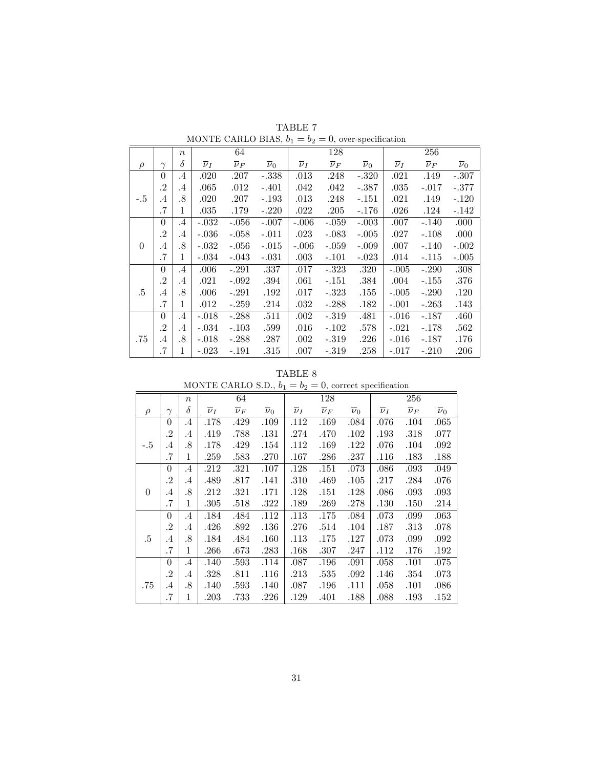|          |           | $\eta$    |                    | 64                 |                    |                    | 128                |                    |                    | 256                |                    |
|----------|-----------|-----------|--------------------|--------------------|--------------------|--------------------|--------------------|--------------------|--------------------|--------------------|--------------------|
| $\rho$   | $\gamma$  | $\delta$  | $\overline{\nu}_I$ | $\overline{\nu}_F$ | $\overline{\nu}_0$ | $\overline{\nu}_I$ | $\overline{\nu}_F$ | $\overline{\nu}_0$ | $\overline{\nu}_I$ | $\overline{\nu}_F$ | $\overline{\nu}_0$ |
|          | $\theta$  | $.4\,$    | .020               | .207               | $-.338$            | $.013\,$           | .248               | $-.320$            | .021               | .149               | -.307              |
|          | $\cdot$   | .4        | .065               | .012               | $-.401$            | .042               | .042               | $-.387$            | $.035\,$           | $-.017$            | -.377              |
| $-.5$    | $.4\,$    | .8        | .020               | .207               | $-.193$            | .013               | .248               | $-.151$            | .021               | .149               | $-.120$            |
|          | .7        | 1         | .035               | .179               | $-.220$            | .022               | .205               | $-.176$            | .026               | .124               | $-.142$            |
|          | $\theta$  | $\cdot$ 4 | $-.032$            | $-.056$            | $-.007$            | $-.006$            | $-.059$            | $-.003$            | .007               | $-.140$            | .000               |
|          | $\cdot$ 2 | .4        | $-.036$            | $-.058$            | $-.011$            | .023               | $-.083$            | $-.005$            | .027               | $-.108$            | .000               |
| $\Omega$ | .4        | .8        | $-.032$            | $-.056$            | $-.015$            | $-.006$            | $-.059$            | $-.009$            | .007               | $-.140$            | $-.002$            |
|          | .7        | 1         | $-.034$            | $-.043$            | $-.031$            | .003               | $-.101$            | $-.023$            | .014               | $-.115$            | $-.005$            |
|          | $\Omega$  | .4        | .006               | $-.291$            | .337               | .017               | $-.323$            | .320               | $-.005$            | $-.290$            | .308               |
|          | $\cdot$ 2 | $.4\,$    | .021               | $-.092$            | .394               | .061               | $-.151$            | .384               | .004               | $-.155$            | .376               |
| .5       | $.4\,$    | .8        | .006               | $-.291$            | .192               | .017               | $-.323$            | .155               | $-.005$            | $-.290$            | .120               |
|          | .7        | 1         | .012               | $-.259$            | .214               | .032               | $-.288$            | .182               | $-.001$            | $-.263$            | .143               |
|          | $\Omega$  | $.4\,$    | $-.018$            | $-.288$            | .511               | .002               | $-.319$            | .481               | $-.016$            | $-.187$            | .460               |
|          | .2        | .4        | $-.034$            | $-.103$            | .599               | .016               | $-.102$            | .578               | $-.021$            | -.178              | .562               |
| .75      | $.4\,$    | .8        | $-.018$            | $-.288$            | .287               | .002               | $-.319$            | .226               | $-.016$            | $-.187$            | .176               |
|          | .7        | 1         | $-.023$            | $-.191$            | .315               | .007               | $-319$             | .258               | $-.017$            | $-.210$            | .206               |

 $\label{eq:tabc} \textbf{TABLE~7} \\ \textbf{MONTE CARLO BIAS, } b_1 = b_2 = 0 \text{, over-specification}$ 

| TABLE | 8 |
|-------|---|
|-------|---|

|          | MONTE CARLO S.D., $b_1 = b_2 = 0$ , correct specification |                  |                    |                    |                    |                    |                    |                    |                    |                    |                    |  |
|----------|-----------------------------------------------------------|------------------|--------------------|--------------------|--------------------|--------------------|--------------------|--------------------|--------------------|--------------------|--------------------|--|
|          |                                                           | $\boldsymbol{n}$ |                    | 64                 |                    |                    | 128                |                    |                    | 256                |                    |  |
| $\rho$   | $\gamma$                                                  | $\delta$         | $\overline{\nu}_I$ | $\overline{\nu}_F$ | $\overline{\nu}_0$ | $\overline{\nu}_I$ | $\overline{\nu}_F$ | $\overline{\nu}_0$ | $\overline{\nu}_I$ | $\overline{\nu}_F$ | $\overline{\nu}_0$ |  |
|          | $\theta$                                                  | .4               | .178               | .429               | .109               | .112               | .169               | .084               | .076               | .104               | .065               |  |
|          | $\cdot$                                                   | .4               | .419               | .788               | .131               | .274               | .470               | .102               | .193               | .318               | .077               |  |
| $-.5$    | $.4\,$                                                    | .8               | .178               | .429               | .154               | .112               | .169               | .122               | .076               | .104               | .092               |  |
|          | .7                                                        | 1                | .259               | .583               | .270               | .167               | .286               | .237               | .116               | .183               | .188               |  |
|          | $\theta$                                                  | $\cdot$ 4        | .212               | .321               | .107               | .128               | .151               | .073               | .086               | .093               | .049               |  |
|          | $\cdot$                                                   | .4               | .489               | .817               | .141               | .310               | .469               | $.105\,$           | .217               | .284               | .076               |  |
| $\theta$ | .4                                                        | .8               | .212               | .321               | .171               | .128               | .151               | .128               | .086               | .093               | .093               |  |
|          | .7                                                        | 1                | .305               | .518               | .322               | .189               | .269               | .278               | .130               | .150               | .214               |  |
|          | $\theta$                                                  | .4               | .184               | .484               | .112               | .113               | .175               | .084               | .073               | .099               | .063               |  |
|          | $\cdot$                                                   | .4               | .426               | .892               | $.136\,$           | .276               | .514               | .104               | .187               | .313               | .078               |  |
| .5       | .4                                                        | .8               | .184               | .484               | .160               | .113               | .175               | .127               | .073               | .099               | .092               |  |
|          | .7                                                        | 1                | .266               | .673               | .283               | .168               | .307               | .247               | .112               | .176               | .192               |  |
|          | $\theta$                                                  | .4               | .140               | .593               | .114               | .087               | .196               | .091               | .058               | .101               | .075               |  |
|          | $\cdot$                                                   | .4               | .328               | .811               | .116               | .213               | $.535\,$           | .092               | .146               | .354               | .073               |  |
| .75      | .4                                                        | .8               | .140               | .593               | .140               | .087               | .196               | .111               | .058               | .101               | .086               |  |
|          | .7                                                        | 1                | $.203\,$           | .733               | .226               | .129               | .401               | .188               | .088               | .193               | .152               |  |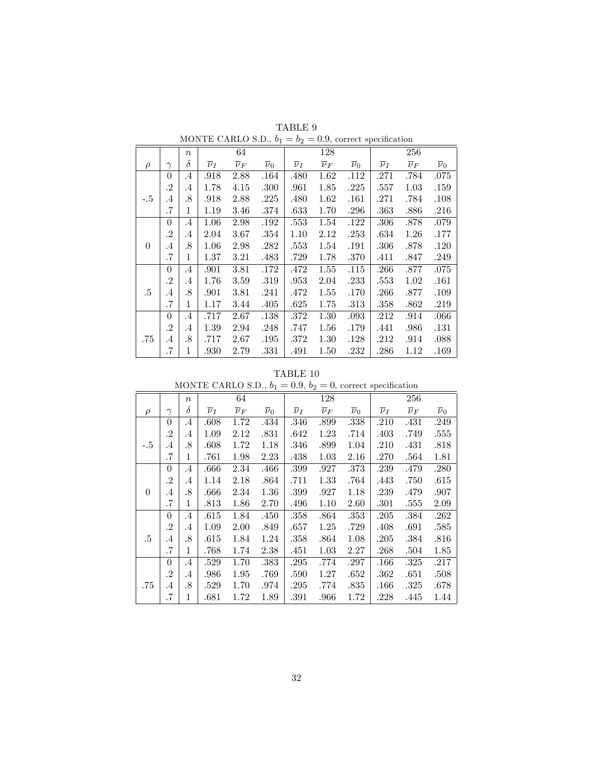|          |                | $\boldsymbol{n}$ |                    | 64                 |                    |                    | 128                |                    |                    | 256                |                    |
|----------|----------------|------------------|--------------------|--------------------|--------------------|--------------------|--------------------|--------------------|--------------------|--------------------|--------------------|
| $\rho$   | $\gamma$       | δ                | $\overline{\nu}_I$ | $\overline{\nu}_F$ | $\overline{\nu}_0$ | $\overline{\nu}_I$ | $\overline{\nu}_F$ | $\overline{\nu}_0$ | $\overline{\nu}_I$ | $\overline{\nu}_F$ | $\overline{\nu}_0$ |
|          | $\overline{0}$ | $\cdot$          | .918               | 2.88               | .164               | .480               | 1.62               | .112               | .271               | .784               | .075               |
|          | $\cdot^2$      | .4               | 1.78               | 4.15               | $.300\,$           | .961               | 1.85               | .225               | .557               | 1.03               | .159               |
| $-.5$    | $.4\,$         | .8               | .918               | 2.88               | .225               | .480               | 1.62               | .161               | .271               | .784               | .108               |
|          | .7             | 1                | 1.19               | 3.46               | .374               | .633               | 1.70               | .296               | .363               | .886               | .216               |
|          | $\theta$       | $\cdot$          | 1.06               | 2.98               | .192               | .553               | 1.54               | .122               | .306               | .878               | .079               |
|          | $\cdot^2$      | .4               | 2.04               | 3.67               | .354               | 1.10               | 2.12               | .253               | .634               | 1.26               | .177               |
| $\theta$ | .4             | .8               | 1.06               | 2.98               | .282               | .553               | 1.54               | .191               | .306               | .878               | .120               |
|          | .7             | 1                | 1.37               | 3.21               | .483               | .729               | 1.78               | .370               | .411               | .847               | .249               |
|          | $\theta$       | $\cdot$          | .901               | 3.81               | .172               | .472               | 1.55               | .115               | .266               | .877               | .075               |
|          | $\cdot^2$      | .4               | 1.76               | 3.59               | .319               | .953               | 2.04               | .233               | .553               | 1.02               | .161               |
| .5       | $.4\,$         | .8               | .901               | 3.81               | .241               | .472               | 1.55               | .170               | .266               | .877               | .109               |
|          | .7             | 1                | 1.17               | 3.44               | .405               | .625               | 1.75               | .313               | .358               | .862               | .219               |
|          | $\theta$       | $\cdot$          | .717               | 2.67               | .138               | .372               | 1.30               | .093               | .212               | .914               | $.066\,$           |
|          | $\cdot^2$      | .4               | 1.39               | 2.94               | .248               | .747               | 1.56               | .179               | .441               | .986               | .131               |
| .75      | .4             | .8               | .717               | 2.67               | .195               | .372               | 1.30               | .128               | .212               | .914               | .088               |
|          | .7             | 1                | .930               | 2.79               | .331               | .491               | 1.50               | .232               | .286               | 1.12               | .169               |

TABLE  $9$ MONTE CARLO S.D.,  $b_1 = b_2 = 0.9$ , correct specification

TABLE  $10$ 

|          | MONTE CARLO S.D., $b_1 = 0.9$ , $b_2 = 0$ , correct specification |                  |                    |                    |                    |                    |                    |                    |                    |                    |                    |  |  |  |  |
|----------|-------------------------------------------------------------------|------------------|--------------------|--------------------|--------------------|--------------------|--------------------|--------------------|--------------------|--------------------|--------------------|--|--|--|--|
|          |                                                                   | $\boldsymbol{n}$ |                    | 64                 |                    |                    | 128                |                    |                    | 256                |                    |  |  |  |  |
| $\rho$   | $\gamma$                                                          | δ                | $\overline{\nu}_I$ | $\overline{\nu}_F$ | $\overline{\nu}_0$ | $\overline{\nu}_I$ | $\overline{\nu}_F$ | $\overline{\nu}_0$ | $\overline{\nu}_I$ | $\overline{\nu}_F$ | $\overline{\nu}_0$ |  |  |  |  |
|          | $\theta$                                                          | .4               | .608               | 1.72               | .434               | .346               | .899               | .338               | .210               | .431               | .249               |  |  |  |  |
|          | $\cdot^2$                                                         | .4               | 1.09               | 2.12               | .831               | .642               | 1.23               | .714               | .403               | .749               | .555               |  |  |  |  |
| $-.5$    | .4                                                                | .8               | .608               | 1.72               | 1.18               | .346               | .899               | 1.04               | .210               | .431               | .818               |  |  |  |  |
|          | .7                                                                | 1                | .761               | 1.98               | $2.23\,$           | .438               | 1.03               | 2.16               | .270               | .564               | 1.81               |  |  |  |  |
|          | $\overline{0}$                                                    | .4               | .666               | 2.34               | .466               | .399               | .927               | .373               | .239               | .479               | .280               |  |  |  |  |
|          | $\cdot$                                                           | .4               | 1.14               | 2.18               | .864               | .711               | 1.33               | .764               | .443               | .750               | .615               |  |  |  |  |
| $\Omega$ | .4                                                                | .8               | .666               | 2.34               | 1.36               | .399               | .927               | 1.18               | .239               | .479               | .907               |  |  |  |  |
|          | .7                                                                | 1                | .813               | 1.86               | 2.70               | .496               | 1.10               | 2.60               | .301               | .555               | 2.09               |  |  |  |  |
|          | $\theta$                                                          | .4               | .615               | 1.84               | .450               | .358               | .864               | .353               | .205               | .384               | .262               |  |  |  |  |
|          | $\cdot^2$                                                         | .4               | 1.09               | 2.00               | .849               | .657               | 1.25               | .729               | .408               | .691               | .585               |  |  |  |  |
| .5       | .4                                                                | .8               | .615               | 1.84               | 1.24               | .358               | .864               | 1.08               | .205               | .384               | .816               |  |  |  |  |
|          | .7                                                                | 1                | .768               | 1.74               | 2.38               | .451               | 1.03               | 2.27               | .268               | .504               | 1.85               |  |  |  |  |
|          | $\theta$                                                          | $\cdot$          | .529               | 1.70               | .383               | .295               | .774               | .297               | $.166\,$           | .325               | .217               |  |  |  |  |
|          | $\cdot^2$                                                         | .4               | .986               | 1.95               | .769               | .590               | 1.27               | .652               | .362               | .651               | .508               |  |  |  |  |
| .75      | .4                                                                | .8               | .529               | 1.70               | .974               | .295               | .774               | .835               | $.166\,$           | .325               | .678               |  |  |  |  |
|          | .7                                                                | 1                | .681               | 1.72               | 1.89               | .391               | .966               | 1.72               | .228               | .445               | 1.44               |  |  |  |  |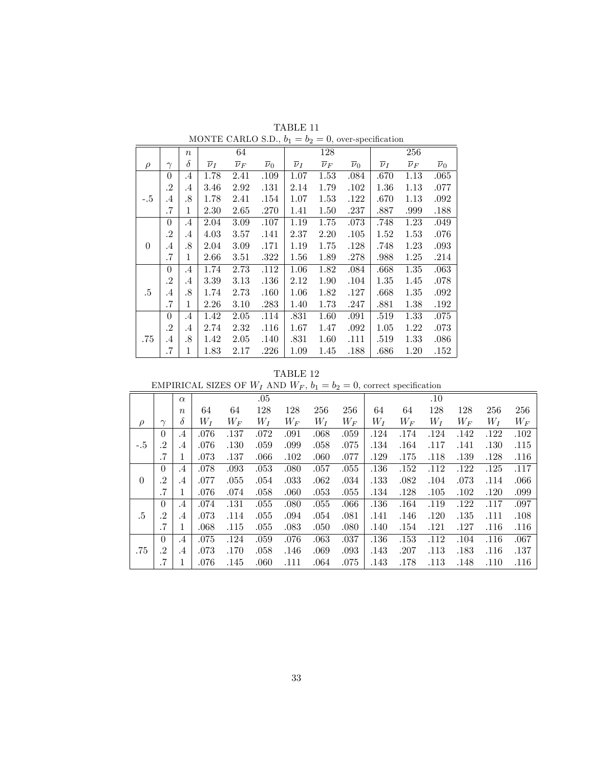|          |                | $\boldsymbol{n}$ |                    | 64                 |                    |                    | 128                |                    |                    | 256                |                    |
|----------|----------------|------------------|--------------------|--------------------|--------------------|--------------------|--------------------|--------------------|--------------------|--------------------|--------------------|
| $\rho$   | $\gamma$       | $\delta$         | $\overline{\nu}_I$ | $\overline{\nu}_F$ | $\overline{\nu}_0$ | $\overline{\nu}_I$ | $\overline{\nu}_F$ | $\overline{\nu}_0$ | $\overline{\nu}_I$ | $\overline{\nu}_F$ | $\overline{\nu}_0$ |
|          | $\overline{0}$ | $\cdot$          | 1.78               | 2.41               | .109               | 1.07               | 1.53               | .084               | .670               | 1.13               | .065               |
|          | $\cdot^2$      | .4               | $3.46\,$           | 2.92               | .131               | 2.14               | 1.79               | .102               | 1.36               | 1.13               | .077               |
| -.5      | $.4\,$         | .8               | 1.78               | 2.41               | .154               | 1.07               | 1.53               | .122               | .670               | 1.13               | .092               |
|          | .7             | 1                | 2.30               | 2.65               | .270               | 1.41               | 1.50               | .237               | .887               | .999               | .188               |
|          | $\theta$       | $\cdot$          | 2.04               | 3.09               | .107               | 1.19               | 1.75               | .073               | .748               | 1.23               | .049               |
|          | $\cdot^2$      | .4               | $4.03\,$           | 3.57               | .141               | 2.37               | 2.20               | .105               | 1.52               | 1.53               | .076               |
| $\theta$ | .4             | .8               | 2.04               | 3.09               | .171               | 1.19               | 1.75               | .128               | .748               | 1.23               | .093               |
|          | .7             | 1                | $2.66\,$           | 3.51               | .322               | 1.56               | 1.89               | .278               | .988               | 1.25               | .214               |
|          | $\theta$       | $\cdot$          | 1.74               | 2.73               | .112               | 1.06               | 1.82               | .084               | .668               | 1.35               | .063               |
|          | $\cdot^2$      | .4               | 3.39               | 3.13               | .136               | 2.12               | 1.90               | .104               | 1.35               | 1.45               | .078               |
| .5       | $.4\,$         | .8               | 1.74               | 2.73               | .160               | 1.06               | 1.82               | .127               | .668               | 1.35               | .092               |
|          | .7             | 1                | 2.26               | 3.10               | .283               | 1.40               | 1.73               | .247               | .881               | 1.38               | .192               |
|          | $\theta$       | $\cdot$          | 1.42               | 2.05               | .114               | .831               | 1.60               | .091               | .519               | 1.33               | .075               |
|          | $\cdot^2$      | .4               | 2.74               | 2.32               | .116               | 1.67               | 1.47               | .092               | 1.05               | 1.22               | .073               |
| .75      | .4             | .8               | 1.42               | 2.05               | .140               | .831               | 1.60               | .111               | .519               | 1.33               | .086               |
|          | .7             | 1                | 1.83               | 2.17               | .226               | 1.09               | 1.45               | .188               | .686               | 1.20               | .152               |

TABLE  $11\,$ MONTE CARLO S.D.,  $b_1=b_2=0,$  over-specification

TABLE  $12$ 

| EMPIRICAL SIZES OF $W_I$ AND $W_F$ , $b_1 = b_2 = 0$ , correct specification |  |  |  |  |  |
|------------------------------------------------------------------------------|--|--|--|--|--|
|                                                                              |  |  |  |  |  |

|          |                | $\alpha$         |       |       | $.05\,$ |       |       |       |       |       | .10   |         |       |       |
|----------|----------------|------------------|-------|-------|---------|-------|-------|-------|-------|-------|-------|---------|-------|-------|
|          |                | $\boldsymbol{n}$ | 64    | 64    | 128     | 128   | 256   | 256   | 64    | 64    | 128   | 128     | 256   | 256   |
| $\rho$   | $\sim$         | $\delta$         | $W_I$ | $W_F$ | $W_I$   | $W_F$ | $W_I$ | $W_F$ | $W_I$ | $W_F$ | $W_I$ | $W_{F}$ | $W_I$ | $W_F$ |
|          | $\theta$       | $\cdot$ 4        | .076  | .137  | .072    | .091  | .068  | .059  | .124  | .174  | .124  | .142    | .122  | .102  |
| $-.5$    | .2             | $.4\,$           | .076  | .130  | .059    | .099  | .058  | .075  | .134  | .164  | .117  | .141    | .130  | .115  |
|          | $\cdot 7$      | 1                | .073  | .137  | .066    | .102  | .060  | .077  | .129  | .175  | .118  | .139    | .128  | .116  |
|          | $\theta$       | $\cdot$ 4        | .078  | .093  | .053    | .080  | .057  | .055  | .136  | .152  | .112  | .122    | .125  | .117  |
| $\theta$ | .2             | $.4\,$           | .077  | .055  | .054    | .033  | .062  | .034  | .133  | .082  | .104  | .073    | .114  | .066  |
|          | .7             | 1                | .076  | .074  | .058    | .060  | .053  | .055  | .134  | .128  | .105  | .102    | .120  | .099  |
|          | $\theta$       | .4               | .074  | .131  | .055    | .080  | .055  | .066  | .136  | .164  | .119  | .122    | .117  | .097  |
| .5       | .2             | $.4\,$           | .073  | .114  | .055    | .094  | .054  | .081  | .141  | .146  | .120  | .135    | .111  | .108  |
|          | .7             | 1                | .068  | .115  | .055    | .083  | .050  | .080  | .140  | .154  | .121  | .127    | .116  | .116  |
|          | $\theta$       | $\cdot$ 4        | .075  | .124  | .059    | .076  | .063  | .037  | .136  | .153  | .112  | .104    | .116  | .067  |
| .75      | $\overline{2}$ | .4               | .073  | .170  | .058    | .146  | .069  | .093  | .143  | .207  | .113  | .183    | .116  | .137  |
|          | .7             |                  | .076  | .145  | .060    | .111  | .064  | .075  | .143  | .178  | .113  | .148    | .110  | .116  |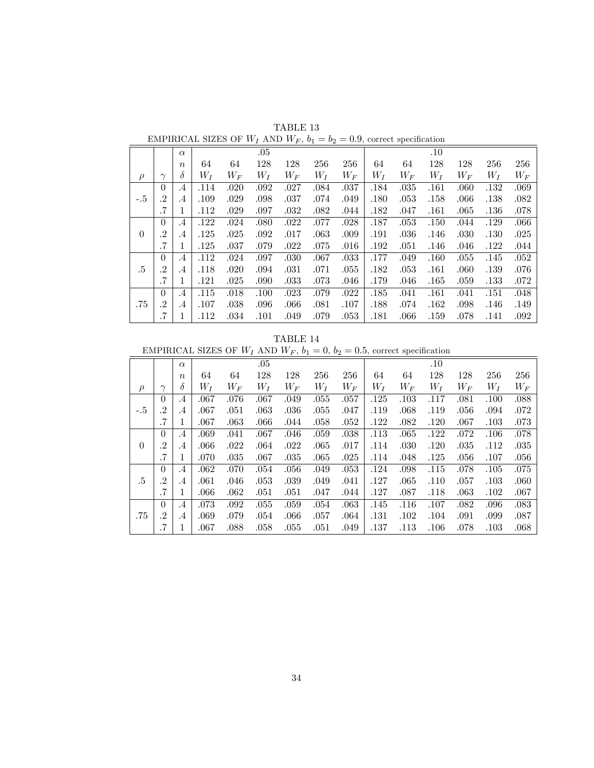|        |           | $\alpha$         |       |       | .05   |       |       |          |       |       | .10   |       |       |       |
|--------|-----------|------------------|-------|-------|-------|-------|-------|----------|-------|-------|-------|-------|-------|-------|
|        |           | $\boldsymbol{n}$ | 64    | 64    | 128   | 128   | 256   | 256      | 64    | 64    | 128   | 128   | 256   | 256   |
| $\rho$ | $\sim$    | $\delta$         | $W_I$ | $W_F$ | $W_I$ | $W_F$ | $W_I$ | $W_F$    | $W_I$ | $W_F$ | $W_I$ | $W_F$ | $W_I$ | $W_F$ |
|        | $\theta$  | .4               | .114  | .020  | .092  | .027  | .084  | .037     | .184  | .035  | .161  | .060  | .132  | .069  |
| $-.5$  | .2        | .4               | .109  | .029  | .098  | .037  | .074  | .049     | .180  | .053  | .158  | .066  | .138  | .082  |
|        | .7        | T                | .112  | .029  | .097  | .032  | .082  | .044     | .182  | .047  | .161  | .065  | .136  | .078  |
|        | $\Omega$  | $.4\phantom{0}$  | .122  | .024  | .080  | .022  | .077  | .028     | .187  | .053  | .150  | .044  | .129  | .066  |
| 0      | $\cdot$   | .4               | .125  | .025  | .092  | .017  | .063  | .009     | .191  | .036  | .146  | .030  | .130  | .025  |
|        | $\cdot$ 7 | 1                | .125  | .037  | .079  | .022  | .075  | .016     | .192  | .051  | .146  | .046  | .122  | .044  |
|        | $\theta$  | $.4\,$           | .112  | .024  | .097  | .030  | .067  | $.033\,$ | .177  | .049  | .160  | .055  | .145  | .052  |
| .5     | .2        | $.4\,$           | .118  | .020  | .094  | .031  | .071  | .055     | .182  | .053  | .161  | .060  | .139  | .076  |
|        | .7        | T.               | .121  | .025  | .090  | .033  | .073  | .046     | .179  | .046  | .165  | .059  | .133  | .072  |
|        | $\theta$  | .4               | .115  | .018  | .100  | .023  | .079  | .022     | .185  | .041  | .161  | .041  | .151  | .048  |
| .75    | $\cdot$ 2 | $.4\,$           | .107  | .038  | .096  | .066  | .081  | .107     | .188  | .074  | .162  | .098  | .146  | .149  |
|        | .7        | 1<br>-           | .112  | .034  | .101  | .049  | .079  | $.053\,$ | .181  | .066  | .159  | .078  | .141  | .092  |

TABLE 13 EMPIRICAL SIZES OF  $W_I$  AND  $W_F$ ,  $b_1 = b_2 = 0.9$ , correct specification

TABLE 14

EMPIRICAL SIZES OF  $W_I$  AND  $W_F$ ,  $b_1 = 0$ ,  $b_2 = 0.5$ , correct specification

|        |                |                  |          |       |       | $\cdots$ $\cdots$ | ິາ ∸⊿ | .     |       | --- - r |       |       |       |       |
|--------|----------------|------------------|----------|-------|-------|-------------------|-------|-------|-------|---------|-------|-------|-------|-------|
|        |                | $\alpha$         |          |       | .05   |                   |       |       |       |         | .10   |       |       |       |
|        |                | $\boldsymbol{n}$ | 64       | 64    | 128   | 128               | 256   | 256   | 64    | 64      | 128   | 128   | 256   | 256   |
| $\rho$ | $\gamma$       | $\delta$         | $W_I$    | $W_F$ | $W_I$ | $W_F$             | $W_I$ | $W_F$ | $W_I$ | $W_F$   | $W_I$ | $W_F$ | $W_I$ | $W_F$ |
|        | $\overline{0}$ | $.4\,$           | .067     | .076  | .067  | .049              | .055  | .057  | .125  | .103    | .117  | .081  | .100  | .088  |
| $-.5$  | .2             | $\cdot$          | .067     | .051  | .063  | .036              | .055  | .047  | .119  | .068    | .119  | .056  | .094  | .072  |
|        | .7             | 1                | .067     | .063  | .066  | .044              | .058  | .052  | .122  | .082    | .120  | .067  | .103  | .073  |
|        | $\Omega$       | $.4\,$           | .069     | .041  | .067  | .046              | .059  | .038  | .113  | .065    | .122  | .072  | .106  | .078  |
| 0      | $\cdot$ 2      | $\cdot$          | .066     | .022  | .064  | .022              | .065  | .017  | .114  | .030    | .120  | .035  | .112  | .035  |
|        | .7             | 1                | .070     | .035  | .067  | .035              | .065  | .025  | .114  | .048    | .125  | .056  | .107  | .056  |
|        | $\overline{0}$ | $.4\,$           | .062     | .070  | .054  | .056              | .049  | .053  | .124  | .098    | .115  | .078  | .105  | .075  |
| .5     | .2             | $\cdot$ 4        | .061     | .046  | .053  | .039              | .049  | .041  | .127  | .065    | .110  | .057  | .103  | .060  |
|        | .7             | 1                | $.066\,$ | .062  | .051  | .051              | .047  | .044  | .127  | .087    | .118  | .063  | .102  | .067  |
|        | $\Omega$       | $.4\,$           | .073     | .092  | .055  | .059              | .054  | .063  | .145  | .116    | .107  | .082  | .096  | .083  |
| .75    | .2             | .4               | .069     | .079  | .054  | .066              | .057  | .064  | .131  | .102    | .104  | .091  | .099  | .087  |
|        | $\cdot$ 7      | 1                | .067     | .088  | .058  | .055              | .051  | .049  | .137  | .113    | .106  | .078  | .103  | .068  |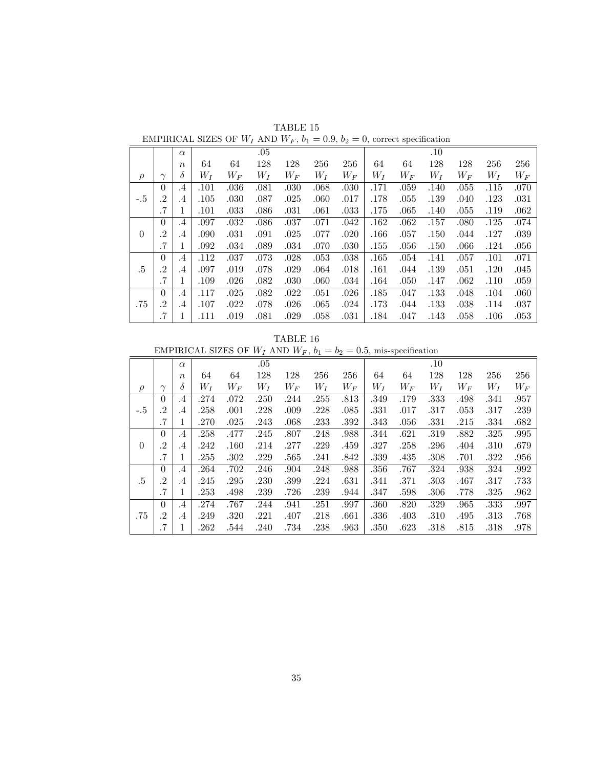|          |          |                  |       |         |       | . .     |       |       |       |         |       |          |       |          |
|----------|----------|------------------|-------|---------|-------|---------|-------|-------|-------|---------|-------|----------|-------|----------|
|          |          | $\alpha$         |       |         | .05   |         |       |       |       |         | .10   |          |       |          |
|          |          | $\boldsymbol{n}$ | 64    | 64      | 128   | 128     | 256   | 256   | 64    | 64      | 128   | 128      | 256   | 256      |
| $\rho$   | $\sim$   | $\delta$         | $W_I$ | $W_{F}$ | $W_I$ | $W_{F}$ | $W_I$ | $W_F$ | $W_I$ | $W_{F}$ | $W_I$ | $W_{F}$  | $W_I$ | $W_F$    |
|          | $\Omega$ | .4               | .101  | .036    | .081  | .030    | .068  | .030  | .171  | .059    | .140  | .055     | .115  | .070     |
| $-.5$    | .2       | $\cdot$ 4        | .105  | .030    | .087  | .025    | .060  | .017  | .178  | .055    | .139  | .040     | .123  | .031     |
|          | .7       |                  | .101  | .033    | .086  | .031    | .061  | .033  | .175  | .065    | .140  | .055     | .119  | .062     |
|          | $\theta$ | $\cdot$ 4        | .097  | .032    | .086  | .037    | .071  | .042  | .162  | .062    | .157  | .080     | .125  | .074     |
| $\Omega$ | .2       | $\cdot$ 4        | .090  | .031    | .091  | .025    | .077  | .020  | .166  | .057    | .150  | .044     | .127  | .039     |
|          | .7       |                  | .092  | .034    | .089  | .034    | .070  | .030  | .155  | .056    | .150  | .066     | .124  | $.056\,$ |
|          | $\Omega$ | $\cdot$ 4        | .112  | .037    | .073  | .028    | .053  | .038  | .165  | .054    | .141  | .057     | .101  | .071     |
| .5       | .2       | .4               | .097  | .019    | .078  | .029    | .064  | .018  | .161  | .044    | .139  | $.051\,$ | .120  | .045     |
|          |          |                  |       |         |       |         |       |       |       |         |       |          |       |          |

 $\,7 \mid 1 \mid .109 \quad .026 \quad .082 \quad .030 \quad .060 \quad .034 \mid .164 \quad .050 \quad .147 \quad .062 \quad .110 \quad .059$  $0$   $\mid$   $.4$   $\mid$   $.117$   $.025$   $.082$   $.022$   $.051$   $.026$   $\mid$   $.185$   $.047$   $.133$   $.048$   $.104$   $.060$ .75 .2 .4 .107 .022 .078 .026 .065 .024 .173 .044 .133 .038 .114 .037 053. 106. 108. 113. 104. 1081. | 0.031. 109. 108. 109. 111. | 1 | 7.

TABLE 15 EMPIRICAL SIZES OF  $W_I$  AND  $W_F$ ,  $b_1 = 0.9$ ,  $b_2 = 0$ , correct specification

TABLE 16

EMPIRICAL SIZES OF  $W_I$  AND  $W_F$ ,  $b_1 = b_2 = 0.5$ , mis-specification

|          |           | $\alpha$         |       |       | $.05\,$ |       |       |       |       |         | .10   |       |       |       |
|----------|-----------|------------------|-------|-------|---------|-------|-------|-------|-------|---------|-------|-------|-------|-------|
|          |           | $\boldsymbol{n}$ | 64    | 64    | 128     | 128   | 256   | 256   | 64    | 64      | 128   | 128   | 256   | 256   |
| $\rho$   | $\gamma$  | δ                | $W_I$ | $W_F$ | $W_I$   | $W_F$ | $W_I$ | $W_F$ | $W_I$ | $W_{F}$ | $W_I$ | $W_F$ | $W_I$ | $W_F$ |
|          | $\theta$  | $.4\,$           | .274  | .072  | .250    | .244  | .255  | .813  | .349  | .179    | .333  | .498  | .341  | .957  |
| $-.5$    | $\cdot^2$ | $.4\,$           | .258  | .001  | .228    | .009  | .228  | .085  | .331  | .017    | .317  | .053  | .317  | .239  |
|          | .7        | 1                | .270  | .025  | .243    | .068  | .233  | .392  | .343  | .056    | .331  | .215  | .334  | .682  |
|          | $\Omega$  | $\cdot$ 4        | .258  | .477  | .245    | .807  | .248  | .988  | .344  | .621    | .319  | .882  | .325  | .995  |
| $\theta$ | $\cdot$   | $.4\,$           | .242  | .160  | .214    | .277  | .229  | .459  | .327  | .258    | .296  | .404  | .310  | .679  |
|          | .7        | 1                | .255  | .302  | .229    | .565  | .241  | .842  | .339  | .435    | .308  | .701  | .322  | .956  |
|          | $\Omega$  | .4               | .264  | .702  | .246    | .904  | .248  | .988  | .356  | .767    | .324  | .938  | .324  | .992  |
| .5       | .2        | $\cdot$ 4        | .245  | .295  | .230    | .399  | .224  | .631  | .341  | .371    | .303  | .467  | .317  | .733  |
|          | .7        |                  | .253  | .498  | .239    | .726  | .239  | .944  | .347  | .598    | .306  | .778  | .325  | .962  |
|          | $\Omega$  | $\cdot$ 4        | .274  | .767  | .244    | .941  | .251  | .997  | .360  | .820    | .329  | .965  | .333  | .997  |
| .75      | $\cdot$ 2 | $.4\,$           | .249  | .320  | .221    | .407  | .218  | .661  | .336  | .403    | .310  | .495  | .313  | .768  |
|          | .7        | 1                | .262  | .544  | .240    | .734  | .238  | .963  | .350  | .623    | .318  | .815  | .318  | .978  |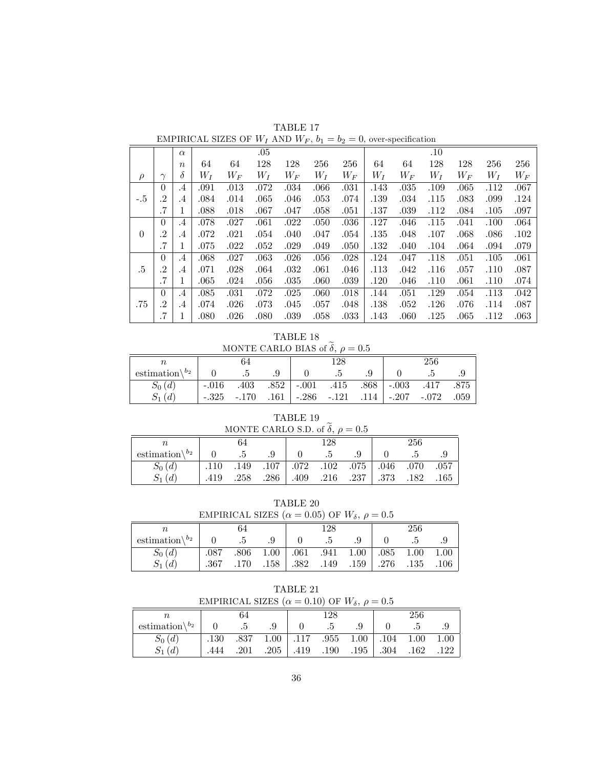| TABLE 17                                                                  |
|---------------------------------------------------------------------------|
| EMPIRICAL SIZES OF $W_I$ AND $W_F$ , $b_1 = b_2 = 0$ , over-specification |

|        |           | $\alpha$         |       |       | .05   |         |       |       |       |       | .10   |       |       |       |
|--------|-----------|------------------|-------|-------|-------|---------|-------|-------|-------|-------|-------|-------|-------|-------|
|        |           | $\boldsymbol{n}$ | 64    | 64    | 128   | 128     | 256   | 256   | 64    | 64    | 128   | 128   | 256   | 256   |
| $\rho$ | $\sim$    | δ                | $W_I$ | $W_F$ | $W_I$ | $W_{F}$ | $W_I$ | $W_F$ | $W_I$ | $W_F$ | $W_I$ | $W_F$ | $W_I$ | $W_F$ |
|        | $\theta$  | $\cdot$ 4        | .091  | .013  | .072  | .034    | .066  | .031  | .143  | .035  | .109  | .065  | .112  | .067  |
| $-.5$  | $\cdot$ 2 | $\cdot$ 4        | .084  | .014  | .065  | .046    | .053  | .074  | .139  | .034  | .115  | .083  | .099  | .124  |
|        | .7        | 1                | .088  | .018  | .067  | .047    | .058  | .051  | .137  | .039  | .112  | .084  | .105  | .097  |
|        | $\Omega$  | $\cdot$ 4        | .078  | .027  | .061  | .022    | .050  | .036  | .127  | .046  | .115  | .041  | .100  | .064  |
| 0      | .2        | $\cdot$ 4        | .072  | .021  | .054  | .040    | .047  | .054  | .135  | .048  | .107  | .068  | .086  | .102  |
|        | .7        | 1                | .075  | .022  | .052  | .029    | .049  | .050  | .132  | .040  | .104  | .064  | .094  | .079  |
|        | $\theta$  | $\cdot$ 4        | .068  | .027  | .063  | .026    | .056  | .028  | .124  | .047  | .118  | .051  | .105  | .061  |
| $.5\,$ | $\cdot^2$ | $\cdot$ 4        | .071  | .028  | .064  | .032    | .061  | .046  | .113  | .042  | .116  | .057  | .110  | .087  |
|        | $.7\,$    | 1                | .065  | .024  | .056  | .035    | .060  | .039  | .120  | .046  | .110  | .061  | .110  | .074  |
|        | $\Omega$  | .4               | .085  | .031  | .072  | .025    | .060  | .018  | .144  | .051  | .129  | .054  | .113  | .042  |
| .75    | .2        | $\cdot$ 4        | .074  | .026  | .073  | .045    | .057  | .048  | .138  | .052  | .126  | .076  | .114  | .087  |
|        | .7        | л.               | .080  | .026  | .080  | .039    | .058  | .033  | .143  | .060  | .125  | .065  | .112  | .063  |

TABLE 18 MONTE CARLO BIAS of  $\tilde{\delta}$ ,  $\rho = 0.5$ 

| n,                                |         |         |      |                  | 128  |      |                  | $256\,$ |      |
|-----------------------------------|---------|---------|------|------------------|------|------|------------------|---------|------|
| estimation $\mathcal{b}_2$        |         |         |      |                  |      |      |                  |         |      |
| $S_0(d)$                          | $-.016$ | .403    |      | $.852$   $-.001$ | .415 |      | $.868$   $-.003$ | .417    | .875 |
| $\overline{d}$<br>$\mathcal{D}_1$ | $-.325$ | $-.170$ | .161 | $ -286 - 121$    |      | .114 | $-.207$          | $-.072$ | .059 |

TABLE 19 MONTE CARLO S.D. of  $\tilde{\delta}$ ,  $\rho = 0.5$ 

|                            |      | 64   |                 | 128 |                                    |       | 256  |      |
|----------------------------|------|------|-----------------|-----|------------------------------------|-------|------|------|
| estimation $\mathcal{b}_2$ |      | . 5  | .9              | - 5 | .9                                 |       |      |      |
| $S_0(d)$                   | .110 |      |                 |     | .149 .107 .102 .102 .075 .046 .070 |       |      | .057 |
| $S_1(d)$                   | .419 | .258 | $.286$   $.409$ |     | $.216$ $.237$                      | - 373 | .182 | .165 |

TABLE 20 EMPIRICAL SIZES ( $\alpha = 0.05$ ) OF  $W_{\delta}$ ,  $\rho = 0.5$ 

|                            |      |      |      | -- - -- -- | ---- | . 0 <i>.</i> <b>.</b> | .    |          |      |
|----------------------------|------|------|------|------------|------|-----------------------|------|----------|------|
| $\it n$                    |      | 64   |      |            | 128  |                       |      | 256      |      |
| estimation $\mathcal{b}_2$ |      | .5   | .9   |            | G.   | .9                    |      |          | .9   |
| $S_0(d)$                   | .087 | .806 | 1.00 | .061       | .941 | 1.00                  | .085 | 1.00     | 1.00 |
| $S_1$<br>(d)               | .367 | .170 | .158 | .382       | .149 | .159                  | .276 | $.135\,$ | .106 |

TABLE 21<br>EMPIRICAL SIZES  $(\alpha = 0.10)$  OF  $W_{s}$ ,  $\rho = 0.5$ 

|                            | EMPIRICAL SIZES ( $\alpha = 0.10$ ) OF $W_{\delta}$ , $\rho = 0.5$ |    |                        |     |                                              |      |      |      |
|----------------------------|--------------------------------------------------------------------|----|------------------------|-----|----------------------------------------------|------|------|------|
|                            |                                                                    | 64 |                        | 128 |                                              |      | 256  |      |
| estimation $\mathcal{b}_2$ |                                                                    |    |                        | - 5 | .9                                           |      |      |      |
| $S_0(d)$                   |                                                                    |    |                        |     | .130 .837 1.00 .117 .955 1.00 .104 1.00 1.00 |      |      |      |
| $S_1(d)$                   | .444                                                               |    | $.201$ $.205$   $.419$ |     | $.190$ $.195$                                | .304 | .162 | .122 |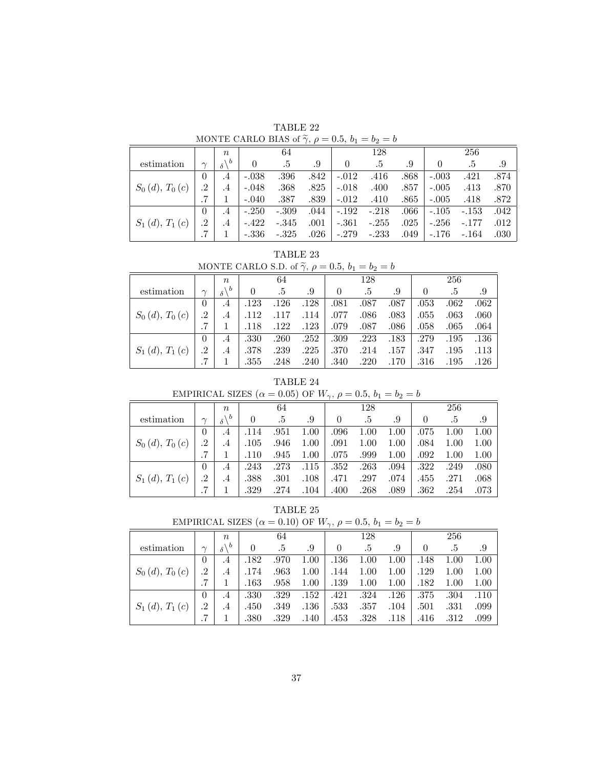TABLE 22 MONTE CARLO BIAS of  $\widetilde{\gamma}$ ,  $\rho = 0.5$ ,  $b_1 = b_2 = b$ 

|                                      |          | $\boldsymbol{n}$   |          | 64      |      |         | 128     |      |          | 256     |      |
|--------------------------------------|----------|--------------------|----------|---------|------|---------|---------|------|----------|---------|------|
| estimation                           | $\sim$   | $\mathcal{A}$<br>δ | $\theta$ | .5      | .9   | 0       | .5      | .9   | $\theta$ | .5      | .9   |
|                                      | $\theta$ | $\cdot$ 4          | $-.038$  | .396    | .842 | $-.012$ | .416    | .868 | $-.003$  | .421    | .874 |
| $S_0(d), T_0(c)$                     | .2       | $\cdot$ 4          | $-.048$  | .368    | .825 | $-.018$ | .400    | .857 | $-.005$  | .413    | .870 |
|                                      |          |                    | $-.040$  | .387    | .839 | $-.012$ | .410    | .865 | $-.005$  | .418    | .872 |
|                                      | $\theta$ | .4                 | $-.250$  | $-.309$ | .044 | $-.192$ | $-.218$ | .066 | $-.105$  | $-.153$ | .042 |
| $S_1(d), T_1$<br>$\lfloor c \rfloor$ | .2       | .4                 | $-.422$  | $-.345$ | .001 | $-.361$ | $-.255$ | .025 | $-.256$  | $-.177$ | .012 |
|                                      |          |                    | $-.336$  | $-.325$ | .026 | $-.279$ | $-.233$ | .049 | $-.176$  | $-.164$ | .030 |

TABLE 23

|  | MONTE CARLO S.D. of $\widetilde{\gamma}$ , $\rho = 0.5$ , $b_1 = b_2 = b$ |  |  |  |  |
|--|---------------------------------------------------------------------------|--|--|--|--|
|  |                                                                           |  |  |  |  |
|  |                                                                           |  |  |  |  |

|                      |        | $\boldsymbol{n}$           |          | 64   |      |          | 128  |      |          | 256  |      |
|----------------------|--------|----------------------------|----------|------|------|----------|------|------|----------|------|------|
| estimation           | $\sim$ | $\mathcal{A}$<br>$\delta'$ | $\theta$ | .5   | .9   | $\theta$ | .5   | .9   | $\theta$ | .5   | .9   |
|                      | 0      | $\cdot$ 4                  | .123     | .126 | .128 | .081     | .087 | .087 | .053     | .062 | .062 |
| $S_0(d), T_0(c)$     | .2     | $.4\,$                     | .112     | .117 | .114 | .077     | .086 | .083 | $.055\,$ | .063 | .060 |
|                      |        |                            | .118     | .122 | .123 | .079     | .087 | .086 | .058     | .065 | .064 |
|                      | 0      | .4                         | .330     | .260 | .252 | .309     | .223 | .183 | .279     | .195 | .136 |
| $S_1(d), T_1$<br>(c) | .2     | $.4\,$                     | .378     | .239 | .225 | .370     | .214 | .157 | .347     | .195 | .113 |
|                      |        |                            | .355     | .248 | .240 | .340     | .220 | .170 | $.316\,$ | .195 | .126 |

## TABLE 24

EMPIRICAL SIZES (
$$
\alpha = 0.05
$$
) OF  $W_{\gamma}$ ,  $\rho = 0.5$ ,  $b_1 = b_2 = b$ 

|                                 |           | $\boldsymbol{n}$        |          | 64   |      |                | 128  |      |          | 256      |      |
|---------------------------------|-----------|-------------------------|----------|------|------|----------------|------|------|----------|----------|------|
| estimation                      | $\sim$    | $\Delta b$<br>$\delta'$ | $\theta$ | .5   | .9   | $\overline{0}$ | .5   | .9   | $\theta$ | .5       | .9   |
|                                 | 0         | .4                      | .114     | .951 | 1.00 | .096           | 1.00 | 1.00 | .075     | 1.00     | 1.00 |
| $S_0(d), T_0(c)$                | $\cdot^2$ | .4                      | .105     | .946 | 1.00 | $.091\,$       | 1.00 | 1.00 | .084     | 1.00     | 1.00 |
|                                 |           |                         | .110     | .945 | 1.00 | .075           | .999 | 1.00 | .092     | $1.00\,$ | 1.00 |
|                                 | 0         | .4                      | .243     | .273 | .115 | .352           | .263 | .094 | .322     | .249     | .080 |
| $S_1(d), T_1$<br>$\overline{c}$ | .2        | .4                      | .388     | .301 | .108 | .471           | .297 | .074 | .455     | .271     | .068 |
|                                 |           |                         | .329     | .274 | .104 | .400           | .268 | .089 | .362     | .254     | .073 |

TABLE 25

| EMPIRICAL SIZES ( $\alpha = 0.10$ ) OF $W_{\gamma}$ , $\rho = 0.5$ , $b_1 = b_2 = b$ |  |  |  |
|--------------------------------------------------------------------------------------|--|--|--|
|--------------------------------------------------------------------------------------|--|--|--|

|                      |           | $\boldsymbol{n}$    |          | 64     |      |          | 128  |          |          | 256      |      |
|----------------------|-----------|---------------------|----------|--------|------|----------|------|----------|----------|----------|------|
| estimation           | $\sim$    | $\vee$<br>$\delta'$ | $\theta$ | $.5\,$ | .9   |          | .5   | .9       | $\theta$ | .5       | .9   |
|                      | $\theta$  | $\cdot$ 4           | .182     | .970   | 1.00 | $.136\,$ | 1.00 | 1.00     | .148     | 1.00     | 1.00 |
| $S_0(d), T_0(c)$     | .2        | .4                  | .174     | .963   | 1.00 | .144     | 1.00 | 1.00     | .129     | $1.00\,$ | 1.00 |
|                      |           |                     | .163     | .958   | 1.00 | .139     | 1.00 | 1.00     | .182     | 1.00     | 1.00 |
|                      | 0         | .4                  | .330     | .329   | .152 | .421     | .324 | $.126\,$ | .375     | .304     | .110 |
| $S_1(d), T_1$<br>(c) | $\cdot^2$ | .4                  | .450     | .349   | .136 | .533     | .357 | .104     | .501     | .331     | .099 |
|                      |           |                     | .380     | .329   | .140 | .453     | .328 | .118     | .416     | .312     | .099 |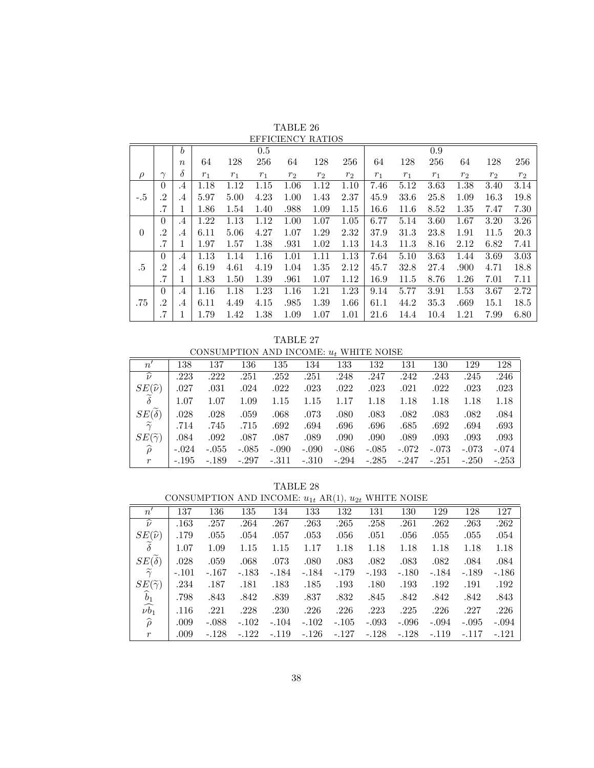|          |                |                  |       |       |       | EFFICIERCI RAIROS |                |                |       |       |       |                |                |       |
|----------|----------------|------------------|-------|-------|-------|-------------------|----------------|----------------|-------|-------|-------|----------------|----------------|-------|
|          |                | $\boldsymbol{b}$ |       |       | 0.5   |                   |                |                |       |       | 0.9   |                |                |       |
|          |                | $\boldsymbol{n}$ | 64    | 128   | 256   | 64                | 128            | 256            | 64    | 128   | 256   | 64             | 128            | 256   |
| $\rho$   | $\sim$         | δ                | $r_1$ | $r_1$ | $r_1$ | r <sub>2</sub>    | r <sub>2</sub> | r <sub>2</sub> | $r_1$ | $r_1$ | $r_1$ | r <sub>2</sub> | r <sub>2</sub> | $r_2$ |
|          | $\overline{0}$ | $.4\,$           | 1.18  | 1.12  | 1.15  | 1.06              | 1.12           | 1.10           | 7.46  | 5.12  | 3.63  | 1.38           | 3.40           | 3.14  |
| $-.5$    | $\cdot$ 2      | $\cdot$ 4        | 5.97  | 5.00  | 4.23  | 1.00              | 1.43           | 2.37           | 45.9  | 33.6  | 25.8  | 1.09           | 16.3           | 19.8  |
|          | .7             | л.               | 1.86  | 1.54  | 1.40  | .988              | 1.09           | 1.15           | 16.6  | 11.6  | 8.52  | 1.35           | 7.47           | 7.30  |
|          | $\theta$       | $\cdot$ 4        | 1.22  | 1.13  | 1.12  | 1.00              | 1.07           | 1.05           | 6.77  | 5.14  | 3.60  | 1.67           | 3.20           | 3.26  |
| $\theta$ | $\cdot$ 2      | .4               | 6.11  | 5.06  | 4.27  | 1.07              | 1.29           | 2.32           | 37.9  | 31.3  | 23.8  | 1.91           | 11.5           | 20.3  |
|          | .7             |                  | 1.97  | 1.57  | 1.38  | .931              | 1.02           | 1.13           | 14.3  | 11.3  | 8.16  | 2.12           | 6.82           | 7.41  |
|          | $\Omega$       | $.4\,$           | 1.13  | 1.14  | 1.16  | 1.01              | 1.11           | 1.13           | 7.64  | 5.10  | 3.63  | 1.44           | 3.69           | 3.03  |
| .5       | $\cdot$ 2      | $.4\,$           | 6.19  | 4.61  | 4.19  | 1.04              | 1.35           | 2.12           | 45.7  | 32.8  | 27.4  | .900           | 4.71           | 18.8  |
|          | .7             |                  | 1.83  | 1.50  | 1.39  | .961              | 1.07           | 1.12           | 16.9  | 11.5  | 8.76  | 1.26           | 7.01           | 7.11  |
|          | $\theta$       | $\cdot$ 4        | 1.16  | 1.18  | 1.23  | 1.16              | 1.21           | 1.23           | 9.14  | 5.77  | 3.91  | 1.53           | 3.67           | 2.72  |
| .75      | .2             | $.4\,$           | 6.11  | 4.49  | 4.15  | .985              | 1.39           | 1.66           | 61.1  | 44.2  | 35.3  | .669           | 15.1           | 18.5  |
|          | .7             |                  | 1.79  | 1.42  | 1.38  | 1.09              | 1.07           | 1.01           | 21.6  | 14.4  | 10.4  | 1.21           | 7.99           | 6.80  |

TABLE 26 EFFICIENCY RATIOS

TABLE 27 CONSUMPTION AND INCOME:  $u_t$  WHITE NOISE

|                          | <u>UULINULILE LAULI LAILU ALIU VAILLII WIIII LAALA LIULULU</u> |         |         |         |                         |         |         |         |         |         |         |
|--------------------------|----------------------------------------------------------------|---------|---------|---------|-------------------------|---------|---------|---------|---------|---------|---------|
| n'                       | 138                                                            | 137     | 136     | 135     | 134                     | 133     | 132     | 131     | 130     | 129     | 128     |
| $\widehat{\nu}$          | .223                                                           | .222    | .251    | .252    | .251                    | .248    | .247    | .242    | .243    | .245    | .246    |
| $SE(\widehat{\nu})$      | .027                                                           | .031    | .024    | .022    | .023                    | .022    | .023    | .021    | .022    | .023    | .023    |
| $\tilde{\delta}$         | 1.07                                                           | 1.07    | 1.09    | 1.15    | 1.15                    | 1.17    | 1.18    | 1.18    | 1.18    | 1.18    | 1.18    |
| $SE(\delta)$             | .028                                                           | .028    | .059    | .068    | .073                    | .080    | .083    | .082    | .083    | .082    | .084    |
| $\widetilde{\gamma}$     | .714                                                           | .745    | .715    | .692    | .694                    | .696    | .696    | .685    | .692    | .694    | .693    |
| $SE(\widetilde{\gamma})$ | .084                                                           | .092    | .087    | .087    | .089                    | .090    | .090    | .089    | .093    | .093    | .093    |
| $\widehat{\rho}$         | $-.024$                                                        | $-.055$ | $-.085$ | $-.090$ | $-.090$                 | $-.086$ | $-.085$ | $-.072$ | $-.073$ | $-.073$ | $-.074$ |
| r                        | $-.195$                                                        | -.189   | $-.297$ | $-.311$ | $-.310$ $-.294$ $-.285$ |         |         | -.247   | -.251   | $-.250$ | $-.253$ |

TABLE 28

CONSUMPTION AND INCOME:  $u_{1t}$  AR(1),  $u_{2t}$  WHITE NOISE

| $n^{\prime}$             | 137     | 136     | 135     | 134     | 133     | 132     | 131     | 130     | 129     | 128     | 127     |
|--------------------------|---------|---------|---------|---------|---------|---------|---------|---------|---------|---------|---------|
| $\widehat{\nu}$          | .163    | .257    | .264    | .267    | .263    | .265    | .258    | .261    | .262    | .263    | .262    |
| $SE(\widehat{\nu})$      | .179    | .055    | .054    | .057    | .053    | .056    | .051    | .056    | .055    | .055    | .054    |
| $\delta$                 | 1.07    | 1.09    | 1.15    | 1.15    | 1.17    | 1.18    | 1.18    | 1.18    | 1.18    | 1.18    | 1.18    |
| $SE(\delta)$             | .028    | .059    | .068    | .073    | .080    | .083    | .082    | .083    | .082    | .084    | .084    |
| $\widetilde{\gamma}$     | $-.101$ | $-.167$ | $-.183$ | $-.184$ | $-.184$ | $-.179$ | $-.193$ | $-.180$ | $-.184$ | $-.189$ | $-.186$ |
| $SE(\widetilde{\gamma})$ | .234    | .187    | .181    | .183    | .185    | .193    | .180    | .193    | .192    | .191    | .192    |
| $\widehat{b}_1$          | .798    | .843    | .842    | .839    | .837    | .832    | .845    | .842    | .842    | .842    | .843    |
| $\widehat{\nu b_1}$      | .116    | .221    | .228    | .230    | .226    | .226    | .223    | .225    | .226    | .227    | .226    |
| $\widehat{\rho}$         | .009    | $-.088$ | $-.102$ | $-.104$ | $-.102$ | $-.105$ | $-.093$ | $-.096$ | $-.094$ | $-.095$ | $-.094$ |
| $\mathcal{r}$            | .009    | $-.128$ | $-.122$ | $-.119$ | $-.126$ | $-.127$ | $-.128$ | $-.128$ | $-.119$ | $-.117$ | $-.121$ |